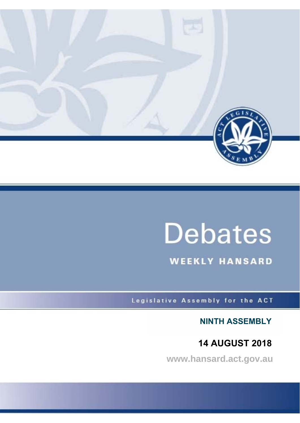

# **Debates**

**WEEKLY HANSARD** 

Legislative Assembly for the ACT

**NINTH ASSEMBLY**

# **14 AUGUST 2018**

**www.hansard.act.gov.au**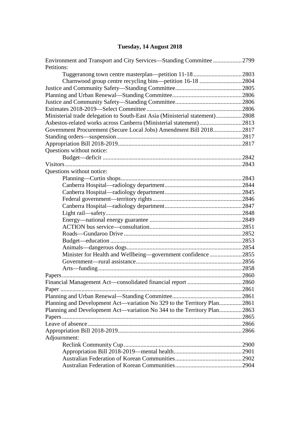# **[Tuesday, 14 August 2018](#page-3-0)**

| Environment and Transport and City Services—Standing Committee 2799         |  |
|-----------------------------------------------------------------------------|--|
| Petitions:                                                                  |  |
| Tuggeranong town centre masterplan-petition 11-182803                       |  |
|                                                                             |  |
|                                                                             |  |
|                                                                             |  |
|                                                                             |  |
|                                                                             |  |
| Ministerial trade delegation to South-East Asia (Ministerial statement)2808 |  |
| Asbestos-related works across Canberra (Ministerial statement)2813          |  |
| Government Procurement (Secure Local Jobs) Amendment Bill 20182817          |  |
|                                                                             |  |
|                                                                             |  |
| Questions without notice:                                                   |  |
|                                                                             |  |
|                                                                             |  |
| Questions without notice:                                                   |  |
|                                                                             |  |
|                                                                             |  |
|                                                                             |  |
|                                                                             |  |
|                                                                             |  |
|                                                                             |  |
|                                                                             |  |
|                                                                             |  |
|                                                                             |  |
|                                                                             |  |
|                                                                             |  |
| Minister for Health and Wellbeing—government confidence 2855                |  |
|                                                                             |  |
|                                                                             |  |
|                                                                             |  |
|                                                                             |  |
|                                                                             |  |
|                                                                             |  |
| Planning and Development Act—variation No 329 to the Territory Plan2861     |  |
| Planning and Development Act—variation No 344 to the Territory Plan2863     |  |
|                                                                             |  |
|                                                                             |  |
|                                                                             |  |
|                                                                             |  |
| Adjournment:                                                                |  |
|                                                                             |  |
|                                                                             |  |
|                                                                             |  |
|                                                                             |  |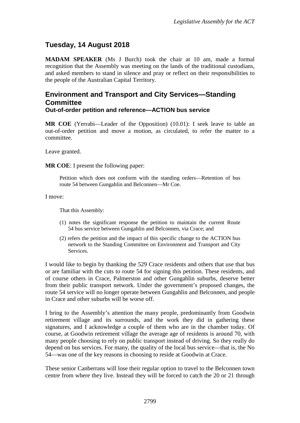# <span id="page-3-0"></span>**Tuesday, 14 August 2018**

**MADAM SPEAKER** (Ms J Burch) took the chair at 10 am, made a formal recognition that the Assembly was meeting on the lands of the traditional custodians, and asked members to stand in silence and pray or reflect on their responsibilities to the people of the Australian Capital Territory.

#### <span id="page-3-1"></span>**Environment and Transport and City Services—Standing Committee Out-of-order petition and reference—ACTION bus service**

**MR COE** (Yerrabi—Leader of the Opposition) (10.01): I seek leave to table an out-of-order petition and move a motion, as circulated, to refer the matter to a committee.

Leave granted.

**MR COE**: I present the following paper:

Petition which does not conform with the standing orders—Retention of bus route 54 between Gungahlin and Belconnen—Mr Coe.

I move:

That this Assembly:

- (1) notes the significant response the petition to maintain the current Route 54 bus service between Gungahlin and Belconnen, via Crace; and
- (2) refers the petition and the impact of this specific change to the ACTION bus network to the Standing Committee on Environment and Transport and City Services.

I would like to begin by thanking the 529 Crace residents and others that use that bus or are familiar with the cuts to route 54 for signing this petition. These residents, and of course others in Crace, Palmerston and other Gungahlin suburbs, deserve better from their public transport network. Under the government's proposed changes, the route 54 service will no longer operate between Gungahlin and Belconnen, and people in Crace and other suburbs will be worse off.

I bring to the Assembly's attention the many people, predominantly from Goodwin retirement village and its surrounds, and the work they did in gathering these signatures, and I acknowledge a couple of them who are in the chamber today. Of course, at Goodwin retirement village the average age of residents is around 70, with many people choosing to rely on public transport instead of driving. So they really do depend on bus services. For many, the quality of the local bus service—that is, the No 54—was one of the key reasons in choosing to reside at Goodwin at Crace.

These senior Canberrans will lose their regular option to travel to the Belconnen town centre from where they live. Instead they will be forced to catch the 20 or 21 through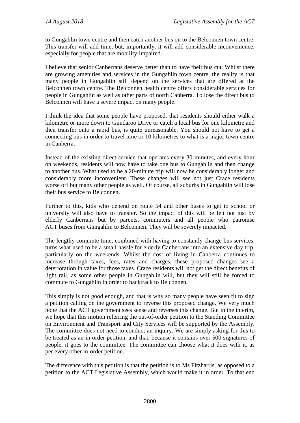to Gungahlin town centre and then catch another bus on to the Belconnen town centre. This transfer will add time, but, importantly, it will add considerable inconvenience, especially for people that are mobility-impaired.

I believe that senior Canberrans deserve better than to have their bus cut. Whilst there are growing amenities and services in the Gungahlin town centre, the reality is that many people in Gungahlin still depend on the services that are offered at the Belconnen town centre. The Belconnen health centre offers considerable services for people in Gungahlin as well as other parts of north Canberra. To lose the direct bus to Belconnen will have a severe impact on many people.

I think the idea that some people have proposed, that residents should either walk a kilometre or more down to Gundaroo Drive or catch a local bus for one kilometre and then transfer onto a rapid bus, is quite unreasonable. You should not have to get a connecting bus in order to travel nine or 10 kilometres to what is a major town centre in Canberra.

Instead of the existing direct service that operates every 30 minutes, and every hour on weekends, residents will now have to take one bus to Gungahlin and then change to another bus. What used to be a 20-minute trip will now be considerably longer and considerably more inconvenient. These changes will see not just Crace residents worse off but many other people as well. Of course, all suburbs in Gungahlin will lose their bus service to Belconnen.

Further to this, kids who depend on route 54 and other buses to get to school or university will also have to transfer. So the impact of this will be felt not just by elderly Canberrans but by parents, commuters and all people who patronise ACT buses from Gungahlin to Belconnen. They will be severely impacted.

The lengthy commute time, combined with having to constantly change bus services, turns what used to be a small hassle for elderly Canberrans into an extensive day trip, particularly on the weekends. Whilst the cost of living in Canberra continues to increase through taxes, fees, rates and charges, these proposed changes see a deterioration in value for those taxes. Crace residents will not get the direct benefits of light rail, as some other people in Gungahlin will, but they will still be forced to commute to Gungahlin in order to backtrack to Belconnen.

This simply is not good enough, and that is why so many people have seen fit to sign a petition calling on the government to reverse this proposed change. We very much hope that the ACT government sees sense and reverses this change. But in the interim, we hope that this motion referring the out-of-order petition to the Standing Committee on Environment and Transport and City Services will be supported by the Assembly. The committee does not need to conduct an inquiry. We are simply asking for this to be treated as an in-order petition, and that, because it contains over 500 signatures of people, it goes to the committee. The committee can choose what it does with it, as per every other in-order petition.

The difference with this petition is that the petition is to Ms Fitzharris, as opposed to a petition to the ACT Legislative Assembly, which would make it in order. To that end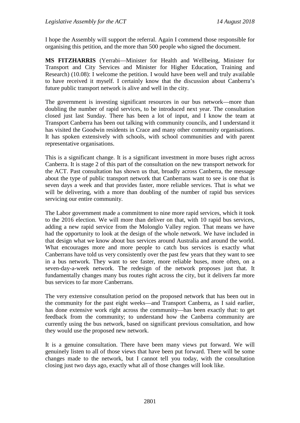I hope the Assembly will support the referral. Again I commend those responsible for organising this petition, and the more than 500 people who signed the document.

**MS FITZHARRIS** (Yerrabi—Minister for Health and Wellbeing, Minister for Transport and City Services and Minister for Higher Education, Training and Research) (10.08): I welcome the petition. I would have been well and truly available to have received it myself. I certainly know that the discussion about Canberra's future public transport network is alive and well in the city.

The government is investing significant resources in our bus network—more than doubling the number of rapid services, to be introduced next year. The consultation closed just last Sunday. There has been a lot of input, and I know the team at Transport Canberra has been out talking with community councils, and I understand it has visited the Goodwin residents in Crace and many other community organisations. It has spoken extensively with schools, with school communities and with parent representative organisations.

This is a significant change. It is a significant investment in more buses right across Canberra. It is stage 2 of this part of the consultation on the new transport network for the ACT. Past consultation has shown us that, broadly across Canberra, the message about the type of public transport network that Canberrans want to see is one that is seven days a week and that provides faster, more reliable services. That is what we will be delivering, with a more than doubling of the number of rapid bus services servicing our entire community.

The Labor government made a commitment to nine more rapid services, which it took to the 2016 election. We will more than deliver on that, with 10 rapid bus services, adding a new rapid service from the Molonglo Valley region. That means we have had the opportunity to look at the design of the whole network. We have included in that design what we know about bus services around Australia and around the world. What encourages more and more people to catch bus services is exactly what Canberrans have told us very consistently over the past few years that they want to see in a bus network. They want to see faster, more reliable buses, more often, on a seven-day-a-week network. The redesign of the network proposes just that. It fundamentally changes many bus routes right across the city, but it delivers far more bus services to far more Canberrans.

The very extensive consultation period on the proposed network that has been out in the community for the past eight weeks—and Transport Canberra, as I said earlier, has done extensive work right across the community—has been exactly that: to get feedback from the community; to understand how the Canberra community are currently using the bus network, based on significant previous consultation, and how they would use the proposed new network.

It is a genuine consultation. There have been many views put forward. We will genuinely listen to all of those views that have been put forward. There will be some changes made to the network, but I cannot tell you today, with the consultation closing just two days ago, exactly what all of those changes will look like.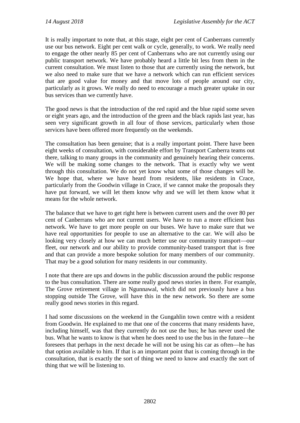It is really important to note that, at this stage, eight per cent of Canberrans currently use our bus network. Eight per cent walk or cycle, generally, to work. We really need to engage the other nearly 85 per cent of Canberrans who are not currently using our public transport network. We have probably heard a little bit less from them in the current consultation. We must listen to those that are currently using the network, but we also need to make sure that we have a network which can run efficient services that are good value for money and that move lots of people around our city, particularly as it grows. We really do need to encourage a much greater uptake in our bus services than we currently have.

The good news is that the introduction of the red rapid and the blue rapid some seven or eight years ago, and the introduction of the green and the black rapids last year, has seen very significant growth in all four of those services, particularly when those services have been offered more frequently on the weekends.

The consultation has been genuine; that is a really important point. There have been eight weeks of consultation, with considerable effort by Transport Canberra teams out there, talking to many groups in the community and genuinely hearing their concerns. We will be making some changes to the network. That is exactly why we went through this consultation. We do not yet know what some of those changes will be. We hope that, where we have heard from residents, like residents in Crace, particularly from the Goodwin village in Crace, if we cannot make the proposals they have put forward, we will let them know why and we will let them know what it means for the whole network.

The balance that we have to get right here is between current users and the over 80 per cent of Canberrans who are not current users. We have to run a more efficient bus network. We have to get more people on our buses. We have to make sure that we have real opportunities for people to use an alternative to the car. We will also be looking very closely at how we can much better use our community transport—our fleet, our network and our ability to provide community-based transport that is free and that can provide a more bespoke solution for many members of our community. That may be a good solution for many residents in our community.

I note that there are ups and downs in the public discussion around the public response to the bus consultation. There are some really good news stories in there. For example, The Grove retirement village in Ngunnawal, which did not previously have a bus stopping outside The Grove, will have this in the new network. So there are some really good news stories in this regard.

I had some discussions on the weekend in the Gungahlin town centre with a resident from Goodwin. He explained to me that one of the concerns that many residents have, including himself, was that they currently do not use the bus; he has never used the bus. What he wants to know is that when he does need to use the bus in the future—he foresees that perhaps in the next decade he will not be using his car as often—he has that option available to him. If that is an important point that is coming through in the consultation, that is exactly the sort of thing we need to know and exactly the sort of thing that we will be listening to.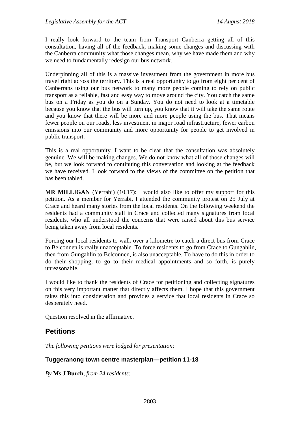I really look forward to the team from Transport Canberra getting all of this consultation, having all of the feedback, making some changes and discussing with the Canberra community what those changes mean, why we have made them and why we need to fundamentally redesign our bus network.

Underpinning all of this is a massive investment from the government in more bus travel right across the territory. This is a real opportunity to go from eight per cent of Canberrans using our bus network to many more people coming to rely on public transport as a reliable, fast and easy way to move around the city. You catch the same bus on a Friday as you do on a Sunday. You do not need to look at a timetable because you know that the bus will turn up, you know that it will take the same route and you know that there will be more and more people using the bus. That means fewer people on our roads, less investment in major road infrastructure, fewer carbon emissions into our community and more opportunity for people to get involved in public transport.

This is a real opportunity. I want to be clear that the consultation was absolutely genuine. We will be making changes. We do not know what all of those changes will be, but we look forward to continuing this conversation and looking at the feedback we have received. I look forward to the views of the committee on the petition that has been tabled.

**MR MILLIGAN** (Yerrabi) (10.17): I would also like to offer my support for this petition. As a member for Yerrabi, I attended the community protest on 25 July at Crace and heard many stories from the local residents. On the following weekend the residents had a community stall in Crace and collected many signatures from local residents, who all understood the concerns that were raised about this bus service being taken away from local residents.

Forcing our local residents to walk over a kilometre to catch a direct bus from Crace to Belconnen is really unacceptable. To force residents to go from Crace to Gungahlin, then from Gungahlin to Belconnen, is also unacceptable. To have to do this in order to do their shopping, to go to their medical appointments and so forth, is purely unreasonable.

I would like to thank the residents of Crace for petitioning and collecting signatures on this very important matter that directly affects them. I hope that this government takes this into consideration and provides a service that local residents in Crace so desperately need.

Question resolved in the affirmative.

## <span id="page-7-0"></span>**Petitions**

*The following petitions were lodged for presentation:*

#### <span id="page-7-1"></span>**Tuggeranong town centre masterplan—petition 11-18**

*By* **Ms J Burch**, *from 24 residents:*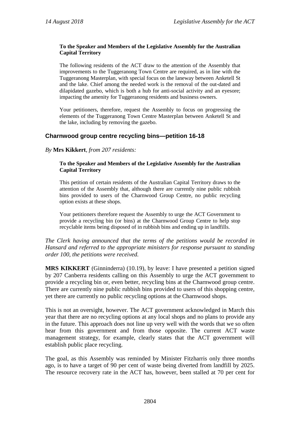#### **To the Speaker and Members of the Legislative Assembly for the Australian Capital Territory**

The following residents of the ACT draw to the attention of the Assembly that improvements to the Tuggeranong Town Centre are required, as in line with the Tuggeranong Masterplan, with special focus on the laneway between Anketell St and the lake. Chief among the needed work is the removal of the out-dated and dilapidated gazebo, which is both a hub for anti-social activity and an eyesore; impacting the amenity for Tuggeranong residents and business owners.

Your petitioners, therefore, request the Assembly to focus on progressing the elements of the Tuggeranong Town Centre Masterplan between Anketell St and the lake, including by removing the gazebo.

#### <span id="page-8-0"></span>**Charnwood group centre recycling bins—petition 16-18**

*By* **Mrs Kikkert**, *from 207 residents:*

#### **To the Speaker and Members of the Legislative Assembly for the Australian Capital Territory**

This petition of certain residents of the Australian Capital Territory draws to the attention of the Assembly that, although there are currently nine public rubbish bins provided to users of the Charnwood Group Centre, no public recycling option exists at these shops.

Your petitioners therefore request the Assembly to urge the ACT Government to provide a recycling bin (or bins) at the Charnwood Group Centre to help stop recyclable items being disposed of in rubbish bins and ending up in landfills.

#### *The Clerk having announced that the terms of the petitions would be recorded in Hansard and referred to the appropriate ministers for response pursuant to standing order 100, the petitions were received.*

**MRS KIKKERT** (Ginninderra) (10.19), by leave: I have presented a petition signed by 207 Canberra residents calling on this Assembly to urge the ACT government to provide a recycling bin or, even better, recycling bins at the Charnwood group centre. There are currently nine public rubbish bins provided to users of this shopping centre, yet there are currently no public recycling options at the Charnwood shops.

This is not an oversight, however. The ACT government acknowledged in March this year that there are no recycling options at any local shops and no plans to provide any in the future. This approach does not line up very well with the words that we so often hear from this government and from those opposite. The current ACT waste management strategy, for example, clearly states that the ACT government will establish public place recycling.

The goal, as this Assembly was reminded by Minister Fitzharris only three months ago, is to have a target of 90 per cent of waste being diverted from landfill by 2025. The resource recovery rate in the ACT has, however, been stalled at 70 per cent for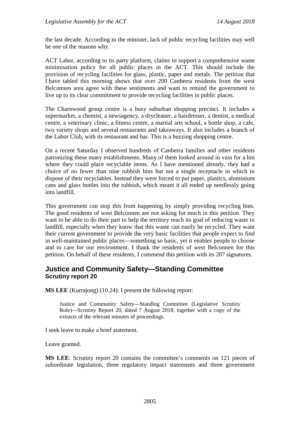the last decade. According to the minister, lack of public recycling facilities may well be one of the reasons why.

ACT Labor, according to its party platform, claims to support a comprehensive waste minimisation policy for all public places in the ACT. This should include the provision of recycling facilities for glass, plastic, paper and metals. The petition that I have tabled this morning shows that over 200 Canberra residents from the west Belconnen area agree with these sentiments and want to remind the government to live up to its clear commitment to provide recycling facilities in public places.

The Charnwood group centre is a busy suburban shopping precinct. It includes a supermarket, a chemist, a newsagency, a drycleaner, a hairdresser, a dentist, a medical centre, a veterinary clinic, a fitness centre, a martial arts school, a bottle shop, a cafe, two variety shops and several restaurants and takeaways. It also includes a branch of the Labor Club, with its restaurant and bar. This is a buzzing shopping centre.

On a recent Saturday I observed hundreds of Canberra families and other residents patronizing these many establishments. Many of them looked around in vain for a bin where they could place recyclable items. As I have mentioned already, they had a choice of no fewer than nine rubbish bins but not a single receptacle in which to dispose of their recyclables. Instead they were forced to put paper, plastics, aluminium cans and glass bottles into the rubbish, which meant it all ended up needlessly going into landfill.

This government can stop this from happening by simply providing recycling bins. The good residents of west Belconnen are not asking for much in this petition. They want to be able to do their part to help the territory reach its goal of reducing waste to landfill, especially when they know that this waste can easily be recycled. They want their current government to provide the very basic facilities that people expect to find in well-maintained public places—something so basic, yet it enables people to choose and to care for our environment. I thank the residents of west Belconnen for this petition. On behalf of these residents, I commend this petition with its 207 signatures.

#### <span id="page-9-0"></span>**Justice and Community Safety—Standing Committee Scrutiny report 20**

**MS LEE** (Kurrajong) (10.24): I present the following report:

Justice and Community Safety—Standing Committee (Legislative Scrutiny Role)—Scrutiny Report 20, dated 7 August 2018, together with a copy of the extracts of the relevant minutes of proceedings.

I seek leave to make a brief statement.

Leave granted.

**MS LEE**: Scrutiny report 20 contains the committee's comments on 121 pieces of subordinate legislation, three regulatory impact statements and three government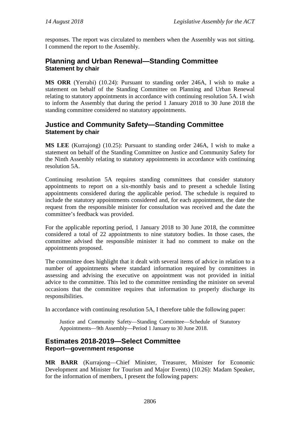responses. The report was circulated to members when the Assembly was not sitting. I commend the report to the Assembly.

## <span id="page-10-0"></span>**Planning and Urban Renewal—Standing Committee Statement by chair**

**MS ORR** (Yerrabi) (10.24): Pursuant to standing order 246A, I wish to make a statement on behalf of the Standing Committee on Planning and Urban Renewal relating to statutory appointments in accordance with continuing resolution 5A. I wish to inform the Assembly that during the period 1 January 2018 to 30 June 2018 the standing committee considered no statutory appointments.

# <span id="page-10-1"></span>**Justice and Community Safety—Standing Committee Statement by chair**

**MS LEE** (Kurrajong) (10.25): Pursuant to standing order 246A, I wish to make a statement on behalf of the Standing Committee on Justice and Community Safety for the Ninth Assembly relating to statutory appointments in accordance with continuing resolution 5A.

Continuing resolution 5A requires standing committees that consider statutory appointments to report on a six-monthly basis and to present a schedule listing appointments considered during the applicable period. The schedule is required to include the statutory appointments considered and, for each appointment, the date the request from the responsible minister for consultation was received and the date the committee's feedback was provided.

For the applicable reporting period, 1 January 2018 to 30 June 2018, the committee considered a total of 22 appointments to nine statutory bodies. In those cases, the committee advised the responsible minister it had no comment to make on the appointments proposed.

The committee does highlight that it dealt with several items of advice in relation to a number of appointments where standard information required by committees in assessing and advising the executive on appointment was not provided in initial advice to the committee. This led to the committee reminding the minister on several occasions that the committee requires that information to properly discharge its responsibilities.

In accordance with continuing resolution 5A, I therefore table the following paper:

Justice and Community Safety—Standing Committee—Schedule of Statutory Appointments—9th Assembly—Period 1 January to 30 June 2018.

## <span id="page-10-2"></span>**Estimates 2018-2019—Select Committee Report—government response**

**MR BARR** (Kurrajong—Chief Minister, Treasurer, Minister for Economic Development and Minister for Tourism and Major Events) (10.26): Madam Speaker, for the information of members, I present the following papers: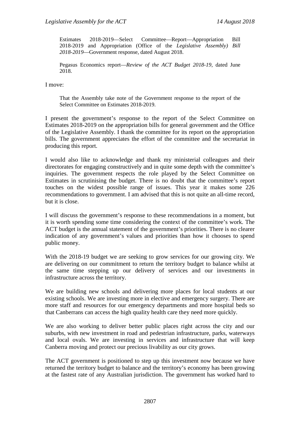Estimates 2018-2019—Select Committee—Report—Appropriation Bill 2018-2019 and Appropriation (Office of the *Legislative Assembly) Bill 2018-2019*—Government response, dated August 2018.

Pegasus Economics report—*Review of the ACT Budget 2018-19*, dated June 2018.

I move:

That the Assembly take note of the Government response to the report of the Select Committee on Estimates 2018-2019.

I present the government's response to the report of the Select Committee on Estimates 2018-2019 on the appropriation bills for general government and the Office of the Legislative Assembly. I thank the committee for its report on the appropriation bills. The government appreciates the effort of the committee and the secretariat in producing this report.

I would also like to acknowledge and thank my ministerial colleagues and their directorates for engaging constructively and in quite some depth with the committee's inquiries. The government respects the role played by the Select Committee on Estimates in scrutinising the budget. There is no doubt that the committee's report touches on the widest possible range of issues. This year it makes some 226 recommendations to government. I am advised that this is not quite an all-time record, but it is close.

I will discuss the government's response to these recommendations in a moment, but it is worth spending some time considering the context of the committee's work. The ACT budget is the annual statement of the government's priorities. There is no clearer indication of any government's values and priorities than how it chooses to spend public money.

With the 2018-19 budget we are seeking to grow services for our growing city. We are delivering on our commitment to return the territory budget to balance whilst at the same time stepping up our delivery of services and our investments in infrastructure across the territory.

We are building new schools and delivering more places for local students at our existing schools. We are investing more in elective and emergency surgery. There are more staff and resources for our emergency departments and more hospital beds so that Canberrans can access the high quality health care they need more quickly.

We are also working to deliver better public places right across the city and our suburbs, with new investment in road and pedestrian infrastructure, parks, waterways and local ovals. We are investing in services and infrastructure that will keep Canberra moving and protect our precious livability as our city grows.

The ACT government is positioned to step up this investment now because we have returned the territory budget to balance and the territory's economy has been growing at the fastest rate of any Australian jurisdiction. The government has worked hard to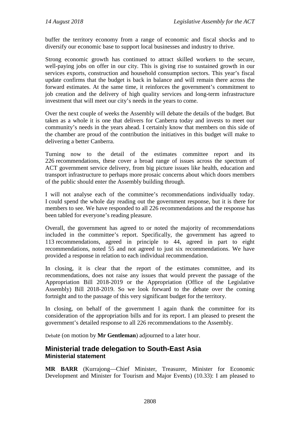buffer the territory economy from a range of economic and fiscal shocks and to diversify our economic base to support local businesses and industry to thrive.

Strong economic growth has continued to attract skilled workers to the secure, well-paying jobs on offer in our city. This is giving rise to sustained growth in our services exports, construction and household consumption sectors. This year's fiscal update confirms that the budget is back in balance and will remain there across the forward estimates. At the same time, it reinforces the government's commitment to job creation and the delivery of high quality services and long-term infrastructure investment that will meet our city's needs in the years to come.

Over the next couple of weeks the Assembly will debate the details of the budget. But taken as a whole it is one that delivers for Canberra today and invests to meet our community's needs in the years ahead. I certainly know that members on this side of the chamber are proud of the contribution the initiatives in this budget will make to delivering a better Canberra.

Turning now to the detail of the estimates committee report and its 226 recommendations, these cover a broad range of issues across the spectrum of ACT government service delivery, from big picture issues like health, education and transport infrastructure to perhaps more prosaic concerns about which doors members of the public should enter the Assembly building through.

I will not analyse each of the committee's recommendations individually today. I could spend the whole day reading out the government response, but it is there for members to see. We have responded to all 226 recommendations and the response has been tabled for everyone's reading pleasure.

Overall, the government has agreed to or noted the majority of recommendations included in the committee's report. Specifically, the government has agreed to 113 recommendations, agreed in principle to 44, agreed in part to eight recommendations, noted 55 and not agreed to just six recommendations. We have provided a response in relation to each individual recommendation.

In closing, it is clear that the report of the estimates committee, and its recommendations, does not raise any issues that would prevent the passage of the Appropriation Bill 2018-2019 or the Appropriation (Office of the Legislative Assembly) Bill 2018-2019. So we look forward to the debate over the coming fortnight and to the passage of this very significant budget for the territory.

In closing, on behalf of the government I again thank the committee for its consideration of the appropriation bills and for its report. I am pleased to present the government's detailed response to all 226 recommendations to the Assembly.

Debate (on motion by **Mr Gentleman**) adjourned to a later hour.

#### <span id="page-12-1"></span><span id="page-12-0"></span>**Ministerial trade delegation to South-East Asia Ministerial statement**

**MR BARR** (Kurrajong—Chief Minister, Treasurer, Minister for Economic Development and Minister for Tourism and Major Events) (10.33): I am pleased to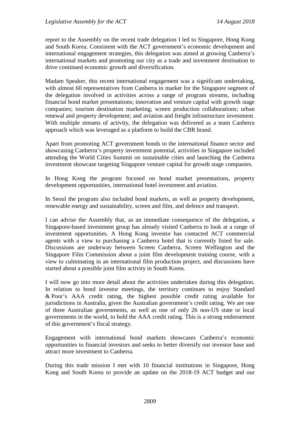report to the Assembly on the recent trade delegation I led to Singapore, Hong Kong and South Korea. Consistent with the ACT government's economic development and international engagement strategies, this delegation was aimed at growing Canberra's international markets and promoting our city as a trade and investment destination to drive continued economic growth and diversification.

Madam Speaker, this recent international engagement was a significant undertaking, with almost 60 representatives from Canberra in market for the Singapore segment of the delegation involved in activities across a range of program streams, including financial bond market presentations; innovation and venture capital with growth stage companies; tourism destination marketing; screen production collaborations; urban renewal and property development; and aviation and freight infrastructure investment. With multiple streams of activity, the delegation was delivered as a team Canberra approach which was leveraged as a platform to build the CBR brand.

Apart from promoting ACT government bonds to the international finance sector and showcasing Canberra's property investment potential, activities in Singapore included attending the World Cities Summit on sustainable cities and launching the Canberra investment showcase targeting Singapore venture capital for growth stage companies.

In Hong Kong the program focused on bond market presentations, property development opportunities, international hotel investment and aviation.

In Seoul the program also included bond markets, as well as property development, renewable energy and sustainability, screen and film, and defence and transport.

I can advise the Assembly that, as an immediate consequence of the delegation, a Singapore-based investment group has already visited Canberra to look at a range of investment opportunities. A Hong Kong investor has contacted ACT commercial agents with a view to purchasing a Canberra hotel that is currently listed for sale. Discussions are underway between Screen Canberra, Screen Wellington and the Singapore Film Commission about a joint film development training course, with a view to culminating in an international film production project, and discussions have started about a possible joint film activity in South Korea.

I will now go into more detail about the activities undertaken during this delegation. In relation to bond investor meetings, the territory continues to enjoy Standard & Poor's AAA credit rating, the highest possible credit rating available for jurisdictions in Australia, given the Australian government's credit rating. We are one of three Australian governments, as well as one of only 26 non-US state or local governments in the world, to hold the AAA credit rating. This is a strong endorsement of this government's fiscal strategy.

Engagement with international bond markets showcases Canberra's economic opportunities to financial investors and seeks to better diversify our investor base and attract more investment to Canberra.

During this trade mission I met with 10 financial institutions in Singapore, Hong Kong and South Korea to provide an update on the 2018-19 ACT budget and our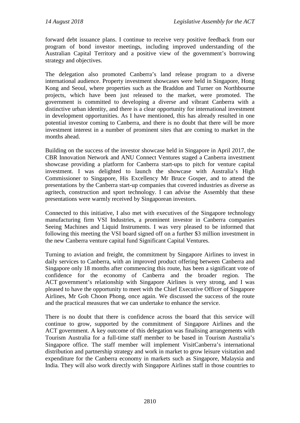forward debt issuance plans. I continue to receive very positive feedback from our program of bond investor meetings, including improved understanding of the Australian Capital Territory and a positive view of the government's borrowing strategy and objectives.

The delegation also promoted Canberra's land release program to a diverse international audience. Property investment showcases were held in Singapore, Hong Kong and Seoul, where properties such as the Braddon and Turner on Northbourne projects, which have been just released to the market, were promoted. The government is committed to developing a diverse and vibrant Canberra with a distinctive urban identity, and there is a clear opportunity for international investment in development opportunities. As I have mentioned, this has already resulted in one potential investor coming to Canberra, and there is no doubt that there will be more investment interest in a number of prominent sites that are coming to market in the months ahead.

Building on the success of the investor showcase held in Singapore in April 2017, the CBR Innovation Network and ANU Connect Ventures staged a Canberra investment showcase providing a platform for Canberra start-ups to pitch for venture capital investment. I was delighted to launch the showcase with Australia's High Commissioner to Singapore, His Excellency Mr Bruce Gosper, and to attend the presentations by the Canberra start-up companies that covered industries as diverse as agritech, construction and sport technology. I can advise the Assembly that these presentations were warmly received by Singaporean investors.

Connected to this initiative, I also met with executives of the Singapore technology manufacturing firm VSI Industries, a prominent investor in Canberra companies Seeing Machines and Liquid Instruments. I was very pleased to be informed that following this meeting the VSI board signed off on a further \$3 million investment in the new Canberra venture capital fund Significant Capital Ventures.

Turning to aviation and freight, the commitment by Singapore Airlines to invest in daily services to Canberra, with an improved product offering between Canberra and Singapore only 18 months after commencing this route, has been a significant vote of confidence for the economy of Canberra and the broader region. The ACT government's relationship with Singapore Airlines is very strong, and I was pleased to have the opportunity to meet with the Chief Executive Officer of Singapore Airlines, Mr Goh Choon Phong, once again. We discussed the success of the route and the practical measures that we can undertake to enhance the service.

There is no doubt that there is confidence across the board that this service will continue to grow, supported by the commitment of Singapore Airlines and the ACT government. A key outcome of this delegation was finalising arrangements with Tourism Australia for a full-time staff member to be based in Tourism Australia's Singapore office. The staff member will implement VisitCanberra's international distribution and partnership strategy and work in market to grow leisure visitation and expenditure for the Canberra economy in markets such as Singapore, Malaysia and India. They will also work directly with Singapore Airlines staff in those countries to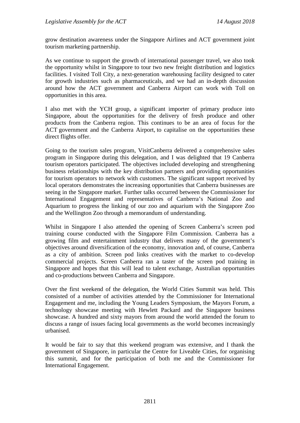grow destination awareness under the Singapore Airlines and ACT government joint tourism marketing partnership.

As we continue to support the growth of international passenger travel, we also took the opportunity whilst in Singapore to tour two new freight distribution and logistics facilities. I visited Toll City, a next-generation warehousing facility designed to cater for growth industries such as pharmaceuticals, and we had an in-depth discussion around how the ACT government and Canberra Airport can work with Toll on opportunities in this area.

I also met with the YCH group, a significant importer of primary produce into Singapore, about the opportunities for the delivery of fresh produce and other products from the Canberra region. This continues to be an area of focus for the ACT government and the Canberra Airport, to capitalise on the opportunities these direct flights offer.

Going to the tourism sales program, VisitCanberra delivered a comprehensive sales program in Singapore during this delegation, and I was delighted that 19 Canberra tourism operators participated. The objectives included developing and strengthening business relationships with the key distribution partners and providing opportunities for tourism operators to network with customers. The significant support received by local operators demonstrates the increasing opportunities that Canberra businesses are seeing in the Singapore market. Further talks occurred between the Commissioner for International Engagement and representatives of Canberra's National Zoo and Aquarium to progress the linking of our zoo and aquarium with the Singapore Zoo and the Wellington Zoo through a memorandum of understanding.

Whilst in Singapore I also attended the opening of Screen Canberra's screen pod training course conducted with the Singapore Film Commission. Canberra has a growing film and entertainment industry that delivers many of the government's objectives around diversification of the economy, innovation and, of course, Canberra as a city of ambition. Screen pod links creatives with the market to co-develop commercial projects. Screen Canberra ran a taster of the screen pod training in Singapore and hopes that this will lead to talent exchange, Australian opportunities and co-productions between Canberra and Singapore.

Over the first weekend of the delegation, the World Cities Summit was held. This consisted of a number of activities attended by the Commissioner for International Engagement and me, including the Young Leaders Symposium, the Mayors Forum, a technology showcase meeting with Hewlett Packard and the Singapore business showcase. A hundred and sixty mayors from around the world attended the forum to discuss a range of issues facing local governments as the world becomes increasingly urbanised.

It would be fair to say that this weekend program was extensive, and I thank the government of Singapore, in particular the Centre for Liveable Cities, for organising this summit, and for the participation of both me and the Commissioner for International Engagement.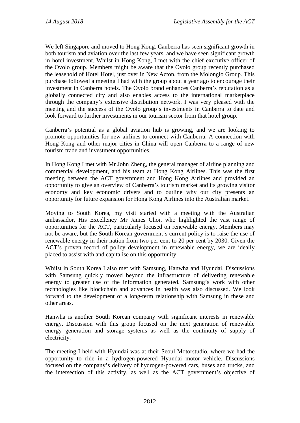We left Singapore and moved to Hong Kong. Canberra has seen significant growth in both tourism and aviation over the last few years, and we have seen significant growth in hotel investment. Whilst in Hong Kong, I met with the chief executive officer of the Ovolo group. Members might be aware that the Ovolo group recently purchased the leasehold of Hotel Hotel, just over in New Acton, from the Molonglo Group. This purchase followed a meeting I had with the group about a year ago to encourage their investment in Canberra hotels. The Ovolo brand enhances Canberra's reputation as a globally connected city and also enables access to the international marketplace through the company's extensive distribution network. I was very pleased with the meeting and the success of the Ovolo group's investments in Canberra to date and look forward to further investments in our tourism sector from that hotel group.

Canberra's potential as a global aviation hub is growing, and we are looking to promote opportunities for new airlines to connect with Canberra. A connection with Hong Kong and other major cities in China will open Canberra to a range of new tourism trade and investment opportunities.

In Hong Kong I met with Mr John Zheng, the general manager of airline planning and commercial development, and his team at Hong Kong Airlines. This was the first meeting between the ACT government and Hong Kong Airlines and provided an opportunity to give an overview of Canberra's tourism market and its growing visitor economy and key economic drivers and to outline why our city presents an opportunity for future expansion for Hong Kong Airlines into the Australian market.

Moving to South Korea, my visit started with a meeting with the Australian ambassador, His Excellency Mr James Choi, who highlighted the vast range of opportunities for the ACT, particularly focused on renewable energy. Members may not be aware, but the South Korean government's current policy is to raise the use of renewable energy in their nation from two per cent to 20 per cent by 2030. Given the ACT's proven record of policy development in renewable energy, we are ideally placed to assist with and capitalise on this opportunity.

Whilst in South Korea I also met with Samsung, Hanwha and Hyundai. Discussions with Samsung quickly moved beyond the infrastructure of delivering renewable energy to greater use of the information generated. Samsung's work with other technologies like blockchain and advances in health was also discussed. We look forward to the development of a long-term relationship with Samsung in these and other areas.

Hanwha is another South Korean company with significant interests in renewable energy. Discussion with this group focused on the next generation of renewable energy generation and storage systems as well as the continuity of supply of electricity.

The meeting I held with Hyundai was at their Seoul Motorstudio, where we had the opportunity to ride in a hydrogen-powered Hyundai motor vehicle. Discussions focused on the company's delivery of hydrogen-powered cars, buses and trucks, and the intersection of this activity, as well as the ACT government's objective of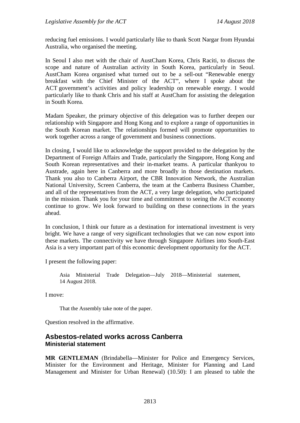reducing fuel emissions. I would particularly like to thank Scott Nargar from Hyundai Australia, who organised the meeting.

In Seoul I also met with the chair of AustCham Korea, Chris Raciti, to discuss the scope and nature of Australian activity in South Korea, particularly in Seoul. AustCham Korea organised what turned out to be a sell-out "Renewable energy breakfast with the Chief Minister of the ACT", where I spoke about the ACT government's activities and policy leadership on renewable energy. I would particularly like to thank Chris and his staff at AustCham for assisting the delegation in South Korea.

Madam Speaker, the primary objective of this delegation was to further deepen our relationship with Singapore and Hong Kong and to explore a range of opportunities in the South Korean market. The relationships formed will promote opportunities to work together across a range of government and business connections.

In closing, I would like to acknowledge the support provided to the delegation by the Department of Foreign Affairs and Trade, particularly the Singapore, Hong Kong and South Korean representatives and their in-market teams. A particular thankyou to Austrade, again here in Canberra and more broadly in those destination markets. Thank you also to Canberra Airport, the CBR Innovation Network, the Australian National University, Screen Canberra, the team at the Canberra Business Chamber, and all of the representatives from the ACT, a very large delegation, who participated in the mission. Thank you for your time and commitment to seeing the ACT economy continue to grow. We look forward to building on these connections in the years ahead.

In conclusion, I think our future as a destination for international investment is very bright. We have a range of very significant technologies that we can now export into these markets. The connectivity we have through Singapore Airlines into South-East Asia is a very important part of this economic development opportunity for the ACT.

I present the following paper:

Asia Ministerial Trade Delegation—July 2018—Ministerial statement, 14 August 2018.

I move:

That the Assembly take note of the paper.

Question resolved in the affirmative.

#### <span id="page-17-1"></span><span id="page-17-0"></span>**Asbestos-related works across Canberra Ministerial statement**

**MR GENTLEMAN** (Brindabella—Minister for Police and Emergency Services, Minister for the Environment and Heritage, Minister for Planning and Land Management and Minister for Urban Renewal) (10.50): I am pleased to table the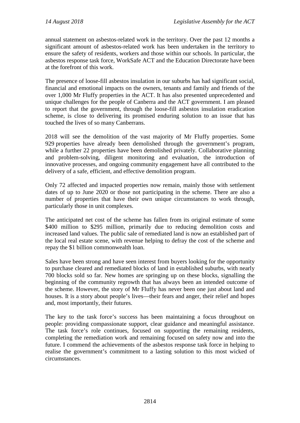annual statement on asbestos-related work in the territory. Over the past 12 months a significant amount of asbestos-related work has been undertaken in the territory to ensure the safety of residents, workers and those within our schools. In particular, the asbestos response task force, WorkSafe ACT and the Education Directorate have been at the forefront of this work.

The presence of loose-fill asbestos insulation in our suburbs has had significant social, financial and emotional impacts on the owners, tenants and family and friends of the over 1,000 Mr Fluffy properties in the ACT. It has also presented unprecedented and unique challenges for the people of Canberra and the ACT government. I am pleased to report that the government, through the loose-fill asbestos insulation eradication scheme, is close to delivering its promised enduring solution to an issue that has touched the lives of so many Canberrans.

2018 will see the demolition of the vast majority of Mr Fluffy properties. Some 929 properties have already been demolished through the government's program, while a further 22 properties have been demolished privately. Collaborative planning and problem-solving, diligent monitoring and evaluation, the introduction of innovative processes, and ongoing community engagement have all contributed to the delivery of a safe, efficient, and effective demolition program.

Only 72 affected and impacted properties now remain, mainly those with settlement dates of up to June 2020 or those not participating in the scheme. There are also a number of properties that have their own unique circumstances to work through, particularly those in unit complexes.

The anticipated net cost of the scheme has fallen from its original estimate of some \$400 million to \$295 million, primarily due to reducing demolition costs and increased land values. The public sale of remediated land is now an established part of the local real estate scene, with revenue helping to defray the cost of the scheme and repay the \$1 billion commonwealth loan.

Sales have been strong and have seen interest from buyers looking for the opportunity to purchase cleared and remediated blocks of land in established suburbs, with nearly 700 blocks sold so far. New homes are springing up on these blocks, signalling the beginning of the community regrowth that has always been an intended outcome of the scheme. However, the story of Mr Fluffy has never been one just about land and houses. It is a story about people's lives—their fears and anger, their relief and hopes and, most importantly, their futures.

The key to the task force's success has been maintaining a focus throughout on people: providing compassionate support, clear guidance and meaningful assistance. The task force's role continues, focused on supporting the remaining residents, completing the remediation work and remaining focused on safety now and into the future. I commend the achievements of the asbestos response task force in helping to realise the government's commitment to a lasting solution to this most wicked of circumstances.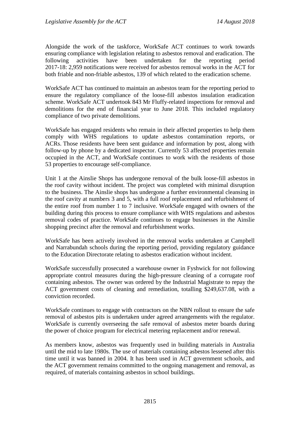Alongside the work of the taskforce, WorkSafe ACT continues to work towards ensuring compliance with legislation relating to asbestos removal and eradication. The following activities have been undertaken for the reporting period following activities have been undertaken for the reporting period 2017-18: 2,959 notifications were received for asbestos removal works in the ACT for both friable and non-friable asbestos, 139 of which related to the eradication scheme.

WorkSafe ACT has continued to maintain an asbestos team for the reporting period to ensure the regulatory compliance of the loose-fill asbestos insulation eradication scheme. WorkSafe ACT undertook 843 Mr Fluffy-related inspections for removal and demolitions for the end of financial year to June 2018. This included regulatory compliance of two private demolitions.

WorkSafe has engaged residents who remain in their affected properties to help them comply with WHS regulations to update asbestos contamination reports, or ACRs. Those residents have been sent guidance and information by post, along with follow-up by phone by a dedicated inspector. Currently 53 affected properties remain occupied in the ACT, and WorkSafe continues to work with the residents of those 53 properties to encourage self-compliance.

Unit 1 at the Ainslie Shops has undergone removal of the bulk loose-fill asbestos in the roof cavity without incident. The project was completed with minimal disruption to the business. The Ainslie shops has undergone a further environmental cleansing in the roof cavity at numbers 3 and 5, with a full roof replacement and refurbishment of the entire roof from number 1 to 7 inclusive. WorkSafe engaged with owners of the building during this process to ensure compliance with WHS regulations and asbestos removal codes of practice. WorkSafe continues to engage businesses in the Ainslie shopping precinct after the removal and refurbishment works.

WorkSafe has been actively involved in the removal works undertaken at Campbell and Narrabundah schools during the reporting period, providing regulatory guidance to the Education Directorate relating to asbestos eradication without incident.

WorkSafe successfully prosecuted a warehouse owner in Fyshwick for not following appropriate control measures during the high-pressure cleaning of a corrugate roof containing asbestos. The owner was ordered by the Industrial Magistrate to repay the ACT government costs of cleaning and remediation, totalling \$249,637.08, with a conviction recorded.

WorkSafe continues to engage with contractors on the NBN rollout to ensure the safe removal of asbestos pits is undertaken under agreed arrangements with the regulator. WorkSafe is currently overseeing the safe removal of asbestos meter boards during the power of choice program for electrical metering replacement and/or renewal.

As members know, asbestos was frequently used in building materials in Australia until the mid to late 1980s. The use of materials containing asbestos lessened after this time until it was banned in 2004. It has been used in ACT government schools, and the ACT government remains committed to the ongoing management and removal, as required, of materials containing asbestos in school buildings.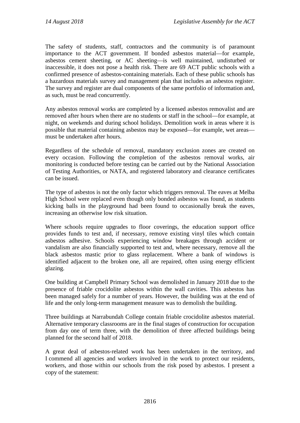The safety of students, staff, contractors and the community is of paramount importance to the ACT government. If bonded asbestos material—for example, asbestos cement sheeting, or AC sheeting—is well maintained, undisturbed or inaccessible, it does not pose a health risk. There are 69 ACT public schools with a confirmed presence of asbestos-containing materials. Each of these public schools has a hazardous materials survey and management plan that includes an asbestos register. The survey and register are dual components of the same portfolio of information and, as such, must be read concurrently.

Any asbestos removal works are completed by a licensed asbestos removalist and are removed after hours when there are no students or staff in the school—for example, at night, on weekends and during school holidays. Demolition work in areas where it is possible that material containing asbestos may be exposed—for example, wet areas must be undertaken after hours.

Regardless of the schedule of removal, mandatory exclusion zones are created on every occasion. Following the completion of the asbestos removal works, air monitoring is conducted before testing can be carried out by the National Association of Testing Authorities, or NATA, and registered laboratory and clearance certificates can be issued.

The type of asbestos is not the only factor which triggers removal. The eaves at Melba High School were replaced even though only bonded asbestos was found, as students kicking balls in the playground had been found to occasionally break the eaves, increasing an otherwise low risk situation.

Where schools require upgrades to floor coverings, the education support office provides funds to test and, if necessary, remove existing vinyl tiles which contain asbestos adhesive. Schools experiencing window breakages through accident or vandalism are also financially supported to test and, where necessary, remove all the black asbestos mastic prior to glass replacement. Where a bank of windows is identified adjacent to the broken one, all are repaired, often using energy efficient glazing.

One building at Campbell Primary School was demolished in January 2018 due to the presence of friable crocidolite asbestos within the wall cavities. This asbestos has been managed safely for a number of years. However, the building was at the end of life and the only long-term management measure was to demolish the building.

Three buildings at Narrabundah College contain friable crocidolite asbestos material. Alternative temporary classrooms are in the final stages of construction for occupation from day one of term three, with the demolition of three affected buildings being planned for the second half of 2018.

A great deal of asbestos-related work has been undertaken in the territory, and I commend all agencies and workers involved in the work to protect our residents, workers, and those within our schools from the risk posed by asbestos. I present a copy of the statement: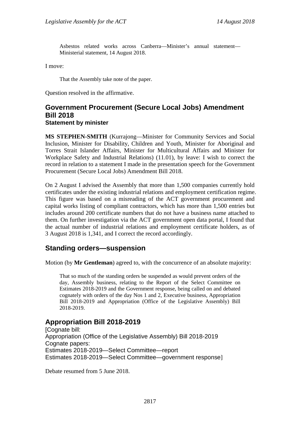Asbestos related works across Canberra—Minister's annual statement— Ministerial statement, 14 August 2018.

I move:

That the Assembly take note of the paper.

Question resolved in the affirmative.

#### <span id="page-21-0"></span>**Government Procurement (Secure Local Jobs) Amendment Bill 2018 Statement by minister**

**MS STEPHEN-SMITH** (Kurrajong—Minister for Community Services and Social Inclusion, Minister for Disability, Children and Youth, Minister for Aboriginal and Torres Strait Islander Affairs, Minister for Multicultural Affairs and Minister for Workplace Safety and Industrial Relations) (11.01), by leave: I wish to correct the record in relation to a statement I made in the presentation speech for the Government Procurement (Secure Local Jobs) Amendment Bill 2018.

On 2 August I advised the Assembly that more than 1,500 companies currently hold certificates under the existing industrial relations and employment certification regime. This figure was based on a misreading of the ACT government procurement and capital works listing of compliant contractors, which has more than 1,500 entries but includes around 200 certificate numbers that do not have a business name attached to them. On further investigation via the ACT government open data portal, I found that the actual number of industrial relations and employment certificate holders, as of 3 August 2018 is 1,341, and I correct the record accordingly.

#### <span id="page-21-1"></span>**Standing orders—suspension**

Motion (by **Mr Gentleman**) agreed to, with the concurrence of an absolute majority:

That so much of the standing orders be suspended as would prevent orders of the day, Assembly business, relating to the Report of the Select Committee on Estimates 2018-2019 and the Government response, being called on and debated cognately with orders of the day Nos 1 and 2, Executive business, Appropriation Bill 2018-2019 and Appropriation (Office of the Legislative Assembly) Bill 2018-2019.

## <span id="page-21-2"></span>**Appropriation Bill 2018-2019**

[Cognate bill: Appropriation (Office of the Legislative Assembly) Bill 2018-2019 Cognate papers: Estimates 2018-2019—Select Committee—report Estimates 2018-2019—Select Committee—government response]

Debate resumed from 5 June 2018.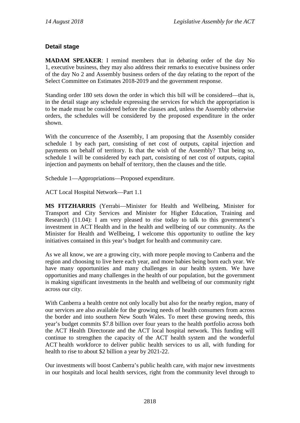#### **Detail stage**

**MADAM SPEAKER**: I remind members that in debating order of the day No 1, executive business, they may also address their remarks to executive business order of the day No 2 and Assembly business orders of the day relating to the report of the Select Committee on Estimates 2018-2019 and the government response.

Standing order 180 sets down the order in which this bill will be considered—that is, in the detail stage any schedule expressing the services for which the appropriation is to be made must be considered before the clauses and, unless the Assembly otherwise orders, the schedules will be considered by the proposed expenditure in the order shown.

With the concurrence of the Assembly, I am proposing that the Assembly consider schedule 1 by each part, consisting of net cost of outputs, capital injection and payments on behalf of territory. Is that the wish of the Assembly? That being so, schedule 1 will be considered by each part, consisting of net cost of outputs, capital injection and payments on behalf of territory, then the clauses and the title.

Schedule 1—Appropriations—Proposed expenditure.

ACT Local Hospital Network—Part 1.1

**MS FITZHARRIS** (Yerrabi—Minister for Health and Wellbeing, Minister for Transport and City Services and Minister for Higher Education, Training and Research) (11.04): I am very pleased to rise today to talk to this government's investment in ACT Health and in the health and wellbeing of our community. As the Minister for Health and Wellbeing, I welcome this opportunity to outline the key initiatives contained in this year's budget for health and community care.

As we all know, we are a growing city, with more people moving to Canberra and the region and choosing to live here each year, and more babies being born each year. We have many opportunities and many challenges in our health system. We have opportunities and many challenges in the health of our population, but the government is making significant investments in the health and wellbeing of our community right across our city.

With Canberra a health centre not only locally but also for the nearby region, many of our services are also available for the growing needs of health consumers from across the border and into southern New South Wales. To meet these growing needs, this year's budget commits \$7.8 billion over four years to the health portfolio across both the ACT Health Directorate and the ACT local hospital network. This funding will continue to strengthen the capacity of the ACT health system and the wonderful ACT health workforce to deliver public health services to us all, with funding for health to rise to about \$2 billion a year by 2021-22.

Our investments will boost Canberra's public health care, with major new investments in our hospitals and local health services, right from the community level through to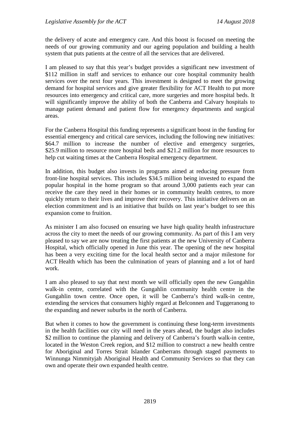the delivery of acute and emergency care. And this boost is focused on meeting the needs of our growing community and our ageing population and building a health system that puts patients at the centre of all the services that are delivered.

I am pleased to say that this year's budget provides a significant new investment of \$112 million in staff and services to enhance our core hospital community health services over the next four years. This investment is designed to meet the growing demand for hospital services and give greater flexibility for ACT Health to put more resources into emergency and critical care, more surgeries and more hospital beds. It will significantly improve the ability of both the Canberra and Calvary hospitals to manage patient demand and patient flow for emergency departments and surgical areas.

For the Canberra Hospital this funding represents a significant boost in the funding for essential emergency and critical care services, including the following new initiatives: \$64.7 million to increase the number of elective and emergency surgeries, \$25.9 million to resource more hospital beds and \$21.2 million for more resources to help cut waiting times at the Canberra Hospital emergency department.

In addition, this budget also invests in programs aimed at reducing pressure from front-line hospital services. This includes \$34.5 million being invested to expand the popular hospital in the home program so that around 3,000 patients each year can receive the care they need in their homes or in community health centres, to more quickly return to their lives and improve their recovery. This initiative delivers on an election commitment and is an initiative that builds on last year's budget to see this expansion come to fruition.

As minister I am also focused on ensuring we have high quality health infrastructure across the city to meet the needs of our growing community. As part of this I am very pleased to say we are now treating the first patients at the new University of Canberra Hospital, which officially opened in June this year. The opening of the new hospital has been a very exciting time for the local health sector and a major milestone for ACT Health which has been the culmination of years of planning and a lot of hard work.

I am also pleased to say that next month we will officially open the new Gungahlin walk-in centre, correlated with the Gungahlin community health centre in the Gungahlin town centre. Once open, it will be Canberra's third walk-in centre, extending the services that consumers highly regard at Belconnen and Tuggeranong to the expanding and newer suburbs in the north of Canberra.

But when it comes to how the government is continuing these long-term investments in the health facilities our city will need in the years ahead, the budget also includes \$2 million to continue the planning and delivery of Canberra's fourth walk-in centre, located in the Weston Creek region, and \$12 million to construct a new health centre for Aboriginal and Torres Strait Islander Canberrans through staged payments to Winnunga Nimmityjah Aboriginal Health and Community Services so that they can own and operate their own expanded health centre.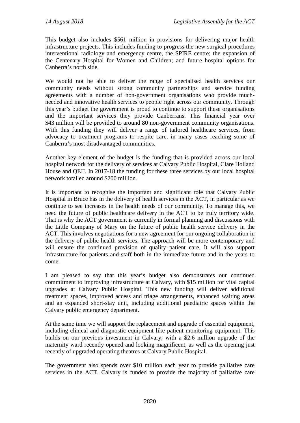This budget also includes \$561 million in provisions for delivering major health infrastructure projects. This includes funding to progress the new surgical procedures interventional radiology and emergency centre, the SPIRE centre; the expansion of the Centenary Hospital for Women and Children; and future hospital options for Canberra's north side.

We would not be able to deliver the range of specialised health services our community needs without strong community partnerships and service funding agreements with a number of non-government organisations who provide muchneeded and innovative health services to people right across our community. Through this year's budget the government is proud to continue to support these organisations and the important services they provide Canberrans. This financial year over \$43 million will be provided to around 80 non-government community organisations. With this funding they will deliver a range of tailored healthcare services, from advocacy to treatment programs to respite care, in many cases reaching some of Canberra's most disadvantaged communities.

Another key element of the budget is the funding that is provided across our local hospital network for the delivery of services at Calvary Public Hospital, Clare Holland House and QEII. In 2017-18 the funding for these three services by our local hospital network totalled around \$200 million.

It is important to recognise the important and significant role that Calvary Public Hospital in Bruce has in the delivery of health services in the ACT, in particular as we continue to see increases in the health needs of our community. To manage this, we need the future of public healthcare delivery in the ACT to be truly territory wide. That is why the ACT government is currently in formal planning and discussions with the Little Company of Mary on the future of public health service delivery in the ACT. This involves negotiations for a new agreement for our ongoing collaboration in the delivery of public health services. The approach will be more contemporary and will ensure the continued provision of quality patient care. It will also support infrastructure for patients and staff both in the immediate future and in the years to come.

I am pleased to say that this year's budget also demonstrates our continued commitment to improving infrastructure at Calvary, with \$15 million for vital capital upgrades at Calvary Public Hospital. This new funding will deliver additional treatment spaces, improved access and triage arrangements, enhanced waiting areas and an expanded short-stay unit, including additional paediatric spaces within the Calvary public emergency department.

At the same time we will support the replacement and upgrade of essential equipment, including clinical and diagnostic equipment like patient monitoring equipment. This builds on our previous investment in Calvary, with a \$2.6 million upgrade of the maternity ward recently opened and looking magnificent, as well as the opening just recently of upgraded operating theatres at Calvary Public Hospital.

The government also spends over \$10 million each year to provide palliative care services in the ACT. Calvary is funded to provide the majority of palliative care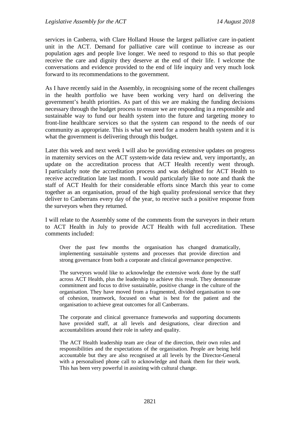services in Canberra, with Clare Holland House the largest palliative care in-patient unit in the ACT. Demand for palliative care will continue to increase as our population ages and people live longer. We need to respond to this so that people receive the care and dignity they deserve at the end of their life. I welcome the conversations and evidence provided to the end of life inquiry and very much look forward to its recommendations to the government.

As I have recently said in the Assembly, in recognising some of the recent challenges in the health portfolio we have been working very hard on delivering the government's health priorities. As part of this we are making the funding decisions necessary through the budget process to ensure we are responding in a responsible and sustainable way to fund our health system into the future and targeting money to front-line healthcare services so that the system can respond to the needs of our community as appropriate. This is what we need for a modern health system and it is what the government is delivering through this budget.

Later this week and next week I will also be providing extensive updates on progress in maternity services on the ACT system-wide data review and, very importantly, an update on the accreditation process that ACT Health recently went through. I particularly note the accreditation process and was delighted for ACT Health to receive accreditation late last month. I would particularly like to note and thank the staff of ACT Health for their considerable efforts since March this year to come together as an organisation, proud of the high quality professional service that they deliver to Canberrans every day of the year, to receive such a positive response from the surveyors when they returned.

I will relate to the Assembly some of the comments from the surveyors in their return to ACT Health in July to provide ACT Health with full accreditation. These comments included:

Over the past few months the organisation has changed dramatically, implementing sustainable systems and processes that provide direction and strong governance from both a corporate and clinical governance perspective.

The surveyors would like to acknowledge the extensive work done by the staff across ACT Health, plus the leadership to achieve this result. They demonstrate commitment and focus to drive sustainable, positive change in the culture of the organisation. They have moved from a fragmented, divided organisation to one of cohesion, teamwork, focused on what is best for the patient and the organisation to achieve great outcomes for all Canberrans.

The corporate and clinical governance frameworks and supporting documents have provided staff, at all levels and designations, clear direction and accountabilities around their role in safety and quality.

The ACT Health leadership team are clear of the direction, their own roles and responsibilities and the expectations of the organisation. People are being held accountable but they are also recognised at all levels by the Director-General with a personalised phone call to acknowledge and thank them for their work. This has been very powerful in assisting with cultural change.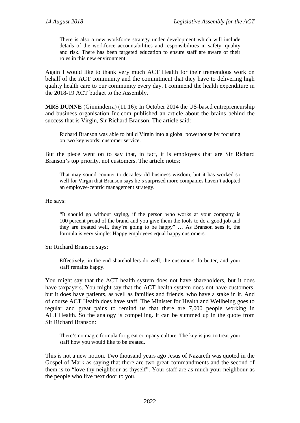There is also a new workforce strategy under development which will include details of the workforce accountabilities and responsibilities in safety, quality and risk. There has been targeted education to ensure staff are aware of their roles in this new environment.

Again I would like to thank very much ACT Health for their tremendous work on behalf of the ACT community and the commitment that they have to delivering high quality health care to our community every day. I commend the health expenditure in the 2018-19 ACT budget to the Assembly.

**MRS DUNNE** (Ginninderra) (11.16): In October 2014 the US-based entrepreneurship and business organisation Inc.com published an article about the brains behind the success that is Virgin, Sir Richard Branson. The article said:

Richard Branson was able to build Virgin into a global powerhouse by focusing on two key words: customer service.

But the piece went on to say that, in fact, it is employees that are Sir Richard Branson's top priority, not customers. The article notes:

That may sound counter to decades-old business wisdom, but it has worked so well for Virgin that Branson says he's surprised more companies haven't adopted an employee-centric management strategy.

He says:

"It should go without saying, if the person who works at your company is 100 percent proud of the brand and you give them the tools to do a good job and they are treated well, they're going to be happy" … As Branson sees it, the formula is very simple: Happy employees equal happy customers.

Sir Richard Branson says:

Effectively, in the end shareholders do well, the customers do better, and your staff remains happy.

You might say that the ACT health system does not have shareholders, but it does have taxpayers. You might say that the ACT health system does not have customers, but it does have patients, as well as families and friends, who have a stake in it. And of course ACT Health does have staff. The Minister for Health and Wellbeing goes to regular and great pains to remind us that there are 7,000 people working in ACT Health. So the analogy is compelling. It can be summed up in the quote from Sir Richard Branson:

There's no magic formula for great company culture. The key is just to treat your staff how you would like to be treated.

This is not a new notion. Two thousand years ago Jesus of Nazareth was quoted in the Gospel of Mark as saying that there are two great commandments and the second of them is to "love thy neighbour as thyself". Your staff are as much your neighbour as the people who live next door to you.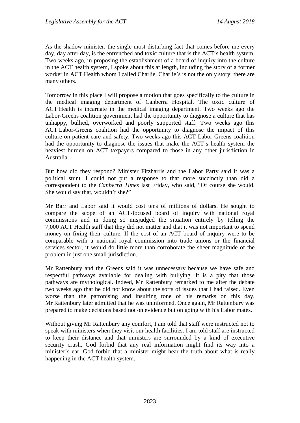As the shadow minister, the single most disturbing fact that comes before me every day, day after day, is the entrenched and toxic culture that is the ACT's health system. Two weeks ago, in proposing the establishment of a board of inquiry into the culture in the ACT health system, I spoke about this at length, including the story of a former worker in ACT Health whom I called Charlie. Charlie's is not the only story; there are many others.

Tomorrow in this place I will propose a motion that goes specifically to the culture in the medical imaging department of Canberra Hospital. The toxic culture of ACT Health is incarnate in the medical imaging department. Two weeks ago the Labor-Greens coalition government had the opportunity to diagnose a culture that has unhappy, bullied, overworked and poorly supported staff. Two weeks ago this ACT Labor-Greens coalition had the opportunity to diagnose the impact of this culture on patient care and safety. Two weeks ago this ACT Labor-Greens coalition had the opportunity to diagnose the issues that make the ACT's health system the heaviest burden on ACT taxpayers compared to those in any other jurisdiction in Australia.

But how did they respond? Minister Fitzharris and the Labor Party said it was a political stunt. I could not put a response to that more succinctly than did a correspondent to the *Canberra Times* last Friday, who said, "Of course she would. She would say that, wouldn't she?"

Mr Barr and Labor said it would cost tens of millions of dollars. He sought to compare the scope of an ACT-focused board of inquiry with national royal commissions and in doing so misjudged the situation entirely by telling the 7,000 ACT Health staff that they did not matter and that it was not important to spend money on fixing their culture. If the cost of an ACT board of inquiry were to be comparable with a national royal commission into trade unions or the financial services sector, it would do little more than corroborate the sheer magnitude of the problem in just one small jurisdiction.

Mr Rattenbury and the Greens said it was unnecessary because we have safe and respectful pathways available for dealing with bullying. It is a pity that those pathways are mythological. Indeed, Mr Rattenbury remarked to me after the debate two weeks ago that he did not know about the sorts of issues that I had raised. Even worse than the patronising and insulting tone of his remarks on this day, Mr Rattenbury later admitted that he was uninformed. Once again, Mr Rattenbury was prepared to make decisions based not on evidence but on going with his Labor mates.

Without giving Mr Rattenbury any comfort, I am told that staff were instructed not to speak with ministers when they visit our health facilities. I am told staff are instructed to keep their distance and that ministers are surrounded by a kind of executive security crush. God forbid that any real information might find its way into a minister's ear. God forbid that a minister might hear the truth about what is really happening in the ACT health system.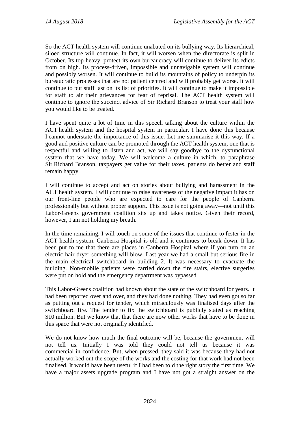So the ACT health system will continue unabated on its bullying way. Its hierarchical, siloed structure will continue. In fact, it will worsen when the directorate is split in October. Its top-heavy, protect-its-own bureaucracy will continue to deliver its edicts from on high. Its process-driven, impossible and unnavigable system will continue and possibly worsen. It will continue to build its mountains of policy to underpin its bureaucratic processes that are not patient centred and will probably get worse. It will continue to put staff last on its list of priorities. It will continue to make it impossible for staff to air their grievances for fear of reprisal. The ACT health system will continue to ignore the succinct advice of Sir Richard Branson to treat your staff how you would like to be treated.

I have spent quite a lot of time in this speech talking about the culture within the ACT health system and the hospital system in particular. I have done this because I cannot understate the importance of this issue. Let me summarise it this way. If a good and positive culture can be promoted through the ACT health system, one that is respectful and willing to listen and act, we will say goodbye to the dysfunctional system that we have today. We will welcome a culture in which, to paraphrase Sir Richard Branson, taxpayers get value for their taxes, patients do better and staff remain happy.

I will continue to accept and act on stories about bullying and harassment in the ACT health system. I will continue to raise awareness of the negative impact it has on our front-line people who are expected to care for the people of Canberra professionally but without proper support. This issue is not going away—not until this Labor-Greens government coalition sits up and takes notice. Given their record, however, I am not holding my breath.

In the time remaining, I will touch on some of the issues that continue to fester in the ACT health system. Canberra Hospital is old and it continues to break down. It has been put to me that there are places in Canberra Hospital where if you turn on an electric hair dryer something will blow. Last year we had a small but serious fire in the main electrical switchboard in building 2. It was necessary to evacuate the building. Non-mobile patients were carried down the fire stairs, elective surgeries were put on hold and the emergency department was bypassed.

This Labor-Greens coalition had known about the state of the switchboard for years. It had been reported over and over, and they had done nothing. They had even got so far as putting out a request for tender, which miraculously was finalised days after the switchboard fire. The tender to fix the switchboard is publicly stated as reaching \$10 million. But we know that that there are now other works that have to be done in this space that were not originally identified.

We do not know how much the final outcome will be, because the government will not tell us. Initially I was told they could not tell us because it was commercial-in-confidence. But, when pressed, they said it was because they had not actually worked out the scope of the works and the costing for that work had not been finalised. It would have been useful if I had been told the right story the first time. We have a major assets upgrade program and I have not got a straight answer on the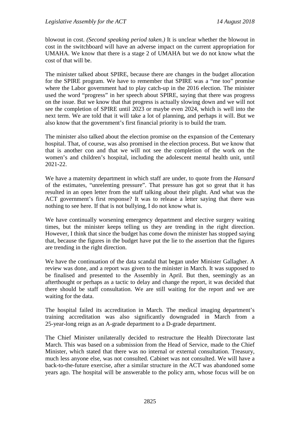blowout in cost. *(Second speaking period taken.)* It is unclear whether the blowout in cost in the switchboard will have an adverse impact on the current appropriation for UMAHA. We know that there is a stage 2 of UMAHA but we do not know what the cost of that will be.

The minister talked about SPIRE, because there are changes in the budget allocation for the SPIRE program. We have to remember that SPIRE was a "me too" promise where the Labor government had to play catch-up in the 2016 election. The minister used the word "progress" in her speech about SPIRE, saying that there was progress on the issue. But we know that that progress is actually slowing down and we will not see the completion of SPIRE until 2023 or maybe even 2024, which is well into the next term. We are told that it will take a lot of planning, and perhaps it will. But we also know that the government's first financial priority is to build the tram.

The minister also talked about the election promise on the expansion of the Centenary hospital. That, of course, was also promised in the election process. But we know that that is another con and that we will not see the completion of the work on the women's and children's hospital, including the adolescent mental health unit, until 2021-22.

We have a maternity department in which staff are under, to quote from the *Hansard* of the estimates, "unrelenting pressure". That pressure has got so great that it has resulted in an open letter from the staff talking about their plight. And what was the ACT government's first response? It was to release a letter saying that there was nothing to see here. If that is not bullying, I do not know what is.

We have continually worsening emergency department and elective surgery waiting times, but the minister keeps telling us they are trending in the right direction. However, I think that since the budget has come down the minister has stopped saying that, because the figures in the budget have put the lie to the assertion that the figures are trending in the right direction.

We have the continuation of the data scandal that began under Minister Gallagher. A review was done, and a report was given to the minister in March. It was supposed to be finalised and presented to the Assembly in April. But then, seemingly as an afterthought or perhaps as a tactic to delay and change the report, it was decided that there should be staff consultation. We are still waiting for the report and we are waiting for the data.

The hospital failed its accreditation in March. The medical imaging department's training accreditation was also significantly downgraded in March from a 25-year-long reign as an A-grade department to a D-grade department.

The Chief Minister unilaterally decided to restructure the Health Directorate last March. This was based on a submission from the Head of Service, made to the Chief Minister, which stated that there was no internal or external consultation. Treasury, much less anyone else, was not consulted. Cabinet was not consulted. We will have a back-to-the-future exercise, after a similar structure in the ACT was abandoned some years ago. The hospital will be answerable to the policy arm, whose focus will be on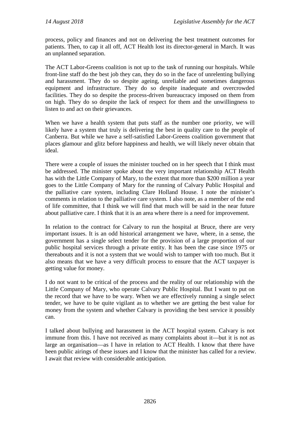process, policy and finances and not on delivering the best treatment outcomes for patients. Then, to cap it all off, ACT Health lost its director-general in March. It was an unplanned separation.

The ACT Labor-Greens coalition is not up to the task of running our hospitals. While front-line staff do the best job they can, they do so in the face of unrelenting bullying and harassment. They do so despite ageing, unreliable and sometimes dangerous equipment and infrastructure. They do so despite inadequate and overcrowded facilities. They do so despite the process-driven bureaucracy imposed on them from on high. They do so despite the lack of respect for them and the unwillingness to listen to and act on their grievances.

When we have a health system that puts staff as the number one priority, we will likely have a system that truly is delivering the best in quality care to the people of Canberra. But while we have a self-satisfied Labor-Greens coalition government that places glamour and glitz before happiness and health, we will likely never obtain that ideal.

There were a couple of issues the minister touched on in her speech that I think must be addressed. The minister spoke about the very important relationship ACT Health has with the Little Company of Mary, to the extent that more than \$200 million a year goes to the Little Company of Mary for the running of Calvary Public Hospital and the palliative care system, including Clare Holland House. I note the minister's comments in relation to the palliative care system. I also note, as a member of the end of life committee, that I think we will find that much will be said in the near future about palliative care. I think that it is an area where there is a need for improvement.

In relation to the contract for Calvary to run the hospital at Bruce, there are very important issues. It is an odd historical arrangement we have, where, in a sense, the government has a single select tender for the provision of a large proportion of our public hospital services through a private entity. It has been the case since 1975 or thereabouts and it is not a system that we would wish to tamper with too much. But it also means that we have a very difficult process to ensure that the ACT taxpayer is getting value for money.

I do not want to be critical of the process and the reality of our relationship with the Little Company of Mary, who operate Calvary Public Hospital. But I want to put on the record that we have to be wary. When we are effectively running a single select tender, we have to be quite vigilant as to whether we are getting the best value for money from the system and whether Calvary is providing the best service it possibly can.

I talked about bullying and harassment in the ACT hospital system. Calvary is not immune from this. I have not received as many complaints about it—but it is not as large an organisation—as I have in relation to ACT Health. I know that there have been public airings of these issues and I know that the minister has called for a review. I await that review with considerable anticipation.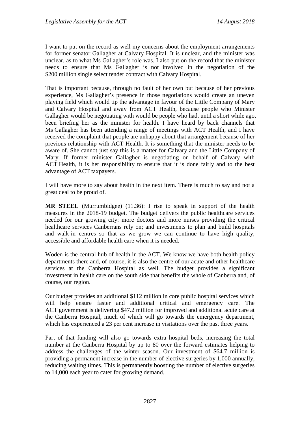I want to put on the record as well my concerns about the employment arrangements for former senator Gallagher at Calvary Hospital. It is unclear, and the minister was unclear, as to what Ms Gallagher's role was. I also put on the record that the minister needs to ensure that Ms Gallagher is not involved in the negotiation of the \$200 million single select tender contract with Calvary Hospital.

That is important because, through no fault of her own but because of her previous experience, Ms Gallagher's presence in those negotiations would create an uneven playing field which would tip the advantage in favour of the Little Company of Mary and Calvary Hospital and away from ACT Health, because people who Minister Gallagher would be negotiating with would be people who had, until a short while ago, been briefing her as the minister for health. I have heard by back channels that Ms Gallagher has been attending a range of meetings with ACT Health, and I have received the complaint that people are unhappy about that arrangement because of her previous relationship with ACT Health. It is something that the minister needs to be aware of. She cannot just say this is a matter for Calvary and the Little Company of Mary. If former minister Gallagher is negotiating on behalf of Calvary with ACT Health, it is her responsibility to ensure that it is done fairly and to the best advantage of ACT taxpayers.

I will have more to say about health in the next item. There is much to say and not a great deal to be proud of.

**MR STEEL** (Murrumbidgee) (11.36): I rise to speak in support of the health measures in the 2018-19 budget. The budget delivers the public healthcare services needed for our growing city: more doctors and more nurses providing the critical healthcare services Canberrans rely on; and investments to plan and build hospitals and walk-in centres so that as we grow we can continue to have high quality, accessible and affordable health care when it is needed.

Woden is the central hub of health in the ACT. We know we have both health policy departments there and, of course, it is also the centre of our acute and other healthcare services at the Canberra Hospital as well. The budget provides a significant investment in health care on the south side that benefits the whole of Canberra and, of course, our region.

Our budget provides an additional \$112 million in core public hospital services which will help ensure faster and additional critical and emergency care. The ACT government is delivering \$47.2 million for improved and additional acute care at the Canberra Hospital, much of which will go towards the emergency department, which has experienced a 23 per cent increase in visitations over the past three years.

Part of that funding will also go towards extra hospital beds, increasing the total number at the Canberra Hospital by up to 80 over the forward estimates helping to address the challenges of the winter season. Our investment of \$64.7 million is providing a permanent increase in the number of elective surgeries by 1,000 annually, reducing waiting times. This is permanently boosting the number of elective surgeries to 14,000 each year to cater for growing demand.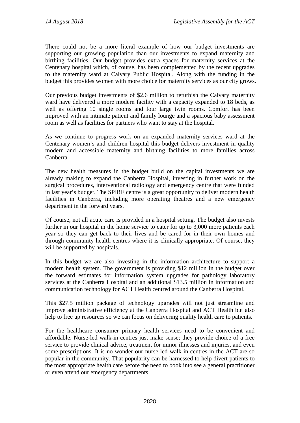There could not be a more literal example of how our budget investments are supporting our growing population than our investments to expand maternity and birthing facilities. Our budget provides extra spaces for maternity services at the Centenary hospital which, of course, has been complemented by the recent upgrades to the maternity ward at Calvary Public Hospital. Along with the funding in the budget this provides women with more choice for maternity services as our city grows.

Our previous budget investments of \$2.6 million to refurbish the Calvary maternity ward have delivered a more modern facility with a capacity expanded to 18 beds, as well as offering 10 single rooms and four large twin rooms. Comfort has been improved with an intimate patient and family lounge and a spacious baby assessment room as well as facilities for partners who want to stay at the hospital.

As we continue to progress work on an expanded maternity services ward at the Centenary women's and children hospital this budget delivers investment in quality modern and accessible maternity and birthing facilities to more families across Canberra.

The new health measures in the budget build on the capital investments we are already making to expand the Canberra Hospital, investing in further work on the surgical procedures, interventional radiology and emergency centre that were funded in last year's budget. The SPIRE centre is a great opportunity to deliver modern health facilities in Canberra, including more operating theatres and a new emergency department in the forward years.

Of course, not all acute care is provided in a hospital setting. The budget also invests further in our hospital in the home service to cater for up to 3,000 more patients each year so they can get back to their lives and be cared for in their own homes and through community health centres where it is clinically appropriate. Of course, they will be supported by hospitals.

In this budget we are also investing in the information architecture to support a modern health system. The government is providing \$12 million in the budget over the forward estimates for information system upgrades for pathology laboratory services at the Canberra Hospital and an additional \$13.5 million in information and communication technology for ACT Health centred around the Canberra Hospital.

This \$27.5 million package of technology upgrades will not just streamline and improve administrative efficiency at the Canberra Hospital and ACT Health but also help to free up resources so we can focus on delivering quality health care to patients.

For the healthcare consumer primary health services need to be convenient and affordable. Nurse-led walk-in centres just make sense; they provide choice of a free service to provide clinical advice, treatment for minor illnesses and injuries, and even some prescriptions. It is no wonder our nurse-led walk-in centres in the ACT are so popular in the community. That popularity can be harnessed to help divert patients to the most appropriate health care before the need to book into see a general practitioner or even attend our emergency departments.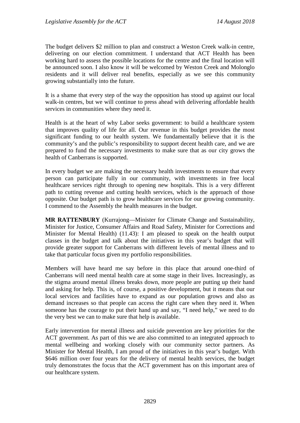The budget delivers \$2 million to plan and construct a Weston Creek walk-in centre, delivering on our election commitment. I understand that ACT Health has been working hard to assess the possible locations for the centre and the final location will be announced soon. I also know it will be welcomed by Weston Creek and Molonglo residents and it will deliver real benefits, especially as we see this community growing substantially into the future.

It is a shame that every step of the way the opposition has stood up against our local walk-in centres, but we will continue to press ahead with delivering affordable health services in communities where they need it.

Health is at the heart of why Labor seeks government: to build a healthcare system that improves quality of life for all. Our revenue in this budget provides the most significant funding to our health system. We fundamentally believe that it is the community's and the public's responsibility to support decent health care, and we are prepared to fund the necessary investments to make sure that as our city grows the health of Canberrans is supported.

In every budget we are making the necessary health investments to ensure that every person can participate fully in our community, with investments in free local healthcare services right through to opening new hospitals. This is a very different path to cutting revenue and cutting health services, which is the approach of those opposite. Our budget path is to grow healthcare services for our growing community. I commend to the Assembly the health measures in the budget.

**MR RATTENBURY** (Kurrajong—Minister for Climate Change and Sustainability, Minister for Justice, Consumer Affairs and Road Safety, Minister for Corrections and Minister for Mental Health) (11.43): I am pleased to speak on the health output classes in the budget and talk about the initiatives in this year's budget that will provide greater support for Canberrans with different levels of mental illness and to take that particular focus given my portfolio responsibilities.

Members will have heard me say before in this place that around one-third of Canberrans will need mental health care at some stage in their lives. Increasingly, as the stigma around mental illness breaks down, more people are putting up their hand and asking for help. This is, of course, a positive development, but it means that our local services and facilities have to expand as our population grows and also as demand increases so that people can access the right care when they need it. When someone has the courage to put their hand up and say, "I need help," we need to do the very best we can to make sure that help is available.

Early intervention for mental illness and suicide prevention are key priorities for the ACT government. As part of this we are also committed to an integrated approach to mental wellbeing and working closely with our community sector partners. As Minister for Mental Health, I am proud of the initiatives in this year's budget. With \$646 million over four years for the delivery of mental health services, the budget truly demonstrates the focus that the ACT government has on this important area of our healthcare system.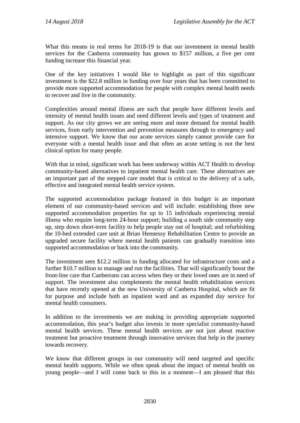What this means in real terms for 2018-19 is that our investment in mental health services for the Canberra community has grown to \$157 million, a five per cent funding increase this financial year.

One of the key initiatives I would like to highlight as part of this significant investment is the \$22.8 million in funding over four years that has been committed to provide more supported accommodation for people with complex mental health needs to recover and live in the community.

Complexities around mental illness are such that people have different levels and intensity of mental health issues and need different levels and types of treatment and support. As our city grows we are seeing more and more demand for mental health services, from early intervention and prevention measures through to emergency and intensive support. We know that our acute services simply cannot provide care for everyone with a mental health issue and that often an acute setting is not the best clinical option for many people.

With that in mind, significant work has been underway within ACT Health to develop community-based alternatives to inpatient mental health care. These alternatives are an important part of the stepped care model that is critical to the delivery of a safe, effective and integrated mental health service system.

The supported accommodation package featured in this budget is an important element of our community-based services and will include: establishing three new supported accommodation properties for up to 15 individuals experiencing mental illness who require long-term 24-hour support; building a south side community step up, step down short-term facility to help people stay out of hospital; and refurbishing the 10-bed extended care unit at Brian Hennessy Rehabilitation Centre to provide an upgraded secure facility where mental health patients can gradually transition into supported accommodation or back into the community.

The investment sees \$12.2 million in funding allocated for infrastructure costs and a further \$10.7 million to manage and run the facilities. That will significantly boost the front-line care that Canberrans can access when they or their loved ones are in need of support. The investment also complements the mental health rehabilitation services that have recently opened at the new University of Canberra Hospital, which are fit for purpose and include both an inpatient ward and an expanded day service for mental health consumers.

In addition to the investments we are making in providing appropriate supported accommodation, this year's budget also invests in more specialist community-based mental health services. These mental health services are not just about reactive treatment but proactive treatment through innovative services that help in the journey towards recovery.

We know that different groups in our community will need targeted and specific mental health supports. While we often speak about the impact of mental health on young people—and I will come back to this in a moment—I am pleased that this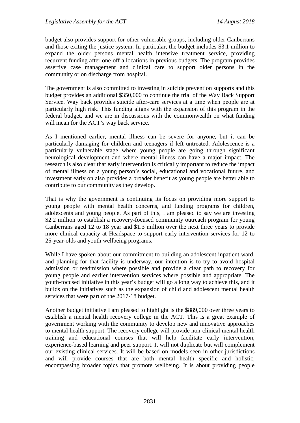budget also provides support for other vulnerable groups, including older Canberrans and those exiting the justice system. In particular, the budget includes \$3.1 million to expand the older persons mental health intensive treatment service, providing recurrent funding after one-off allocations in previous budgets. The program provides assertive case management and clinical care to support older persons in the community or on discharge from hospital.

The government is also committed to investing in suicide prevention supports and this budget provides an additional \$350,000 to continue the trial of the Way Back Support Service. Way back provides suicide after-care services at a time when people are at particularly high risk. This funding aligns with the expansion of this program in the federal budget, and we are in discussions with the commonwealth on what funding will mean for the ACT's way back service.

As I mentioned earlier, mental illness can be severe for anyone, but it can be particularly damaging for children and teenagers if left untreated. Adolescence is a particularly vulnerable stage where young people are going through significant neurological development and where mental illness can have a major impact. The research is also clear that early intervention is critically important to reduce the impact of mental illness on a young person's social, educational and vocational future, and investment early on also provides a broader benefit as young people are better able to contribute to our community as they develop.

That is why the government is continuing its focus on providing more support to young people with mental health concerns, and funding programs for children, adolescents and young people. As part of this, I am pleased to say we are investing \$2.2 million to establish a recovery-focused community outreach program for young Canberrans aged 12 to 18 year and \$1.3 million over the next three years to provide more clinical capacity at Headspace to support early intervention services for 12 to 25-year-olds and youth wellbeing programs.

While I have spoken about our commitment to building an adolescent inpatient ward, and planning for that facility is underway, our intention is to try to avoid hospital admission or readmission where possible and provide a clear path to recovery for young people and earlier intervention services where possible and appropriate. The youth-focused initiative in this year's budget will go a long way to achieve this, and it builds on the initiatives such as the expansion of child and adolescent mental health services that were part of the 2017-18 budget.

Another budget initiative I am pleased to highlight is the \$889,000 over three years to establish a mental health recovery college in the ACT. This is a great example of government working with the community to develop new and innovative approaches to mental health support. The recovery college will provide non-clinical mental health training and educational courses that will help facilitate early intervention, experience-based learning and peer support. It will not duplicate but will complement our existing clinical services. It will be based on models seen in other jurisdictions and will provide courses that are both mental health specific and holistic, encompassing broader topics that promote wellbeing. It is about providing people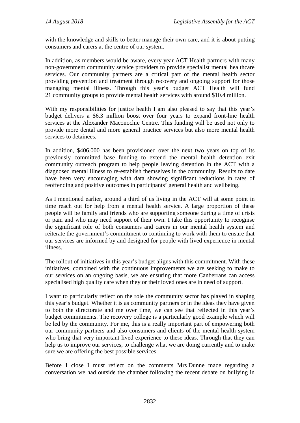with the knowledge and skills to better manage their own care, and it is about putting consumers and carers at the centre of our system.

In addition, as members would be aware, every year ACT Health partners with many non-government community service providers to provide specialist mental healthcare services. Our community partners are a critical part of the mental health sector providing prevention and treatment through recovery and ongoing support for those managing mental illness. Through this year's budget ACT Health will fund 21 community groups to provide mental health services with around \$10.4 million.

With my responsibilities for justice health I am also pleased to say that this year's budget delivers a \$6.3 million boost over four years to expand front-line health services at the Alexander Maconochie Centre. This funding will be used not only to provide more dental and more general practice services but also more mental health services to detainees.

In addition, \$406,000 has been provisioned over the next two years on top of its previously committed base funding to extend the mental health detention exit community outreach program to help people leaving detention in the ACT with a diagnosed mental illness to re-establish themselves in the community. Results to date have been very encouraging with data showing significant reductions in rates of reoffending and positive outcomes in participants' general health and wellbeing.

As I mentioned earlier, around a third of us living in the ACT will at some point in time reach out for help from a mental health service. A large proportion of these people will be family and friends who are supporting someone during a time of crisis or pain and who may need support of their own. I take this opportunity to recognise the significant role of both consumers and carers in our mental health system and reiterate the government's commitment to continuing to work with them to ensure that our services are informed by and designed for people with lived experience in mental illness.

The rollout of initiatives in this year's budget aligns with this commitment. With these initiatives, combined with the continuous improvements we are seeking to make to our services on an ongoing basis, we are ensuring that more Canberrans can access specialised high quality care when they or their loved ones are in need of support.

I want to particularly reflect on the role the community sector has played in shaping this year's budget. Whether it is as community partners or in the ideas they have given to both the directorate and me over time, we can see that reflected in this year's budget commitments. The recovery college is a particularly good example which will be led by the community. For me, this is a really important part of empowering both our community partners and also consumers and clients of the mental health system who bring that very important lived experience to these ideas. Through that they can help us to improve our services, to challenge what we are doing currently and to make sure we are offering the best possible services.

Before I close I must reflect on the comments Mrs Dunne made regarding a conversation we had outside the chamber following the recent debate on bullying in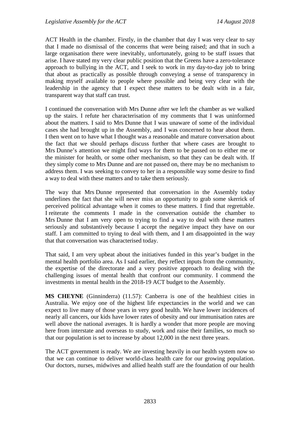ACT Health in the chamber. Firstly, in the chamber that day I was very clear to say that I made no dismissal of the concerns that were being raised; and that in such a large organisation there were inevitably, unfortunately, going to be staff issues that arise. I have stated my very clear public position that the Greens have a zero-tolerance approach to bullying in the ACT, and I seek to work in my day-to-day job to bring that about as practically as possible through conveying a sense of transparency in making myself available to people where possible and being very clear with the leadership in the agency that I expect these matters to be dealt with in a fair, transparent way that staff can trust.

I continued the conversation with Mrs Dunne after we left the chamber as we walked up the stairs. I refute her characterisation of my comments that I was uninformed about the matters. I said to Mrs Dunne that I was unaware of some of the individual cases she had brought up in the Assembly, and I was concerned to hear about them. I then went on to have what I thought was a reasonable and mature conversation about the fact that we should perhaps discuss further that where cases are brought to Mrs Dunne's attention we might find ways for them to be passed on to either me or the minister for health, or some other mechanism, so that they can be dealt with. If they simply come to Mrs Dunne and are not passed on, there may be no mechanism to address them. I was seeking to convey to her in a responsible way some desire to find a way to deal with these matters and to take them seriously.

The way that Mrs Dunne represented that conversation in the Assembly today underlines the fact that she will never miss an opportunity to grab some skerrick of perceived political advantage when it comes to these matters. I find that regrettable. I reiterate the comments I made in the conversation outside the chamber to Mrs Dunne that I am very open to trying to find a way to deal with these matters seriously and substantively because I accept the negative impact they have on our staff. I am committed to trying to deal with them, and I am disappointed in the way that that conversation was characterised today.

That said, I am very upbeat about the initiatives funded in this year's budget in the mental health portfolio area. As I said earlier, they reflect inputs from the community, the expertise of the directorate and a very positive approach to dealing with the challenging issues of mental health that confront our community. I commend the investments in mental health in the 2018-19 ACT budget to the Assembly.

**MS CHEYNE** (Ginninderra) (11.57): Canberra is one of the healthiest cities in Australia. We enjoy one of the highest life expectancies in the world and we can expect to live many of those years in very good health. We have lower incidences of nearly all cancers, our kids have lower rates of obesity and our immunisation rates are well above the national averages. It is hardly a wonder that more people are moving here from interstate and overseas to study, work and raise their families, so much so that our population is set to increase by about 12,000 in the next three years.

The ACT government is ready. We are investing heavily in our health system now so that we can continue to deliver world-class health care for our growing population. Our doctors, nurses, midwives and allied health staff are the foundation of our health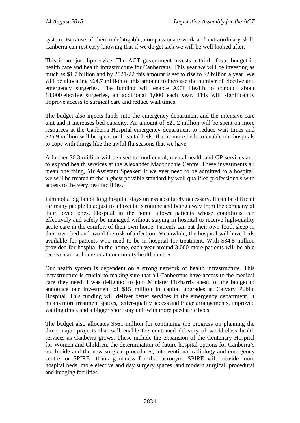system. Because of their indefatigable, compassionate work and extraordinary skill, Canberra can rest easy knowing that if we do get sick we will be well looked after.

This is not just lip-service. The ACT government invests a third of our budget in health care and health infrastructure for Canberrans. This year we will be investing as much as \$1.7 billion and by 2021-22 this amount is set to rise to \$2 billion a year. We will be allocating \$64.7 million of this amount to increase the number of elective and emergency surgeries. The funding will enable ACT Health to conduct about 14,000 elective surgeries, an additional 1,000 each year. This will significantly improve access to surgical care and reduce wait times.

The budget also injects funds into the emergency department and the intensive care unit and it increases bed capacity. An amount of \$21.2 million will be spent on more resources at the Canberra Hospital emergency department to reduce wait times and \$25.9 million will be spent on hospital beds: that is more beds to enable our hospitals to cope with things like the awful flu seasons that we have.

A further \$6.3 million will be used to fund dental, mental health and GP services and to expand health services at the Alexander Maconochie Centre. These investments all mean one thing, Mr Assistant Speaker: if we ever need to be admitted to a hospital, we will be treated to the highest possible standard by well qualified professionals with access to the very best facilities.

I am not a big fan of long hospital stays unless absolutely necessary. It can be difficult for many people to adjust to a hospital's routine and being away from the company of their loved ones. Hospital in the home allows patients whose conditions can effectively and safely be managed without staying in hospital to receive high-quality acute care in the comfort of their own home. Patients can eat their own food, sleep in their own bed and avoid the risk of infection. Meanwhile, the hospital will have beds available for patients who need to be in hospital for treatment. With \$34.5 million provided for hospital in the home, each year around 3,000 more patients will be able receive care at home or at community health centres.

Our health system is dependent on a strong network of health infrastructure. This infrastructure is crucial to making sure that all Canberrans have access to the medical care they need. I was delighted to join Minister Fitzharris ahead of the budget to announce our investment of \$15 million in capital upgrades at Calvary Public Hospital. This funding will deliver better services in the emergency department. It means more treatment spaces, better-quality access and triage arrangements, improved waiting times and a bigger short stay unit with more paediatric beds.

The budget also allocates \$561 million for continuing the progress on planning the three major projects that will enable the continued delivery of world-class health services as Canberra grows. These include the expansion of the Centenary Hospital for Women and Children, the determination of future hospital options for Canberra's north side and the new surgical procedures, interventional radiology and emergency centre, or SPIRE—thank goodness for that acronym. SPIRE will provide more hospital beds, more elective and day surgery spaces, and modern surgical, procedural and imaging facilities.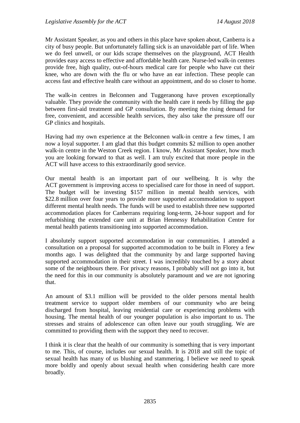Mr Assistant Speaker, as you and others in this place have spoken about, Canberra is a city of busy people. But unfortunately falling sick is an unavoidable part of life. When we do feel unwell, or our kids scrape themselves on the playground, ACT Health provides easy access to effective and affordable health care. Nurse-led walk-in centres provide free, high quality, out-of-hours medical care for people who have cut their knee, who are down with the flu or who have an ear infection. These people can access fast and effective health care without an appointment, and do so closer to home.

The walk-in centres in Belconnen and Tuggeranong have proven exceptionally valuable. They provide the community with the health care it needs by filling the gap between first-aid treatment and GP consultation. By meeting the rising demand for free, convenient, and accessible health services, they also take the pressure off our GP clinics and hospitals.

Having had my own experience at the Belconnen walk-in centre a few times, I am now a loyal supporter. I am glad that this budget commits \$2 million to open another walk-in centre in the Weston Creek region. I know, Mr Assistant Speaker, how much you are looking forward to that as well. I am truly excited that more people in the ACT will have access to this extraordinarily good service.

Our mental health is an important part of our wellbeing. It is why the ACT government is improving access to specialised care for those in need of support. The budget will be investing \$157 million in mental health services, with \$22.8 million over four years to provide more supported accommodation to support different mental health needs. The funds will be used to establish three new supported accommodation places for Canberrans requiring long-term, 24-hour support and for refurbishing the extended care unit at Brian Hennessy Rehabilitation Centre for mental health patients transitioning into supported accommodation.

I absolutely support supported accommodation in our communities. I attended a consultation on a proposal for supported accommodation to be built in Florey a few months ago. I was delighted that the community by and large supported having supported accommodation in their street. I was incredibly touched by a story about some of the neighbours there. For privacy reasons, I probably will not go into it, but the need for this in our community is absolutely paramount and we are not ignoring that.

An amount of \$3.1 million will be provided to the older persons mental health treatment service to support older members of our community who are being discharged from hospital, leaving residential care or experiencing problems with housing. The mental health of our younger population is also important to us. The stresses and strains of adolescence can often leave our youth struggling. We are committed to providing them with the support they need to recover.

I think it is clear that the health of our community is something that is very important to me. This, of course, includes our sexual health. It is 2018 and still the topic of sexual health has many of us blushing and stammering. I believe we need to speak more boldly and openly about sexual health when considering health care more broadly.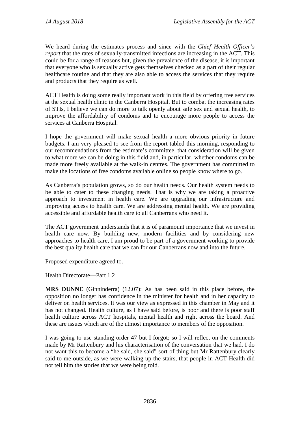We heard during the estimates process and since with the *Chief Health Officer's report* that the rates of sexually-transmitted infections are increasing in the ACT. This could be for a range of reasons but, given the prevalence of the disease, it is important that everyone who is sexually active gets themselves checked as a part of their regular healthcare routine and that they are also able to access the services that they require and products that they require as well.

ACT Health is doing some really important work in this field by offering free services at the sexual health clinic in the Canberra Hospital. But to combat the increasing rates of STIs, I believe we can do more to talk openly about safe sex and sexual health, to improve the affordability of condoms and to encourage more people to access the services at Canberra Hospital.

I hope the government will make sexual health a more obvious priority in future budgets. I am very pleased to see from the report tabled this morning, responding to our recommendations from the estimate's committee, that consideration will be given to what more we can be doing in this field and, in particular, whether condoms can be made more freely available at the walk-in centres. The government has committed to make the locations of free condoms available online so people know where to go.

As Canberra's population grows, so do our health needs. Our health system needs to be able to cater to these changing needs. That is why we are taking a proactive approach to investment in health care. We are upgrading our infrastructure and improving access to health care. We are addressing mental health. We are providing accessible and affordable health care to all Canberrans who need it.

The ACT government understands that it is of paramount importance that we invest in health care now. By building new, modern facilities and by considering new approaches to health care, I am proud to be part of a government working to provide the best quality health care that we can for our Canberrans now and into the future.

Proposed expenditure agreed to.

Health Directorate—Part 1.2

**MRS DUNNE** (Ginninderra) (12.07): As has been said in this place before, the opposition no longer has confidence in the minister for health and in her capacity to deliver on health services. It was our view as expressed in this chamber in May and it has not changed. Health culture, as I have said before, is poor and there is poor staff health culture across ACT hospitals, mental health and right across the board. And these are issues which are of the utmost importance to members of the opposition.

I was going to use standing order 47 but I forgot; so I will reflect on the comments made by Mr Rattenbury and his characterisation of the conversation that we had. I do not want this to become a "he said, she said" sort of thing but Mr Rattenbury clearly said to me outside, as we were walking up the stairs, that people in ACT Health did not tell him the stories that we were being told.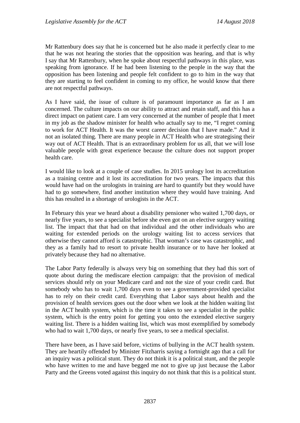Mr Rattenbury does say that he is concerned but he also made it perfectly clear to me that he was not hearing the stories that the opposition was hearing, and that is why I say that Mr Rattenbury, when he spoke about respectful pathways in this place, was speaking from ignorance. If he had been listening to the people in the way that the opposition has been listening and people felt confident to go to him in the way that they are starting to feel confident in coming to my office, he would know that there are not respectful pathways.

As I have said, the issue of culture is of paramount importance as far as I am concerned. The culture impacts on our ability to attract and retain staff, and this has a direct impact on patient care. I am very concerned at the number of people that I meet in my job as the shadow minister for health who actually say to me, "I regret coming to work for ACT Health. It was the worst career decision that I have made." And it not an isolated thing. There are many people in ACT Health who are strategising their way out of ACT Health. That is an extraordinary problem for us all, that we will lose valuable people with great experience because the culture does not support proper health care.

I would like to look at a couple of case studies. In 2015 urology lost its accreditation as a training centre and it lost its accreditation for two years. The impacts that this would have had on the urologists in training are hard to quantify but they would have had to go somewhere, find another institution where they would have training. And this has resulted in a shortage of urologists in the ACT.

In February this year we heard about a disability pensioner who waited 1,700 days, or nearly five years, to see a specialist before she even got on an elective surgery waiting list. The impact that that had on that individual and the other individuals who are waiting for extended periods on the urology waiting list to access services that otherwise they cannot afford is catastrophic. That woman's case was catastrophic, and they as a family had to resort to private health insurance or to have her looked at privately because they had no alternative.

The Labor Party federally is always very big on something that they had this sort of quote about during the mediscare election campaign: that the provision of medical services should rely on your Medicare card and not the size of your credit card. But somebody who has to wait 1,700 days even to see a government-provided specialist has to rely on their credit card. Everything that Labor says about health and the provision of health services goes out the door when we look at the hidden waiting list in the ACT health system, which is the time it takes to see a specialist in the public system, which is the entry point for getting you onto the extended elective surgery waiting list. There is a hidden waiting list, which was most exemplified by somebody who had to wait 1,700 days, or nearly five years, to see a medical specialist.

There have been, as I have said before, victims of bullying in the ACT health system. They are heartily offended by Minister Fitzharris saying a fortnight ago that a call for an inquiry was a political stunt. They do not think it is a political stunt, and the people who have written to me and have begged me not to give up just because the Labor Party and the Greens voted against this inquiry do not think that this is a political stunt.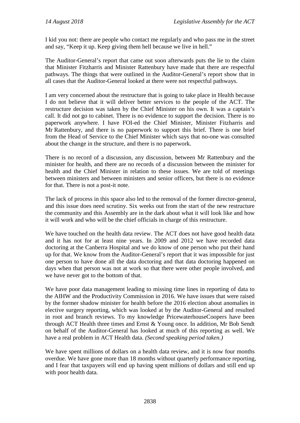I kid you not: there are people who contact me regularly and who pass me in the street and say, "Keep it up. Keep giving them hell because we live in hell."

The Auditor-General's report that came out soon afterwards puts the lie to the claim that Minister Fitzharris and Minister Rattenbury have made that there are respectful pathways. The things that were outlined in the Auditor-General's report show that in all cases that the Auditor-General looked at there were not respectful pathways.

I am very concerned about the restructure that is going to take place in Health because I do not believe that it will deliver better services to the people of the ACT. The restructure decision was taken by the Chief Minister on his own. It was a captain's call. It did not go to cabinet. There is no evidence to support the decision. There is no paperwork anywhere. I have FOI-ed the Chief Minister, Minister Fitzharris and Mr Rattenbury, and there is no paperwork to support this brief. There is one brief from the Head of Service to the Chief Minister which says that no-one was consulted about the change in the structure, and there is no paperwork.

There is no record of a discussion, any discussion, between Mr Rattenbury and the minister for health, and there are no records of a discussion between the minister for health and the Chief Minister in relation to these issues. We are told of meetings between ministers and between ministers and senior officers, but there is no evidence for that. There is not a post-it note.

The lack of process in this space also led to the removal of the former director-general, and this issue does need scrutiny. Six weeks out from the start of the new restructure the community and this Assembly are in the dark about what it will look like and how it will work and who will be the chief officials in charge of this restructure.

We have touched on the health data review. The ACT does not have good health data and it has not for at least nine years. In 2009 and 2012 we have recorded data doctoring at the Canberra Hospital and we do know of one person who put their hand up for that. We know from the Auditor-General's report that it was impossible for just one person to have done all the data doctoring and that data doctoring happened on days when that person was not at work so that there were other people involved, and we have never got to the bottom of that.

We have poor data management leading to missing time lines in reporting of data to the AIHW and the Productivity Commission in 2016. We have issues that were raised by the former shadow minister for health before the 2016 election about anomalies in elective surgery reporting, which was looked at by the Auditor-General and resulted in root and branch reviews. To my knowledge PricewaterhouseCoopers have been through ACT Health three times and Ernst & Young once. In addition, Mr Bob Sendt on behalf of the Auditor-General has looked at much of this reporting as well. We have a real problem in ACT Health data. *(Second speaking period taken.)*

We have spent millions of dollars on a health data review, and it is now four months overdue. We have gone more than 18 months without quarterly performance reporting, and I fear that taxpayers will end up having spent millions of dollars and still end up with poor health data.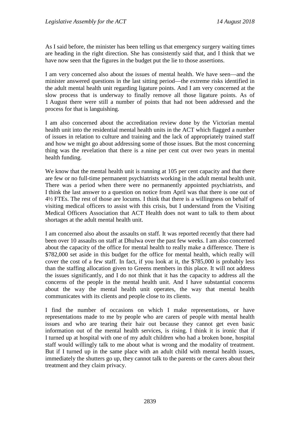As I said before, the minister has been telling us that emergency surgery waiting times are heading in the right direction. She has consistently said that, and I think that we have now seen that the figures in the budget put the lie to those assertions.

I am very concerned also about the issues of mental health. We have seen—and the minister answered questions in the last sitting period—the extreme risks identified in the adult mental health unit regarding ligature points. And I am very concerned at the slow process that is underway to finally remove all those ligature points. As of 1 August there were still a number of points that had not been addressed and the process for that is languishing.

I am also concerned about the accreditation review done by the Victorian mental health unit into the residential mental health units in the ACT which flagged a number of issues in relation to culture and training and the lack of appropriately trained staff and how we might go about addressing some of those issues. But the most concerning thing was the revelation that there is a nine per cent cut over two years in mental health funding.

We know that the mental health unit is running at 105 per cent capacity and that there are few or no full-time permanent psychiatrists working in the adult mental health unit. There was a period when there were no permanently appointed psychiatrists, and I think the last answer to a question on notice from April was that there is one out of 4½ FTEs. The rest of those are locums. I think that there is a willingness on behalf of visiting medical officers to assist with this crisis, but I understand from the Visiting Medical Officers Association that ACT Health does not want to talk to them about shortages at the adult mental health unit.

I am concerned also about the assaults on staff. It was reported recently that there had been over 10 assaults on staff at Dhulwa over the past few weeks. I am also concerned about the capacity of the office for mental health to really make a difference. There is \$782,000 set aside in this budget for the office for mental health, which really will cover the cost of a few staff. In fact, if you look at it, the \$785,000 is probably less than the staffing allocation given to Greens members in this place. It will not address the issues significantly, and I do not think that it has the capacity to address all the concerns of the people in the mental health unit. And I have substantial concerns about the way the mental health unit operates, the way that mental health communicates with its clients and people close to its clients.

I find the number of occasions on which I make representations, or have representations made to me by people who are carers of people with mental health issues and who are tearing their hair out because they cannot get even basic information out of the mental health services, is rising. I think it is ironic that if I turned up at hospital with one of my adult children who had a broken bone, hospital staff would willingly talk to me about what is wrong and the modality of treatment. But if I turned up in the same place with an adult child with mental health issues, immediately the shutters go up, they cannot talk to the parents or the carers about their treatment and they claim privacy.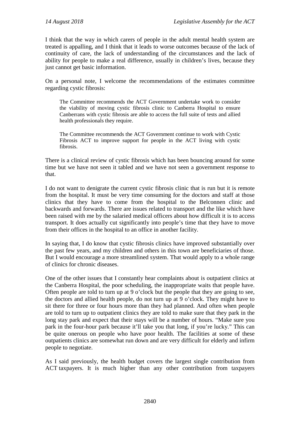I think that the way in which carers of people in the adult mental health system are treated is appalling, and I think that it leads to worse outcomes because of the lack of continuity of care, the lack of understanding of the circumstances and the lack of ability for people to make a real difference, usually in children's lives, because they just cannot get basic information.

On a personal note, I welcome the recommendations of the estimates committee regarding cystic fibrosis:

The Committee recommends the ACT Government undertake work to consider the viability of moving cystic fibrosis clinic to Canberra Hospital to ensure Canberrans with cystic fibrosis are able to access the full suite of tests and allied health professionals they require.

The Committee recommends the ACT Government continue to work with Cystic Fibrosis ACT to improve support for people in the ACT living with cystic fibrosis.

There is a clinical review of cystic fibrosis which has been bouncing around for some time but we have not seen it tabled and we have not seen a government response to that.

I do not want to denigrate the current cystic fibrosis clinic that is run but it is remote from the hospital. It must be very time consuming for the doctors and staff at those clinics that they have to come from the hospital to the Belconnen clinic and backwards and forwards. There are issues related to transport and the like which have been raised with me by the salaried medical officers about how difficult it is to access transport. It does actually cut significantly into people's time that they have to move from their offices in the hospital to an office in another facility.

In saying that, I do know that cystic fibrosis clinics have improved substantially over the past few years, and my children and others in this town are beneficiaries of those. But I would encourage a more streamlined system. That would apply to a whole range of clinics for chronic diseases.

One of the other issues that I constantly hear complaints about is outpatient clinics at the Canberra Hospital, the poor scheduling, the inappropriate waits that people have. Often people are told to turn up at 9 o'clock but the people that they are going to see, the doctors and allied health people, do not turn up at 9 o'clock. They might have to sit there for three or four hours more than they had planned. And often when people are told to turn up to outpatient clinics they are told to make sure that they park in the long stay park and expect that their stays will be a number of hours. "Make sure you park in the four-hour park because it'll take you that long, if you're lucky." This can be quite onerous on people who have poor health. The facilities at some of these outpatients clinics are somewhat run down and are very difficult for elderly and infirm people to negotiate.

As I said previously, the health budget covers the largest single contribution from ACT taxpayers. It is much higher than any other contribution from taxpayers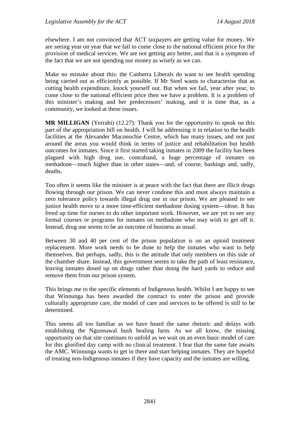elsewhere. I am not convinced that ACT taxpayers are getting value for money. We are seeing year on year that we fail to come close to the national efficient price for the provision of medical services. We are not getting any better, and that is a symptom of the fact that we are not spending our money as wisely as we can.

Make no mistake about this: the Canberra Liberals do want to see health spending being carried out as efficiently as possible. If Mr Steel wants to characterise that as cutting health expenditure, knock yourself out. But when we fail, year after year, to come close to the national efficient price then we have a problem. It is a problem of this minister's making and her predecessors' making, and it is time that, as a community, we looked at these issues.

**MR MILLIGAN** (Yerrabi) (12.27): Thank you for the opportunity to speak on this part of the appropriation bill on health. I will be addressing it in relation to the health facilities at the Alexander Maconochie Centre, which has many issues, and not just around the areas you would think in terms of justice and rehabilitation but health outcomes for inmates. Since it first started taking inmates in 2009 the facility has been plagued with high drug use, contraband, a huge percentage of inmates on methadone—much higher than in other states—and, of course, bashings and, sadly, deaths.

Too often it seems like the minister is at peace with the fact that there are illicit drugs flowing through our prison. We can never condone this and must always maintain a zero tolerance policy towards illegal drug use in our prison. We are pleased to see justice health move to a more time-efficient methadone dosing system—idose. It has freed up time for nurses to do other important work. However, we are yet to see any formal courses or programs for inmates on methadone who may wish to get off it. Instead, drug use seems to be an outcome of business as usual.

Between 30 and 40 per cent of the prison population is on an opioid treatment replacement. More work needs to be done to help the inmates who want to help themselves. But perhaps, sadly, this is the attitude that only members on this side of the chamber share. Instead, this government seems to take the path of least resistance, leaving inmates dosed up on drugs rather than doing the hard yards to reduce and remove them from our prison system.

This brings me to the specific elements of Indigenous health. Whilst I am happy to see that Winnunga has been awarded the contract to enter the prison and provide culturally appropriate care, the model of care and services to be offered is still to be determined.

This seems all too familiar as we have heard the same rhetoric and delays with establishing the Ngunnawal bush healing farm. As we all know, the missing opportunity on that site continues to unfold as we wait on an even basic model of care for this glorified day camp with no clinical treatment. I fear that the same fate awaits the AMC. Winnunga wants to get in there and start helping inmates. They are hopeful of treating non-Indigenous inmates if they have capacity and the inmates are willing.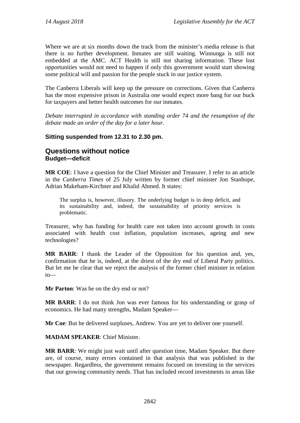Where we are at six months down the track from the minister's media release is that there is no further development. Inmates are still waiting. Winnunga is still not embedded at the AMC. ACT Health is still not sharing information. These lost opportunities would not need to happen if only this government would start showing some political will and passion for the people stuck in our justice system.

The Canberra Liberals will keep up the pressure on corrections. Given that Canberra has the most expensive prison in Australia one would expect more bang for our buck for taxpayers and better health outcomes for our inmates.

*Debate interrupted in accordance with standing order 74 and the resumption of the debate made an order of the day for a later hour.*

### **Sitting suspended from 12.31 to 2.30 pm.**

## **Questions without notice Budget—deficit**

**MR COE**: I have a question for the Chief Minister and Treasurer. I refer to an article in the *Canberra Times* of 25 July written by former chief minister Jon Stanhope, Adrian Makeham-Kirchner and Khalid Ahmed. It states:

The surplus is, however, illusory. The underlying budget is in deep deficit, and its sustainability and, indeed, the sustainability of priority services is problematic.

Treasurer, why has funding for health care not taken into account growth in costs associated with health cost inflation, population increases, ageing and new technologies?

**MR BARR**: I thank the Leader of the Opposition for his question and, yes, confirmation that he is, indeed, at the driest of the dry end of Liberal Party politics. But let me be clear that we reject the analysis of the former chief minister in relation to—

**Mr Parton**: Was he on the dry end or not?

**MR BARR**: I do not think Jon was ever famous for his understanding or grasp of economics. He had many strengths, Madam Speaker—

**Mr Coe**: But he delivered surpluses, Andrew. You are yet to deliver one yourself.

**MADAM SPEAKER**: Chief Minister.

**MR BARR**: We might just wait until after question time, Madam Speaker. But there are, of course, many errors contained in that analysis that was published in the newspaper. Regardless, the government remains focused on investing in the services that our growing community needs. That has included record investments in areas like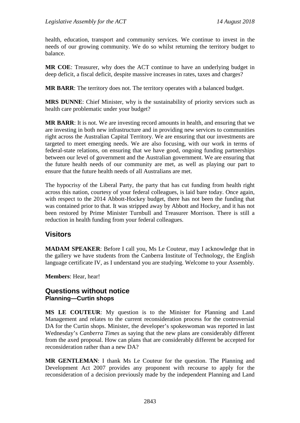health, education, transport and community services. We continue to invest in the needs of our growing community. We do so whilst returning the territory budget to balance.

**MR COE**: Treasurer, why does the ACT continue to have an underlying budget in deep deficit, a fiscal deficit, despite massive increases in rates, taxes and charges?

**MR BARR**: The territory does not. The territory operates with a balanced budget.

**MRS DUNNE**: Chief Minister, why is the sustainability of priority services such as health care problematic under your budget?

**MR BARR**: It is not. We are investing record amounts in health, and ensuring that we are investing in both new infrastructure and in providing new services to communities right across the Australian Capital Territory. We are ensuring that our investments are targeted to meet emerging needs. We are also focusing, with our work in terms of federal-state relations, on ensuring that we have good, ongoing funding partnerships between our level of government and the Australian government. We are ensuring that the future health needs of our community are met, as well as playing our part to ensure that the future health needs of all Australians are met.

The hypocrisy of the Liberal Party, the party that has cut funding from health right across this nation, courtesy of your federal colleagues, is laid bare today. Once again, with respect to the 2014 Abbott-Hockey budget, there has not been the funding that was contained prior to that. It was stripped away by Abbott and Hockey, and it has not been restored by Prime Minister Turnbull and Treasurer Morrison. There is still a reduction in health funding from your federal colleagues.

## **Visitors**

**MADAM SPEAKER**: Before I call you, Ms Le Couteur, may I acknowledge that in the gallery we have students from the Canberra Institute of Technology, the English language certificate IV, as I understand you are studying. Welcome to your Assembly.

**Members**: Hear, hear!

## **Questions without notice Planning—Curtin shops**

**MS LE COUTEUR**: My question is to the Minister for Planning and Land Management and relates to the current reconsideration process for the controversial DA for the Curtin shops. Minister, the developer's spokeswoman was reported in last Wednesday's *Canberra Times* as saying that the new plans are considerably different from the axed proposal. How can plans that are considerably different be accepted for reconsideration rather than a new DA?

**MR GENTLEMAN**: I thank Ms Le Couteur for the question. The Planning and Development Act 2007 provides any proponent with recourse to apply for the reconsideration of a decision previously made by the independent Planning and Land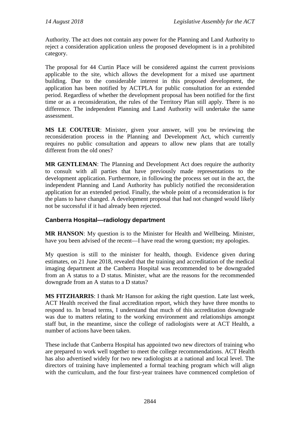Authority. The act does not contain any power for the Planning and Land Authority to reject a consideration application unless the proposed development is in a prohibited category.

The proposal for 44 Curtin Place will be considered against the current provisions applicable to the site, which allows the development for a mixed use apartment building. Due to the considerable interest in this proposed development, the application has been notified by ACTPLA for public consultation for an extended period. Regardless of whether the development proposal has been notified for the first time or as a reconsideration, the rules of the Territory Plan still apply. There is no difference. The independent Planning and Land Authority will undertake the same assessment.

**MS LE COUTEUR**: Minister, given your answer, will you be reviewing the reconsideration process in the Planning and Development Act, which currently requires no public consultation and appears to allow new plans that are totally different from the old ones?

**MR GENTLEMAN**: The Planning and Development Act does require the authority to consult with all parties that have previously made representations to the development application. Furthermore, in following the process set out in the act, the independent Planning and Land Authority has publicly notified the reconsideration application for an extended period. Finally, the whole point of a reconsideration is for the plans to have changed. A development proposal that had not changed would likely not be successful if it had already been rejected.

## **Canberra Hospital—radiology department**

**MR HANSON**: My question is to the Minister for Health and Wellbeing. Minister, have you been advised of the recent—I have read the wrong question; my apologies.

My question is still to the minister for health, though. Evidence given during estimates, on 21 June 2018, revealed that the training and accreditation of the medical imaging department at the Canberra Hospital was recommended to be downgraded from an A status to a D status. Minister, what are the reasons for the recommended downgrade from an A status to a D status?

**MS FITZHARRIS**: I thank Mr Hanson for asking the right question. Late last week, ACT Health received the final accreditation report, which they have three months to respond to. In broad terms, I understand that much of this accreditation downgrade was due to matters relating to the working environment and relationships amongst staff but, in the meantime, since the college of radiologists were at ACT Health, a number of actions have been taken.

These include that Canberra Hospital has appointed two new directors of training who are prepared to work well together to meet the college recommendations. ACT Health has also advertised widely for two new radiologists at a national and local level. The directors of training have implemented a formal teaching program which will align with the curriculum, and the four first-year trainees have commenced completion of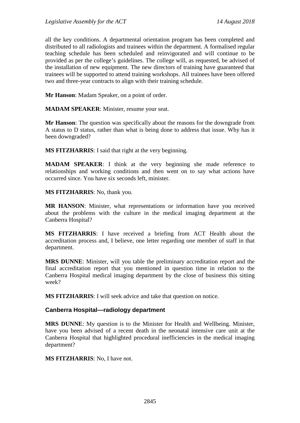all the key conditions. A departmental orientation program has been completed and distributed to all radiologists and trainees within the department. A formalised regular teaching schedule has been scheduled and reinvigorated and will continue to be provided as per the college's guidelines. The college will, as requested, be advised of the installation of new equipment. The new directors of training have guaranteed that trainees will be supported to attend training workshops. All trainees have been offered two and three-year contracts to align with their training schedule.

**Mr Hanson**: Madam Speaker, on a point of order.

**MADAM SPEAKER**: Minister, resume your seat.

**Mr Hanson**: The question was specifically about the reasons for the downgrade from A status to D status, rather than what is being done to address that issue. Why has it been downgraded?

**MS FITZHARRIS**: I said that right at the very beginning.

**MADAM SPEAKER**: I think at the very beginning she made reference to relationships and working conditions and then went on to say what actions have occurred since. You have six seconds left, minister.

**MS FITZHARRIS**: No, thank you.

**MR HANSON**: Minister, what representations or information have you received about the problems with the culture in the medical imaging department at the Canberra Hospital?

**MS FITZHARRIS**: I have received a briefing from ACT Health about the accreditation process and, I believe, one letter regarding one member of staff in that department.

**MRS DUNNE**: Minister, will you table the preliminary accreditation report and the final accreditation report that you mentioned in question time in relation to the Canberra Hospital medical imaging department by the close of business this sitting week?

**MS FITZHARRIS**: I will seek advice and take that question on notice.

#### **Canberra Hospital—radiology department**

**MRS DUNNE**: My question is to the Minister for Health and Wellbeing. Minister, have you been advised of a recent death in the neonatal intensive care unit at the Canberra Hospital that highlighted procedural inefficiencies in the medical imaging department?

**MS FITZHARRIS**: No, I have not.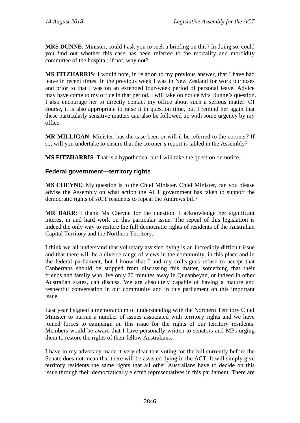**MRS DUNNE**: Minister, could I ask you to seek a briefing on this? In doing so, could you find out whether this case has been referred to the mortality and morbidity committee of the hospital; if not, why not?

**MS FITZHARRIS**: I would note, in relation to my previous answer, that I have had leave in recent times. In the previous week I was in New Zealand for work purposes and prior to that I was on an extended four-week period of personal leave. Advice may have come to my office in that period. I will take on notice Mrs Dunne's question. I also encourage her to directly contact my office about such a serious matter. Of course, it is also appropriate to raise it in question time, but I remind her again that these particularly sensitive matters can also be followed up with some urgency by my office.

**MR MILLIGAN**: Minister, has the case been or will it be referred to the coroner? If so, will you undertake to ensure that the coroner's report is tabled in the Assembly?

**MS FITZHARRIS**: That is a hypothetical but I will take the question on notice.

### **Federal government—territory rights**

**MS CHEYNE**: My question is to the Chief Minister. Chief Minister, can you please advise the Assembly on what action the ACT government has taken to support the democratic rights of ACT residents to repeal the Andrews bill?

**MR BARR**: I thank Ms Cheyne for the question. I acknowledge her significant interest in and hard work on this particular issue. The repeal of this legislation is indeed the only way to restore the full democratic rights of residents of the Australian Capital Territory and the Northern Territory.

I think we all understand that voluntary assisted dying is an incredibly difficult issue and that there will be a diverse range of views in the community, in this place and in the federal parliament, but I know that I and my colleagues refuse to accept that Canberrans should be stopped from discussing this matter, something that their friends and family who live only 20 minutes away in Queanbeyan, or indeed in other Australian states, can discuss. We are absolutely capable of having a mature and respectful conversation in our community and in this parliament on this important issue.

Last year I signed a memorandum of understanding with the Northern Territory Chief Minister to pursue a number of issues associated with territory rights and we have joined forces to campaign on this issue for the rights of our territory residents. Members would be aware that I have personally written to senators and MPs urging them to restore the rights of their fellow Australians.

I have in my advocacy made it very clear that voting for the bill currently before the Senate does not mean that there will be assisted dying in the ACT. It will simply give territory residents the same rights that all other Australians have to decide on this issue through their democratically elected representatives in this parliament. There are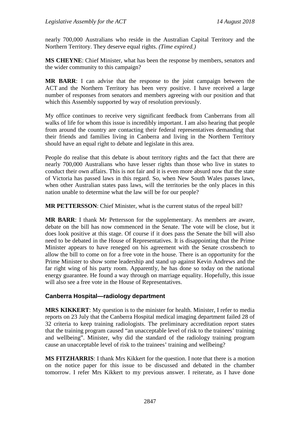nearly 700,000 Australians who reside in the Australian Capital Territory and the Northern Territory. They deserve equal rights. *(Time expired.)*

**MS CHEYNE**: Chief Minister, what has been the response by members, senators and the wider community to this campaign?

**MR BARR**: I can advise that the response to the joint campaign between the ACT and the Northern Territory has been very positive. I have received a large number of responses from senators and members agreeing with our position and that which this Assembly supported by way of resolution previously.

My office continues to receive very significant feedback from Canberrans from all walks of life for whom this issue is incredibly important. I am also hearing that people from around the country are contacting their federal representatives demanding that their friends and families living in Canberra and living in the Northern Territory should have an equal right to debate and legislate in this area.

People do realise that this debate is about territory rights and the fact that there are nearly 700,000 Australians who have lesser rights than those who live in states to conduct their own affairs. This is not fair and it is even more absurd now that the state of Victoria has passed laws in this regard. So, when New South Wales passes laws, when other Australian states pass laws, will the territories be the only places in this nation unable to determine what the law will be for our people?

**MR PETTERSSON**: Chief Minister, what is the current status of the repeal bill?

**MR BARR**: I thank Mr Pettersson for the supplementary. As members are aware, debate on the bill has now commenced in the Senate. The vote will be close, but it does look positive at this stage. Of course if it does pass the Senate the bill will also need to be debated in the House of Representatives. It is disappointing that the Prime Minister appears to have reneged on his agreement with the Senate crossbench to allow the bill to come on for a free vote in the house. There is an opportunity for the Prime Minister to show some leadership and stand up against Kevin Andrews and the far right wing of his party room. Apparently, he has done so today on the national energy guarantee. He found a way through on marriage equality. Hopefully, this issue will also see a free vote in the House of Representatives.

## **Canberra Hospital—radiology department**

**MRS KIKKERT**: My question is to the minister for health. Minister, I refer to media reports on 23 July that the Canberra Hospital medical imaging department failed 28 of 32 criteria to keep training radiologists. The preliminary accreditation report states that the training program caused "an unacceptable level of risk to the trainees' training and wellbeing". Minister, why did the standard of the radiology training program cause an unacceptable level of risk to the trainees' training and wellbeing?

**MS FITZHARRIS**: I thank Mrs Kikkert for the question. I note that there is a motion on the notice paper for this issue to be discussed and debated in the chamber tomorrow. I refer Mrs Kikkert to my previous answer. I reiterate, as I have done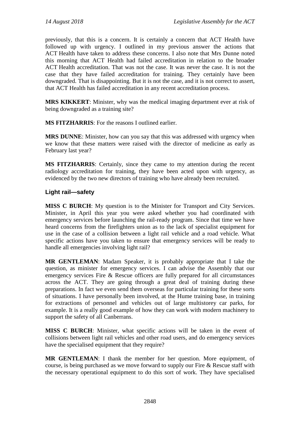previously, that this is a concern. It is certainly a concern that ACT Health have followed up with urgency. I outlined in my previous answer the actions that ACT Health have taken to address these concerns. I also note that Mrs Dunne noted this morning that ACT Health had failed accreditation in relation to the broader ACT Health accreditation. That was not the case. It was never the case. It is not the case that they have failed accreditation for training. They certainly have been downgraded. That is disappointing. But it is not the case, and it is not correct to assert, that ACT Health has failed accreditation in any recent accreditation process.

**MRS KIKKERT**: Minister, why was the medical imaging department ever at risk of being downgraded as a training site?

**MS FITZHARRIS**: For the reasons I outlined earlier.

**MRS DUNNE**: Minister, how can you say that this was addressed with urgency when we know that these matters were raised with the director of medicine as early as February last year?

**MS FITZHARRIS**: Certainly, since they came to my attention during the recent radiology accreditation for training, they have been acted upon with urgency, as evidenced by the two new directors of training who have already been recruited.

#### **Light rail—safety**

**MISS C BURCH**: My question is to the Minister for Transport and City Services. Minister, in April this year you were asked whether you had coordinated with emergency services before launching the rail-ready program. Since that time we have heard concerns from the firefighters union as to the lack of specialist equipment for use in the case of a collision between a light rail vehicle and a road vehicle. What specific actions have you taken to ensure that emergency services will be ready to handle all emergencies involving light rail?

**MR GENTLEMAN**: Madam Speaker, it is probably appropriate that I take the question, as minister for emergency services. I can advise the Assembly that our emergency services Fire & Rescue officers are fully prepared for all circumstances across the ACT. They are going through a great deal of training during these preparations. In fact we even send them overseas for particular training for these sorts of situations. I have personally been involved, at the Hume training base, in training for extractions of personnel and vehicles out of large multistorey car parks, for example. It is a really good example of how they can work with modern machinery to support the safety of all Canberrans.

**MISS C BURCH**: Minister, what specific actions will be taken in the event of collisions between light rail vehicles and other road users, and do emergency services have the specialised equipment that they require?

**MR GENTLEMAN**: I thank the member for her question. More equipment, of course, is being purchased as we move forward to supply our Fire & Rescue staff with the necessary operational equipment to do this sort of work. They have specialised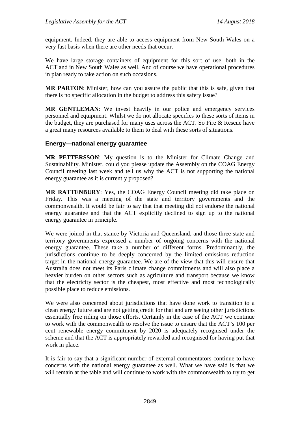equipment. Indeed, they are able to access equipment from New South Wales on a very fast basis when there are other needs that occur.

We have large storage containers of equipment for this sort of use, both in the ACT and in New South Wales as well. And of course we have operational procedures in plan ready to take action on such occasions.

**MR PARTON**: Minister, how can you assure the public that this is safe, given that there is no specific allocation in the budget to address this safety issue?

**MR GENTLEMAN**: We invest heavily in our police and emergency services personnel and equipment. Whilst we do not allocate specifics to these sorts of items in the budget, they are purchased for many uses across the ACT. So Fire & Rescue have a great many resources available to them to deal with these sorts of situations.

#### **Energy—national energy guarantee**

**MR PETTERSSON**: My question is to the Minister for Climate Change and Sustainability. Minister, could you please update the Assembly on the COAG Energy Council meeting last week and tell us why the ACT is not supporting the national energy guarantee as it is currently proposed?

**MR RATTENBURY**: Yes, the COAG Energy Council meeting did take place on Friday. This was a meeting of the state and territory governments and the commonwealth. It would be fair to say that that meeting did not endorse the national energy guarantee and that the ACT explicitly declined to sign up to the national energy guarantee in principle.

We were joined in that stance by Victoria and Queensland, and those three state and territory governments expressed a number of ongoing concerns with the national energy guarantee. These take a number of different forms. Predominantly, the jurisdictions continue to be deeply concerned by the limited emissions reduction target in the national energy guarantee. We are of the view that this will ensure that Australia does not meet its Paris climate change commitments and will also place a heavier burden on other sectors such as agriculture and transport because we know that the electricity sector is the cheapest, most effective and most technologically possible place to reduce emissions.

We were also concerned about jurisdictions that have done work to transition to a clean energy future and are not getting credit for that and are seeing other jurisdictions essentially free riding on those efforts. Certainly in the case of the ACT we continue to work with the commonwealth to resolve the issue to ensure that the ACT's 100 per cent renewable energy commitment by 2020 is adequately recognised under the scheme and that the ACT is appropriately rewarded and recognised for having put that work in place.

It is fair to say that a significant number of external commentators continue to have concerns with the national energy guarantee as well. What we have said is that we will remain at the table and will continue to work with the commonwealth to try to get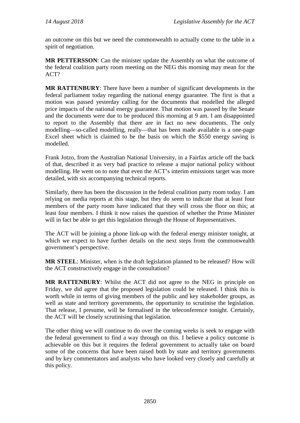an outcome on this but we need the commonwealth to actually come to the table in a spirit of negotiation.

**MR PETTERSSON**: Can the minister update the Assembly on what the outcome of the federal coalition party room meeting on the NEG this morning may mean for the ACT?

**MR RATTENBURY**: There have been a number of significant developments in the federal parliament today regarding the national energy guarantee. The first is that a motion was passed yesterday calling for the documents that modelled the alleged price impacts of the national energy guarantee. That motion was passed by the Senate and the documents were due to be produced this morning at 9 am. I am disappointed to report to the Assembly that there are in fact no new documents. The only modelling—so-called modelling, really—that has been made available is a one-page Excel sheet which is claimed to be the basis on which the \$550 energy saving is modelled.

Frank Jotzo, from the Australian National University, in a Fairfax article off the back of that, described it as very bad practice to release a major national policy without modelling. He went on to note that even the ACT's interim emissions target was more detailed, with six accompanying technical reports.

Similarly, there has been the discussion in the federal coalition party room today. I am relying on media reports at this stage, but they do seem to indicate that at least four members of the party room have indicated that they will cross the floor on this; at least four members. I think it now raises the question of whether the Prime Minister will in fact be able to get this legislation through the House of Representatives.

The ACT will be joining a phone link-up with the federal energy minister tonight, at which we expect to have further details on the next steps from the commonwealth government's perspective.

**MR STEEL**: Minister, when is the draft legislation planned to be released? How will the ACT constructively engage in the consultation?

**MR RATTENBURY**: Whilst the ACT did not agree to the NEG in principle on Friday, we did agree that the proposed legislation could be released. I think this is worth while in terms of giving members of the public and key stakeholder groups, as well as state and territory governments, the opportunity to scrutinise the legislation. That release, I presume, will be formalised in the teleconference tonight. Certainly, the ACT will be closely scrutinising that legislation.

The other thing we will continue to do over the coming weeks is seek to engage with the federal government to find a way through on this. I believe a policy outcome is achievable on this but it requires the federal government to actually take on board some of the concerns that have been raised both by state and territory governments and by key commentators and analysts who have looked very closely and carefully at this policy.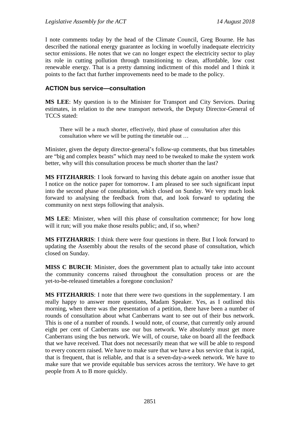I note comments today by the head of the Climate Council, Greg Bourne. He has described the national energy guarantee as locking in woefully inadequate electricity sector emissions. He notes that we can no longer expect the electricity sector to play its role in cutting pollution through transitioning to clean, affordable, low cost renewable energy. That is a pretty damning indictment of this model and I think it points to the fact that further improvements need to be made to the policy.

#### **ACTION bus service—consultation**

**MS LEE**: My question is to the Minister for Transport and City Services. During estimates, in relation to the new transport network, the Deputy Director-General of TCCS stated:

There will be a much shorter, effectively, third phase of consultation after this consultation where we will be putting the timetable out …

Minister, given the deputy director-general's follow-up comments, that bus timetables are "big and complex beasts" which may need to be tweaked to make the system work better, why will this consultation process be much shorter than the last?

**MS FITZHARRIS**: I look forward to having this debate again on another issue that I notice on the notice paper for tomorrow. I am pleased to see such significant input into the second phase of consultation, which closed on Sunday. We very much look forward to analysing the feedback from that, and look forward to updating the community on next steps following that analysis.

**MS LEE**: Minister, when will this phase of consultation commence; for how long will it run; will you make those results public; and, if so, when?

**MS FITZHARRIS**: I think there were four questions in there. But I look forward to updating the Assembly about the results of the second phase of consultation, which closed on Sunday.

**MISS C BURCH**: Minister, does the government plan to actually take into account the community concerns raised throughout the consultation process or are the yet-to-be-released timetables a foregone conclusion?

**MS FITZHARRIS**: I note that there were two questions in the supplementary. I am really happy to answer more questions, Madam Speaker. Yes, as I outlined this morning, when there was the presentation of a petition, there have been a number of rounds of consultation about what Canberrans want to see out of their bus network. This is one of a number of rounds. I would note, of course, that currently only around eight per cent of Canberrans use our bus network. We absolutely must get more Canberrans using the bus network. We will, of course, take on board all the feedback that we have received. That does not necessarily mean that we will be able to respond to every concern raised. We have to make sure that we have a bus service that is rapid, that is frequent, that is reliable, and that is a seven-day-a-week network. We have to make sure that we provide equitable bus services across the territory. We have to get people from A to B more quickly.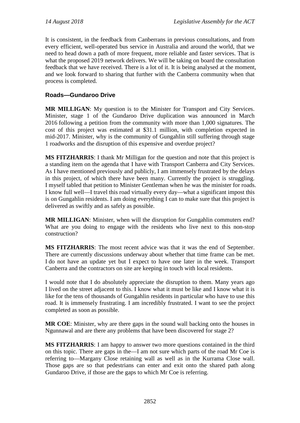It is consistent, in the feedback from Canberrans in previous consultations, and from every efficient, well-operated bus service in Australia and around the world, that we need to head down a path of more frequent, more reliable and faster services. That is what the proposed 2019 network delivers. We will be taking on board the consultation feedback that we have received. There is a lot of it. It is being analysed at the moment, and we look forward to sharing that further with the Canberra community when that process is completed.

## **Roads—Gundaroo Drive**

**MR MILLIGAN**: My question is to the Minister for Transport and City Services. Minister, stage 1 of the Gundaroo Drive duplication was announced in March 2016 following a petition from the community with more than 1,000 signatures. The cost of this project was estimated at \$31.1 million, with completion expected in mid-2017. Minister, why is the community of Gungahlin still suffering through stage 1 roadworks and the disruption of this expensive and overdue project?

**MS FITZHARRIS**: I thank Mr Milligan for the question and note that this project is a standing item on the agenda that I have with Transport Canberra and City Services. As I have mentioned previously and publicly, I am immensely frustrated by the delays in this project, of which there have been many. Currently the project is struggling. I myself tabled that petition to Minister Gentleman when he was the minister for roads. I know full well—I travel this road virtually every day—what a significant impost this is on Gungahlin residents. I am doing everything I can to make sure that this project is delivered as swiftly and as safely as possible.

**MR MILLIGAN**: Minister, when will the disruption for Gungahlin commuters end? What are you doing to engage with the residents who live next to this non-stop construction?

**MS FITZHARRIS**: The most recent advice was that it was the end of September. There are currently discussions underway about whether that time frame can be met. I do not have an update yet but I expect to have one later in the week. Transport Canberra and the contractors on site are keeping in touch with local residents.

I would note that I do absolutely appreciate the disruption to them. Many years ago I lived on the street adjacent to this. I know what it must be like and I know what it is like for the tens of thousands of Gungahlin residents in particular who have to use this road. It is immensely frustrating. I am incredibly frustrated. I want to see the project completed as soon as possible.

**MR COE**: Minister, why are there gaps in the sound wall backing onto the houses in Ngunnawal and are there any problems that have been discovered for stage 2?

**MS FITZHARRIS**: I am happy to answer two more questions contained in the third on this topic. There are gaps in the—I am not sure which parts of the road Mr Coe is referring to—Margany Close retaining wall as well as in the Kurrama Close wall. Those gaps are so that pedestrians can enter and exit onto the shared path along Gundaroo Drive, if those are the gaps to which Mr Coe is referring.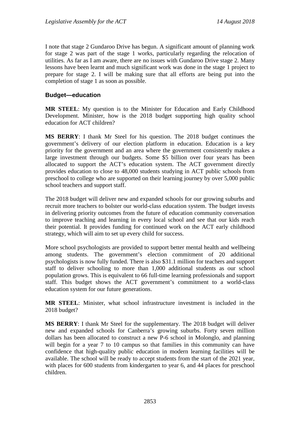I note that stage 2 Gundaroo Drive has begun. A significant amount of planning work for stage 2 was part of the stage 1 works, particularly regarding the relocation of utilities. As far as I am aware, there are no issues with Gundaroo Drive stage 2. Many lessons have been learnt and much significant work was done in the stage 1 project to prepare for stage 2. I will be making sure that all efforts are being put into the completion of stage 1 as soon as possible.

#### **Budget—education**

**MR STEEL**: My question is to the Minister for Education and Early Childhood Development. Minister, how is the 2018 budget supporting high quality school education for ACT children?

**MS BERRY**: I thank Mr Steel for his question. The 2018 budget continues the government's delivery of our election platform in education. Education is a key priority for the government and an area where the government consistently makes a large investment through our budgets. Some \$5 billion over four years has been allocated to support the ACT's education system. The ACT government directly provides education to close to 48,000 students studying in ACT public schools from preschool to college who are supported on their learning journey by over 5,000 public school teachers and support staff.

The 2018 budget will deliver new and expanded schools for our growing suburbs and recruit more teachers to bolster our world-class education system. The budget invests in delivering priority outcomes from the future of education community conversation to improve teaching and learning in every local school and see that our kids reach their potential. It provides funding for continued work on the ACT early childhood strategy, which will aim to set up every child for success.

More school psychologists are provided to support better mental health and wellbeing among students. The government's election commitment of 20 additional psychologists is now fully funded. There is also \$31.1 million for teachers and support staff to deliver schooling to more than 1,000 additional students as our school population grows. This is equivalent to 66 full-time learning professionals and support staff. This budget shows the ACT government's commitment to a world-class education system for our future generations.

**MR STEEL**: Minister, what school infrastructure investment is included in the 2018 budget?

**MS BERRY**: I thank Mr Steel for the supplementary. The 2018 budget will deliver new and expanded schools for Canberra's growing suburbs. Forty seven million dollars has been allocated to construct a new P-6 school in Molonglo, and planning will begin for a year 7 to 10 campus so that families in this community can have confidence that high-quality public education in modern learning facilities will be available. The school will be ready to accept students from the start of the 2021 year, with places for 600 students from kindergarten to year 6, and 44 places for preschool children.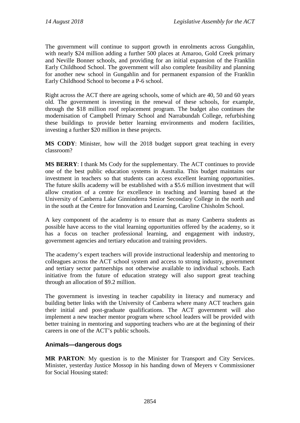The government will continue to support growth in enrolments across Gungahlin, with nearly \$24 million adding a further 500 places at Amaroo, Gold Creek primary and Neville Bonner schools, and providing for an initial expansion of the Franklin Early Childhood School. The government will also complete feasibility and planning for another new school in Gungahlin and for permanent expansion of the Franklin Early Childhood School to become a P-6 school.

Right across the ACT there are ageing schools, some of which are 40, 50 and 60 years old. The government is investing in the renewal of these schools, for example, through the \$18 million roof replacement program. The budget also continues the modernisation of Campbell Primary School and Narrabundah College, refurbishing these buildings to provide better learning environments and modern facilities, investing a further \$20 million in these projects.

**MS CODY**: Minister, how will the 2018 budget support great teaching in every classroom?

**MS BERRY**: I thank Ms Cody for the supplementary. The ACT continues to provide one of the best public education systems in Australia. This budget maintains our investment in teachers so that students can access excellent learning opportunities. The future skills academy will be established with a \$5.6 million investment that will allow creation of a centre for excellence in teaching and learning based at the University of Canberra Lake Ginninderra Senior Secondary College in the north and in the south at the Centre for Innovation and Learning, Caroline Chisholm School.

A key component of the academy is to ensure that as many Canberra students as possible have access to the vital learning opportunities offered by the academy, so it has a focus on teacher professional learning, and engagement with industry, government agencies and tertiary education and training providers.

The academy's expert teachers will provide instructional leadership and mentoring to colleagues across the ACT school system and access to strong industry, government and tertiary sector partnerships not otherwise available to individual schools. Each initiative from the future of education strategy will also support great teaching through an allocation of \$9.2 million.

The government is investing in teacher capability in literacy and numeracy and building better links with the University of Canberra where many ACT teachers gain their initial and post-graduate qualifications. The ACT government will also implement a new teacher mentor program where school leaders will be provided with better training in mentoring and supporting teachers who are at the beginning of their careers in one of the ACT's public schools.

## **Animals—dangerous dogs**

**MR PARTON**: My question is to the Minister for Transport and City Services. Minister, yesterday Justice Mossop in his handing down of Meyers v Commissioner for Social Housing stated: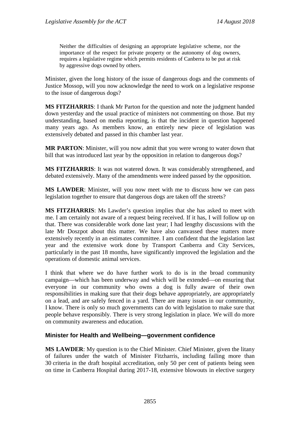Neither the difficulties of designing an appropriate legislative scheme, nor the importance of the respect for private property or the autonomy of dog owners, requires a legislative regime which permits residents of Canberra to be put at risk by aggressive dogs owned by others.

Minister, given the long history of the issue of dangerous dogs and the comments of Justice Mossop, will you now acknowledge the need to work on a legislative response to the issue of dangerous dogs?

**MS FITZHARRIS**: I thank Mr Parton for the question and note the judgment handed down yesterday and the usual practice of ministers not commenting on those. But my understanding, based on media reporting, is that the incident in question happened many years ago. As members know, an entirely new piece of legislation was extensively debated and passed in this chamber last year.

**MR PARTON**: Minister, will you now admit that you were wrong to water down that bill that was introduced last year by the opposition in relation to dangerous dogs?

**MS FITZHARRIS**: It was not watered down. It was considerably strengthened, and debated extensively. Many of the amendments were indeed passed by the opposition.

**MS LAWDER**: Minister, will you now meet with me to discuss how we can pass legislation together to ensure that dangerous dogs are taken off the streets?

**MS FITZHARRIS**: Ms Lawder's question implies that she has asked to meet with me. I am certainly not aware of a request being received. If it has, I will follow up on that. There was considerable work done last year; I had lengthy discussions with the late Mr Doszpot about this matter. We have also canvassed these matters more extensively recently in an estimates committee. I am confident that the legislation last year and the extensive work done by Transport Canberra and City Services, particularly in the past 18 months, have significantly improved the legislation and the operations of domestic animal services.

I think that where we do have further work to do is in the broad community campaign—which has been underway and which will be extended—on ensuring that everyone in our community who owns a dog is fully aware of their own responsibilities in making sure that their dogs behave appropriately, are appropriately on a lead, and are safely fenced in a yard. There are many issues in our community, I know. There is only so much governments can do with legislation to make sure that people behave responsibly. There is very strong legislation in place. We will do more on community awareness and education.

#### **Minister for Health and Wellbeing—government confidence**

**MS LAWDER**: My question is to the Chief Minister. Chief Minister, given the litany of failures under the watch of Minister Fitzharris, including failing more than 30 criteria in the draft hospital accreditation, only 50 per cent of patients being seen on time in Canberra Hospital during 2017-18, extensive blowouts in elective surgery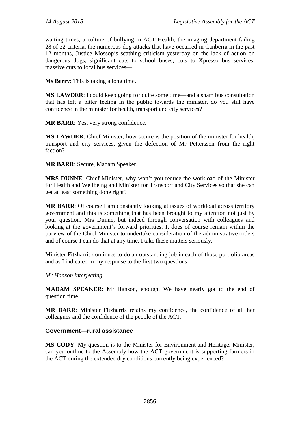waiting times, a culture of bullying in ACT Health, the imaging department failing 28 of 32 criteria, the numerous dog attacks that have occurred in Canberra in the past 12 months, Justice Mossop's scathing criticism yesterday on the lack of action on dangerous dogs, significant cuts to school buses, cuts to Xpresso bus services, massive cuts to local bus services—

**Ms Berry**: This is taking a long time.

**MS LAWDER**: I could keep going for quite some time—and a sham bus consultation that has left a bitter feeling in the public towards the minister, do you still have confidence in the minister for health, transport and city services?

**MR BARR**: Yes, very strong confidence.

**MS LAWDER**: Chief Minister, how secure is the position of the minister for health, transport and city services, given the defection of Mr Pettersson from the right faction?

**MR BARR**: Secure, Madam Speaker.

**MRS DUNNE**: Chief Minister, why won't you reduce the workload of the Minister for Health and Wellbeing and Minister for Transport and City Services so that she can get at least something done right?

**MR BARR**: Of course I am constantly looking at issues of workload across territory government and this is something that has been brought to my attention not just by your question, Mrs Dunne, but indeed through conversation with colleagues and looking at the government's forward priorities. It does of course remain within the purview of the Chief Minister to undertake consideration of the administrative orders and of course I can do that at any time. I take these matters seriously.

Minister Fitzharris continues to do an outstanding job in each of those portfolio areas and as I indicated in my response to the first two questions—

*Mr Hanson interjecting—*

**MADAM SPEAKER**: Mr Hanson, enough. We have nearly got to the end of question time.

**MR BARR**: Minister Fitzharris retains my confidence, the confidence of all her colleagues and the confidence of the people of the ACT.

#### **Government—rural assistance**

**MS CODY**: My question is to the Minister for Environment and Heritage. Minister, can you outline to the Assembly how the ACT government is supporting farmers in the ACT during the extended dry conditions currently being experienced?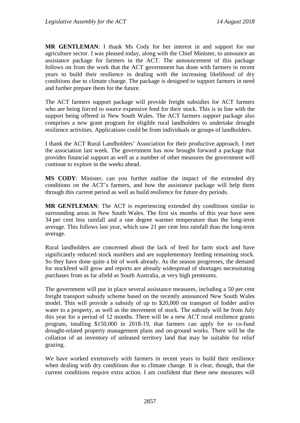**MR GENTLEMAN**: I thank Ms Cody for her interest in and support for our agriculture sector. I was pleased today, along with the Chief Minister, to announce an assistance package for farmers in the ACT. The announcement of this package follows on from the work that the ACT government has done with farmers in recent years to build their resilience in dealing with the increasing likelihood of dry conditions due to climate change. The package is designed to support farmers in need and further prepare them for the future.

The ACT farmers support package will provide freight subsidies for ACT farmers who are being forced to source expensive feed for their stock. This is in line with the support being offered in New South Wales. The ACT farmers support package also comprises a new grant program for eligible rural landholders to undertake drought resilience activities. Applications could be from individuals or groups of landholders.

I thank the ACT Rural Landholders' Association for their productive approach. I met the association last week. The government has now brought forward a package that provides financial support as well as a number of other measures the government will continue to explore in the weeks ahead.

**MS CODY**: Minister, can you further outline the impact of the extended dry conditions on the ACT's farmers, and how the assistance package will help them through this current period as well as build resilience for future dry periods.

**MR GENTLEMAN**: The ACT is experiencing extended dry conditions similar to surrounding areas in New South Wales. The first six months of this year have seen 34 per cent less rainfall and a one degree warmer temperature than the long-term average. This follows last year, which saw 21 per cent less rainfall than the long-term average.

Rural landholders are concerned about the lack of feed for farm stock and have significantly reduced stock numbers and are supplementary feeding remaining stock. So they have done quite a bit of work already. As the season progresses, the demand for stockfeed will grow and reports are already widespread of shortages necessitating purchases from as far afield as South Australia, at very high premiums.

The government will put in place several assistance measures, including a 50 per cent freight transport subsidy scheme based on the recently announced New South Wales model. This will provide a subsidy of up to \$20,000 on transport of fodder and/or water to a property, as well as the movement of stock. The subsidy will be from July this year for a period of 12 months. There will be a new ACT rural resilience grants program, totalling \$150,000 in 2018-19, that farmers can apply for to co-fund drought-related property management plans and on-ground works. There will be the collation of an inventory of unleased territory land that may be suitable for relief grazing.

We have worked extensively with farmers in recent years to build their resilience when dealing with dry conditions due to climate change. It is clear, though, that the current conditions require extra action. I am confident that these new measures will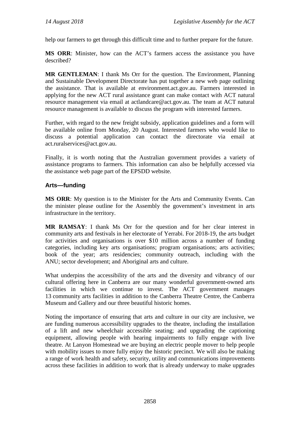help our farmers to get through this difficult time and to further prepare for the future.

**MS ORR**: Minister, how can the ACT's farmers access the assistance you have described?

**MR GENTLEMAN**: I thank Ms Orr for the question. The Environment, Planning and Sustainable Development Directorate has put together a new web page outlining the assistance. That is available at environment.act.gov.au. Farmers interested in applying for the new ACT rural assistance grant can make contact with ACT natural resource management via email at actlandcare@act.gov.au. The team at ACT natural resource management is available to discuss the program with interested farmers.

Further, with regard to the new freight subsidy, application guidelines and a form will be available online from Monday, 20 August. Interested farmers who would like to discuss a potential application can contact the directorate via email at act.ruralservices@act.gov.au.

Finally, it is worth noting that the Australian government provides a variety of assistance programs to farmers. This information can also be helpfully accessed via the assistance web page part of the EPSDD website.

## **Arts—funding**

**MS ORR**: My question is to the Minister for the Arts and Community Events. Can the minister please outline for the Assembly the government's investment in arts infrastructure in the territory.

**MR RAMSAY**: I thank Ms Orr for the question and for her clear interest in community arts and festivals in her electorate of Yerrabi. For 2018-19, the arts budget for activities and organisations is over \$10 million across a number of funding categories, including key arts organisations; program organisations; arts activities; book of the year; arts residencies; community outreach, including with the ANU; sector development; and Aboriginal arts and culture.

What underpins the accessibility of the arts and the diversity and vibrancy of our cultural offering here in Canberra are our many wonderful government-owned arts facilities in which we continue to invest. The ACT government manages 13 community arts facilities in addition to the Canberra Theatre Centre, the Canberra Museum and Gallery and our three beautiful historic homes.

Noting the importance of ensuring that arts and culture in our city are inclusive, we are funding numerous accessibility upgrades to the theatre, including the installation of a lift and new wheelchair accessible seating; and upgrading the captioning equipment, allowing people with hearing impairments to fully engage with live theatre. At Lanyon Homestead we are buying an electric people mover to help people with mobility issues to more fully enjoy the historic precinct. We will also be making a range of work health and safety, security, utility and communications improvements across these facilities in addition to work that is already underway to make upgrades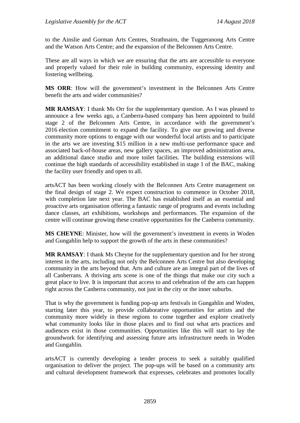to the Ainslie and Gorman Arts Centres, Strathnairn, the Tuggeranong Arts Centre and the Watson Arts Centre; and the expansion of the Belconnen Arts Centre.

These are all ways in which we are ensuring that the arts are accessible to everyone and properly valued for their role in building community, expressing identity and fostering wellbeing.

**MS ORR**: How will the government's investment in the Belconnen Arts Centre benefit the arts and wider communities?

**MR RAMSAY**: I thank Ms Orr for the supplementary question. As I was pleased to announce a few weeks ago, a Canberra-based company has been appointed to build stage 2 of the Belconnen Arts Centre, in accordance with the government's 2016 election commitment to expand the facility. To give our growing and diverse community more options to engage with our wonderful local artists and to participate in the arts we are investing \$15 million in a new multi-use performance space and associated back-of-house areas, new gallery spaces, an improved administration area, an additional dance studio and more toilet facilities. The building extensions will continue the high standards of accessibility established in stage 1 of the BAC, making the facility user friendly and open to all.

artsACT has been working closely with the Belconnen Arts Centre management on the final design of stage 2. We expect construction to commence in October 2018, with completion late next year. The BAC has established itself as an essential and proactive arts organisation offering a fantastic range of programs and events including dance classes, art exhibitions, workshops and performances. The expansion of the centre will continue growing these creative opportunities for the Canberra community.

**MS CHEYNE**: Minister, how will the government's investment in events in Woden and Gungahlin help to support the growth of the arts in these communities?

**MR RAMSAY**: I thank Ms Cheyne for the supplementary question and for her strong interest in the arts, including not only the Belconnen Arts Centre but also developing community in the arts beyond that. Arts and culture are an integral part of the lives of all Canberrans. A thriving arts scene is one of the things that make our city such a great place to live. It is important that access to and celebration of the arts can happen right across the Canberra community, not just in the city or the inner suburbs.

That is why the government is funding pop-up arts festivals in Gungahlin and Woden, starting later this year, to provide collaborative opportunities for artists and the community more widely in these regions to come together and explore creatively what community looks like in those places and to find out what arts practices and audiences exist in those communities. Opportunities like this will start to lay the groundwork for identifying and assessing future arts infrastructure needs in Woden and Gungahlin.

artsACT is currently developing a tender process to seek a suitably qualified organisation to deliver the project. The pop-ups will be based on a community arts and cultural development framework that expresses, celebrates and promotes locally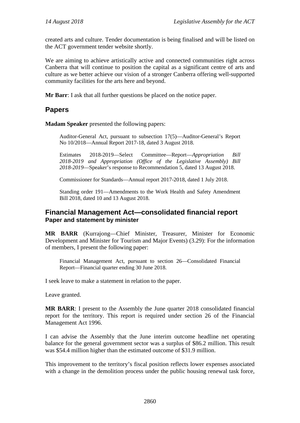created arts and culture. Tender documentation is being finalised and will be listed on the ACT government tender website shortly.

We are aiming to achieve artistically active and connected communities right across Canberra that will continue to position the capital as a significant centre of arts and culture as we better achieve our vision of a stronger Canberra offering well-supported community facilities for the arts here and beyond.

**Mr Barr**: I ask that all further questions be placed on the notice paper.

## **Papers**

**Madam Speaker** presented the following papers:

Auditor-General Act, pursuant to subsection 17(5)—Auditor-General's Report No 10/2018—Annual Report 2017-18, dated 3 August 2018.

Estimates 2018-2019—Select Committee—Report—*Appropriation Bill 2018-2019 and Appropriation (Office of the Legislative Assembly) Bill 2018-2019*—Speaker's response to Recommendation 5, dated 13 August 2018.

Commissioner for Standards—Annual report 2017-2018, dated 1 July 2018.

Standing order 191—Amendments to the Work Health and Safety Amendment Bill 2018, dated 10 and 13 August 2018.

## **Financial Management Act—consolidated financial report Paper and statement by minister**

**MR BARR** (Kurrajong—Chief Minister, Treasurer, Minister for Economic Development and Minister for Tourism and Major Events) (3.29): For the information of members, I present the following paper:

Financial Management Act, pursuant to section 26—Consolidated Financial Report—Financial quarter ending 30 June 2018.

I seek leave to make a statement in relation to the paper.

Leave granted.

**MR BARR**: I present to the Assembly the June quarter 2018 consolidated financial report for the territory. This report is required under section 26 of the Financial Management Act 1996.

I can advise the Assembly that the June interim outcome headline net operating balance for the general government sector was a surplus of \$86.2 million. This result was \$54.4 million higher than the estimated outcome of \$31.9 million.

This improvement to the territory's fiscal position reflects lower expenses associated with a change in the demolition process under the public housing renewal task force,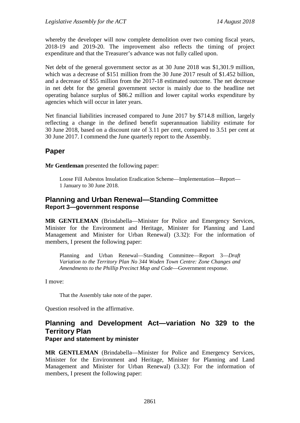whereby the developer will now complete demolition over two coming fiscal years, 2018-19 and 2019-20. The improvement also reflects the timing of project expenditure and that the Treasurer's advance was not fully called upon.

Net debt of the general government sector as at 30 June 2018 was \$1,301.9 million, which was a decrease of \$151 million from the 30 June 2017 result of \$1.452 billion, and a decrease of \$55 million from the 2017-18 estimated outcome. The net decrease in net debt for the general government sector is mainly due to the headline net operating balance surplus of \$86.2 million and lower capital works expenditure by agencies which will occur in later years.

Net financial liabilities increased compared to June 2017 by \$714.8 million, largely reflecting a change in the defined benefit superannuation liability estimate for 30 June 2018, based on a discount rate of 3.11 per cent, compared to 3.51 per cent at 30 June 2017. I commend the June quarterly report to the Assembly.

# **Paper**

**Mr Gentleman** presented the following paper:

Loose Fill Asbestos Insulation Eradication Scheme—Implementation—Report— 1 January to 30 June 2018.

## **Planning and Urban Renewal—Standing Committee Report 3—government response**

**MR GENTLEMAN** (Brindabella—Minister for Police and Emergency Services, Minister for the Environment and Heritage, Minister for Planning and Land Management and Minister for Urban Renewal) (3.32): For the information of members, I present the following paper:

Planning and Urban Renewal—Standing Committee—Report 3—*Draft Variation to the Territory Plan No 344 Woden Town Centre: Zone Changes and Amendments to the Phillip Precinct Map and Code*—Government response.

I move:

That the Assembly take note of the paper.

Question resolved in the affirmative.

### **Planning and Development Act—variation No 329 to the Territory Plan Paper and statement by minister**

**MR GENTLEMAN** (Brindabella—Minister for Police and Emergency Services, Minister for the Environment and Heritage, Minister for Planning and Land Management and Minister for Urban Renewal) (3.32): For the information of members, I present the following paper: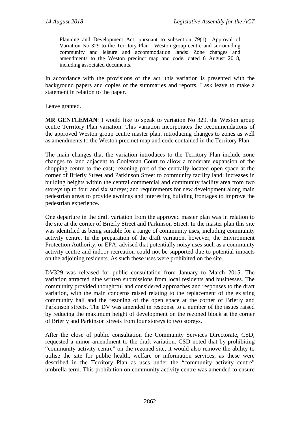Planning and Development Act, pursuant to subsection 79(1)—Approval of Variation No 329 to the Territory Plan—Weston group centre and surrounding community and leisure and accommodation lands: Zone changes and amendments to the Weston precinct map and code, dated 6 August 2018, including associated documents.

In accordance with the provisions of the act, this variation is presented with the background papers and copies of the summaries and reports. I ask leave to make a statement in relation to the paper.

Leave granted.

**MR GENTLEMAN**: I would like to speak to variation No 329, the Weston group centre Territory Plan variation. This variation incorporates the recommendations of the approved Weston group centre master plan, introducing changes to zones as well as amendments to the Weston precinct map and code contained in the Territory Plan.

The main changes that the variation introduces to the Territory Plan include zone changes to land adjacent to Cooleman Court to allow a moderate expansion of the shopping centre to the east; rezoning part of the centrally located open space at the corner of Brierly Street and Parkinson Street to community facility land; increases in building heights within the central commercial and community facility area from two storeys up to four and six storeys; and requirements for new development along main pedestrian areas to provide awnings and interesting building frontages to improve the pedestrian experience.

One departure in the draft variation from the approved master plan was in relation to the site at the corner of Brierly Street and Parkinson Street. In the master plan this site was identified as being suitable for a range of community uses, including community activity centre. In the preparation of the draft variation, however, the Environment Protection Authority, or EPA, advised that potentially noisy uses such as a community activity centre and indoor recreation could not be supported due to potential impacts on the adjoining residents. As such these uses were prohibited on the site.

DV329 was released for public consultation from January to March 2015. The variation attracted nine written submissions from local residents and businesses. The community provided thoughtful and considered approaches and responses to the draft variation, with the main concerns raised relating to the replacement of the existing community hall and the rezoning of the open space at the corner of Brierly and Parkinson streets. The DV was amended in response to a number of the issues raised by reducing the maximum height of development on the rezoned block at the corner of Brierly and Parkinson streets from four storeys to two storeys.

After the close of public consultation the Community Services Directorate, CSD, requested a minor amendment to the draft variation. CSD noted that by prohibiting "community activity centre" on the rezoned site, it would also remove the ability to utilise the site for public health, welfare or information services, as these were described in the Territory Plan as uses under the "community activity centre" umbrella term. This prohibition on community activity centre was amended to ensure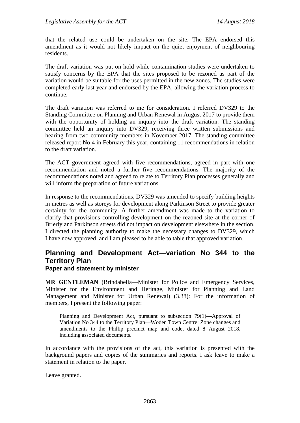that the related use could be undertaken on the site. The EPA endorsed this amendment as it would not likely impact on the quiet enjoyment of neighbouring residents.

The draft variation was put on hold while contamination studies were undertaken to satisfy concerns by the EPA that the sites proposed to be rezoned as part of the variation would be suitable for the uses permitted in the new zones. The studies were completed early last year and endorsed by the EPA, allowing the variation process to continue.

The draft variation was referred to me for consideration. I referred DV329 to the Standing Committee on Planning and Urban Renewal in August 2017 to provide them with the opportunity of holding an inquiry into the draft variation. The standing committee held an inquiry into DV329, receiving three written submissions and hearing from two community members in November 2017. The standing committee released report No 4 in February this year, containing 11 recommendations in relation to the draft variation.

The ACT government agreed with five recommendations, agreed in part with one recommendation and noted a further five recommendations. The majority of the recommendations noted and agreed to relate to Territory Plan processes generally and will inform the preparation of future variations.

In response to the recommendations, DV329 was amended to specify building heights in metres as well as storeys for development along Parkinson Street to provide greater certainty for the community. A further amendment was made to the variation to clarify that provisions controlling development on the rezoned site at the corner of Brierly and Parkinson streets did not impact on development elsewhere in the section. I directed the planning authority to make the necessary changes to DV329, which I have now approved, and I am pleased to be able to table that approved variation.

# **Planning and Development Act—variation No 344 to the Territory Plan**

#### **Paper and statement by minister**

**MR GENTLEMAN** (Brindabella—Minister for Police and Emergency Services, Minister for the Environment and Heritage, Minister for Planning and Land Management and Minister for Urban Renewal) (3.38): For the information of members, I present the following paper:

Planning and Development Act, pursuant to subsection 79(1)—Approval of Variation No 344 to the Territory Plan—Woden Town Centre: Zone changes and amendments to the Phillip precinct map and code, dated 8 August 2018, including associated documents.

In accordance with the provisions of the act, this variation is presented with the background papers and copies of the summaries and reports. I ask leave to make a statement in relation to the paper.

Leave granted.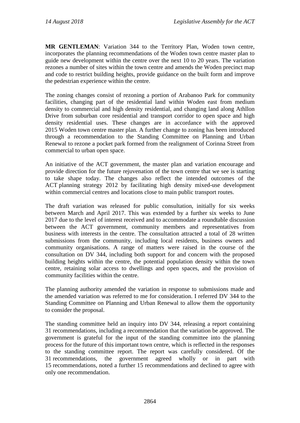**MR GENTLEMAN**: Variation 344 to the Territory Plan, Woden town centre, incorporates the planning recommendations of the Woden town centre master plan to guide new development within the centre over the next 10 to 20 years. The variation rezones a number of sites within the town centre and amends the Woden precinct map and code to restrict building heights, provide guidance on the built form and improve the pedestrian experience within the centre.

The zoning changes consist of rezoning a portion of Arabanoo Park for community facilities, changing part of the residential land within Woden east from medium density to commercial and high density residential, and changing land along Athllon Drive from suburban core residential and transport corridor to open space and high density residential uses. These changes are in accordance with the approved 2015 Woden town centre master plan. A further change to zoning has been introduced through a recommendation to the Standing Committee on Planning and Urban Renewal to rezone a pocket park formed from the realignment of Corinna Street from commercial to urban open space.

An initiative of the ACT government, the master plan and variation encourage and provide direction for the future rejuvenation of the town centre that we see is starting to take shape today. The changes also reflect the intended outcomes of the ACT planning strategy 2012 by facilitating high density mixed-use development within commercial centres and locations close to main public transport routes.

The draft variation was released for public consultation, initially for six weeks between March and April 2017. This was extended by a further six weeks to June 2017 due to the level of interest received and to accommodate a roundtable discussion between the ACT government, community members and representatives from business with interests in the centre. The consultation attracted a total of 28 written submissions from the community, including local residents, business owners and community organisations. A range of matters were raised in the course of the consultation on DV 344, including both support for and concern with the proposed building heights within the centre, the potential population density within the town centre, retaining solar access to dwellings and open spaces, and the provision of community facilities within the centre.

The planning authority amended the variation in response to submissions made and the amended variation was referred to me for consideration. I referred DV 344 to the Standing Committee on Planning and Urban Renewal to allow them the opportunity to consider the proposal.

The standing committee held an inquiry into DV 344, releasing a report containing 31 recommendations, including a recommendation that the variation be approved. The government is grateful for the input of the standing committee into the planning process for the future of this important town centre, which is reflected in the responses to the standing committee report. The report was carefully considered. Of the 31 recommendations, the government agreed wholly or in part with 15 recommendations, noted a further 15 recommendations and declined to agree with only one recommendation.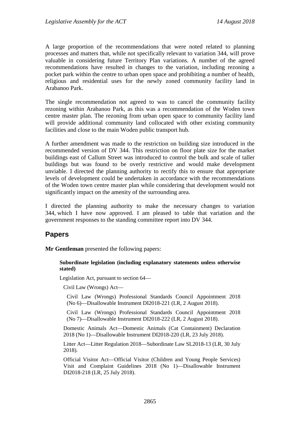A large proportion of the recommendations that were noted related to planning processes and matters that, while not specifically relevant to variation 344, will prove valuable in considering future Territory Plan variations. A number of the agreed recommendations have resulted in changes to the variation, including rezoning a pocket park within the centre to urban open space and prohibiting a number of health, religious and residential uses for the newly zoned community facility land in Arabanoo Park.

The single recommendation not agreed to was to cancel the community facility rezoning within Arabanoo Park, as this was a recommendation of the Woden town centre master plan. The rezoning from urban open space to community facility land will provide additional community land collocated with other existing community facilities and close to the main Woden public transport hub.

A further amendment was made to the restriction on building size introduced in the recommended version of DV 344. This restriction on floor plate size for the market buildings east of Callum Street was introduced to control the bulk and scale of taller buildings but was found to be overly restrictive and would make development unviable. I directed the planning authority to rectify this to ensure that appropriate levels of development could be undertaken in accordance with the recommendations of the Woden town centre master plan while considering that development would not significantly impact on the amenity of the surrounding area.

I directed the planning authority to make the necessary changes to variation 344, which I have now approved. I am pleased to table that variation and the government responses to the standing committee report into DV 344.

## **Papers**

**Mr Gentleman** presented the following papers:

#### **Subordinate legislation (including explanatory statements unless otherwise stated)**

Legislation Act, pursuant to section 64—

Civil Law (Wrongs) Act—

Civil Law (Wrongs) Professional Standards Council Appointment 2018 (No 6)—Disallowable Instrument DI2018-221 (LR, 2 August 2018).

Civil Law (Wrongs) Professional Standards Council Appointment 2018 (No 7)—Disallowable Instrument DI2018-222 (LR, 2 August 2018).

Domestic Animals Act—Domestic Animals (Cat Containment) Declaration 2018 (No 1)—Disallowable Instrument DI2018-220 (LR, 23 July 2018).

Litter Act—Litter Regulation 2018—Subordinate Law SL2018-13 (LR, 30 July 2018).

Official Visitor Act—Official Visitor (Children and Young People Services) Visit and Complaint Guidelines 2018 (No 1)—Disallowable Instrument DI2018-218 (LR, 25 July 2018).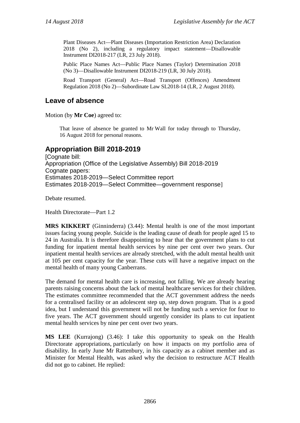Plant Diseases Act—Plant Diseases (Importation Restriction Area) Declaration 2018 (No 2), including a regulatory impact statement—Disallowable Instrument DI2018-217 (LR, 23 July 2018).

Public Place Names Act—Public Place Names (Taylor) Determination 2018 (No 3)—Disallowable Instrument DI2018-219 (LR, 30 July 2018).

Road Transport (General) Act—Road Transport (Offences) Amendment Regulation 2018 (No 2)—Subordinate Law SL2018-14 (LR, 2 August 2018).

## **Leave of absence**

Motion (by **Mr Coe**) agreed to:

That leave of absence be granted to Mr Wall for today through to Thursday, 16 August 2018 for personal reasons.

## **Appropriation Bill 2018-2019**

[Cognate bill: Appropriation (Office of the Legislative Assembly) Bill 2018-2019 Cognate papers: Estimates 2018-2019—Select Committee report Estimates 2018-2019—Select Committee—government response]

Debate resumed.

Health Directorate—Part 1.2

**MRS KIKKERT** (Ginninderra) (3.44): Mental health is one of the most important issues facing young people. Suicide is the leading cause of death for people aged 15 to 24 in Australia. It is therefore disappointing to hear that the government plans to cut funding for inpatient mental health services by nine per cent over two years. Our inpatient mental health services are already stretched, with the adult mental health unit at 105 per cent capacity for the year. These cuts will have a negative impact on the mental health of many young Canberrans.

The demand for mental health care is increasing, not falling. We are already hearing parents raising concerns about the lack of mental healthcare services for their children. The estimates committee recommended that the ACT government address the needs for a centralised facility or an adolescent step up, step down program. That is a good idea, but I understand this government will not be funding such a service for four to five years. The ACT government should urgently consider its plans to cut inpatient mental health services by nine per cent over two years.

**MS LEE** (Kurrajong) (3.46): I take this opportunity to speak on the Health Directorate appropriations, particularly on how it impacts on my portfolio area of disability. In early June Mr Rattenbury, in his capacity as a cabinet member and as Minister for Mental Health, was asked why the decision to restructure ACT Health did not go to cabinet. He replied: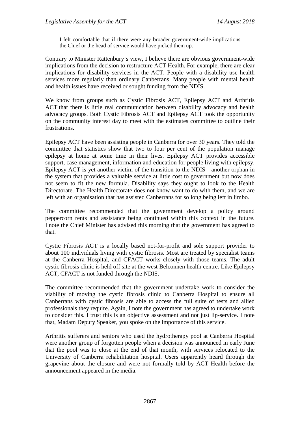I felt comfortable that if there were any broader government-wide implications the Chief or the head of service would have picked them up.

Contrary to Minister Rattenbury's view, I believe there are obvious government-wide implications from the decision to restructure ACT Health. For example, there are clear implications for disability services in the ACT. People with a disability use health services more regularly than ordinary Canberrans. Many people with mental health and health issues have received or sought funding from the NDIS.

We know from groups such as Cystic Fibrosis ACT, Epilepsy ACT and Arthritis ACT that there is little real communication between disability advocacy and health advocacy groups. Both Cystic Fibrosis ACT and Epilepsy ACT took the opportunity on the community interest day to meet with the estimates committee to outline their frustrations.

Epilepsy ACT have been assisting people in Canberra for over 30 years. They told the committee that statistics show that two to four per cent of the population manage epilepsy at home at some time in their lives. Epilepsy ACT provides accessible support, case management, information and education for people living with epilepsy. Epilepsy ACT is yet another victim of the transition to the NDIS—another orphan in the system that provides a valuable service at little cost to government but now does not seem to fit the new formula. Disability says they ought to look to the Health Directorate. The Health Directorate does not know want to do with them, and we are left with an organisation that has assisted Canberrans for so long being left in limbo.

The committee recommended that the government develop a policy around peppercorn rents and assistance being continued within this context in the future. I note the Chief Minister has advised this morning that the government has agreed to that.

Cystic Fibrosis ACT is a locally based not-for-profit and sole support provider to about 100 individuals living with cystic fibrosis. Most are treated by specialist teams at the Canberra Hospital, and CFACT works closely with those teams. The adult cystic fibrosis clinic is held off site at the west Belconnen health centre. Like Epilepsy ACT, CFACT is not funded through the NDIS.

The committee recommended that the government undertake work to consider the viability of moving the cystic fibrosis clinic to Canberra Hospital to ensure all Canberrans with cystic fibrosis are able to access the full suite of tests and allied professionals they require. Again, I note the government has agreed to undertake work to consider this. I trust this is an objective assessment and not just lip-service. I note that, Madam Deputy Speaker, you spoke on the importance of this service.

Arthritis sufferers and seniors who used the hydrotherapy pool at Canberra Hospital were another group of forgotten people when a decision was announced in early June that the pool was to close at the end of that month, with services relocated to the University of Canberra rehabilitation hospital. Users apparently heard through the grapevine about the closure and were not formally told by ACT Health before the announcement appeared in the media.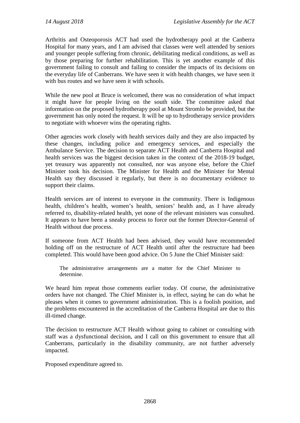Arthritis and Osteoporosis ACT had used the hydrotherapy pool at the Canberra Hospital for many years, and I am advised that classes were well attended by seniors and younger people suffering from chronic, debilitating medical conditions, as well as by those preparing for further rehabilitation. This is yet another example of this government failing to consult and failing to consider the impacts of its decisions on the everyday life of Canberrans. We have seen it with health changes, we have seen it with bus routes and we have seen it with schools.

While the new pool at Bruce is welcomed, there was no consideration of what impact it might have for people living on the south side. The committee asked that information on the proposed hydrotherapy pool at Mount Stromlo be provided, but the government has only noted the request. It will be up to hydrotherapy service providers to negotiate with whoever wins the operating rights.

Other agencies work closely with health services daily and they are also impacted by these changes, including police and emergency services, and especially the Ambulance Service. The decision to separate ACT Health and Canberra Hospital and health services was the biggest decision taken in the context of the 2018-19 budget, yet treasury was apparently not consulted, nor was anyone else, before the Chief Minister took his decision. The Minister for Health and the Minister for Mental Health say they discussed it regularly, but there is no documentary evidence to support their claims.

Health services are of interest to everyone in the community. There is Indigenous health, children's health, women's health, seniors' health and, as I have already referred to, disability-related health, yet none of the relevant ministers was consulted. It appears to have been a sneaky process to force out the former Director-General of Health without due process.

If someone from ACT Health had been advised, they would have recommended holding off on the restructure of ACT Health until after the restructure had been completed. This would have been good advice. On 5 June the Chief Minister said:

The administrative arrangements are a matter for the Chief Minister to determine.

We heard him repeat those comments earlier today. Of course, the administrative orders have not changed. The Chief Minister is, in effect, saying he can do what he pleases when it comes to government administration. This is a foolish position, and the problems encountered in the accreditation of the Canberra Hospital are due to this ill-timed change.

The decision to restructure ACT Health without going to cabinet or consulting with staff was a dysfunctional decision, and I call on this government to ensure that all Canberrans, particularly in the disability community, are not further adversely impacted.

Proposed expenditure agreed to.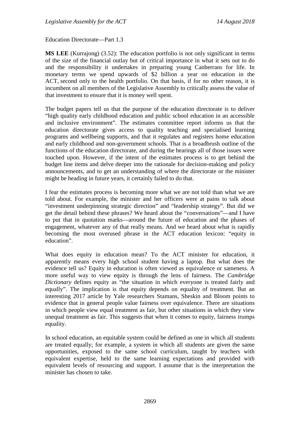Education Directorate—Part 1.3

**MS LEE** (Kurrajong) (3.52): The education portfolio is not only significant in terms of the size of the financial outlay but of critical importance in what it sets out to do and the responsibility it undertakes in preparing young Canberrans for life. In monetary terms we spend upwards of \$2 billion a year on education in the ACT, second only to the health portfolio. On that basis, if for no other reason, it is incumbent on all members of the Legislative Assembly to critically assess the value of that investment to ensure that it is money well spent.

The budget papers tell us that the purpose of the education directorate is to deliver "high quality early childhood education and public school education in an accessible and inclusive environment". The estimates committee report informs us that the education directorate gives access to quality teaching and specialised learning programs and wellbeing supports, and that it regulates and registers home education and early childhood and non-government schools. That is a broadbrush outline of the functions of the education directorate, and during the hearings all of those issues were touched upon. However, if the intent of the estimates process is to get behind the budget line items and delve deeper into the rationale for decision-making and policy announcements, and to get an understanding of where the directorate or the minister might be heading in future years, it certainly failed to do that.

I fear the estimates process is becoming more what we are not told than what we are told about. For example, the minister and her officers were at pains to talk about "investment underpinning strategic direction" and "leadership strategy". But did we get the detail behind these phrases? We heard about the "conversations"—and I have to put that in quotation marks—around the future of education and the phases of engagement, whatever any of that really means. And we heard about what is rapidly becoming the most overused phrase in the ACT education lexicon: "equity in education".

What does equity in education mean? To the ACT minister for education, it apparently means every high school student having a laptop. But what does the evidence tell us? Equity in education is often viewed as equivalence or sameness. A more useful way to view equity is through the lens of fairness. The *Cambridge Dictionary* defines equity as "the situation in which everyone is treated fairly and equally". The implication is that equity depends on equality of treatment. But an interesting 2017 article by Yale researchers Stamans, Sheskin and Bloom points to evidence that in general people value fairness over equivalence. There are situations in which people view equal treatment as fair, but other situations in which they view unequal treatment as fair. This suggests that when it comes to equity, fairness trumps equality.

In school education, an equitable system could be defined as one in which all students are treated equally; for example, a system in which all students are given the same opportunities, exposed to the same school curriculum, taught by teachers with equivalent expertise, held to the same learning expectations and provided with equivalent levels of resourcing and support. I assume that is the interpretation the minister has chosen to take.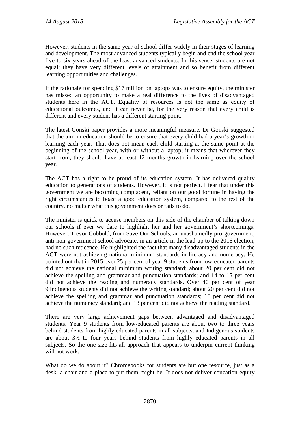However, students in the same year of school differ widely in their stages of learning and development. The most advanced students typically begin and end the school year five to six years ahead of the least advanced students. In this sense, students are not equal; they have very different levels of attainment and so benefit from different learning opportunities and challenges.

If the rationale for spending \$17 million on laptops was to ensure equity, the minister has missed an opportunity to make a real difference to the lives of disadvantaged students here in the ACT. Equality of resources is not the same as equity of educational outcomes, and it can never be, for the very reason that every child is different and every student has a different starting point.

The latest Gonski paper provides a more meaningful measure. Dr Gonski suggested that the aim in education should be to ensure that every child had a year's growth in learning each year. That does not mean each child starting at the same point at the beginning of the school year, with or without a laptop; it means that wherever they start from, they should have at least 12 months growth in learning over the school year.

The ACT has a right to be proud of its education system. It has delivered quality education to generations of students. However, it is not perfect. I fear that under this government we are becoming complacent, reliant on our good fortune in having the right circumstances to boast a good education system, compared to the rest of the country, no matter what this government does or fails to do.

The minister is quick to accuse members on this side of the chamber of talking down our schools if ever we dare to highlight her and her government's shortcomings. However, Trevor Cobbold, from Save Our Schools, an unashamedly pro-government, anti-non-government school advocate, in an article in the lead-up to the 2016 election, had no such reticence. He highlighted the fact that many disadvantaged students in the ACT were not achieving national minimum standards in literacy and numeracy. He pointed out that in 2015 over 25 per cent of year 9 students from low-educated parents did not achieve the national minimum writing standard; about 20 per cent did not achieve the spelling and grammar and punctuation standards; and 14 to 15 per cent did not achieve the reading and numeracy standards. Over 40 per cent of year 9 Indigenous students did not achieve the writing standard; about 20 per cent did not achieve the spelling and grammar and punctuation standards; 15 per cent did not achieve the numeracy standard; and 13 per cent did not achieve the reading standard.

There are very large achievement gaps between advantaged and disadvantaged students. Year 9 students from low-educated parents are about two to three years behind students from highly educated parents in all subjects, and Indigenous students are about 3½ to four years behind students from highly educated parents in all subjects. So the one-size-fits-all approach that appears to underpin current thinking will not work.

What do we do about it? Chromebooks for students are but one resource, just as a desk, a chair and a place to put them might be. It does not deliver education equity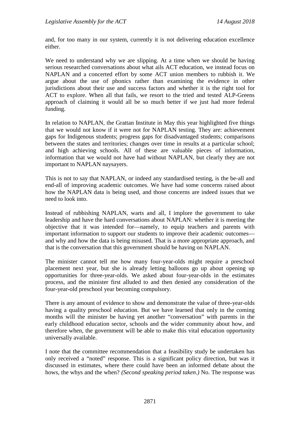and, for too many in our system, currently it is not delivering education excellence either.

We need to understand why we are slipping. At a time when we should be having serious researched conversations about what ails ACT education, we instead focus on NAPLAN and a concerted effort by some ACT union members to rubbish it. We argue about the use of phonics rather than examining the evidence in other jurisdictions about their use and success factors and whether it is the right tool for ACT to explore. When all that fails, we resort to the tried and tested ALP-Greens approach of claiming it would all be so much better if we just had more federal funding.

In relation to NAPLAN, the Grattan Institute in May this year highlighted five things that we would not know if it were not for NAPLAN testing. They are: achievement gaps for Indigenous students; progress gaps for disadvantaged students; comparisons between the states and territories; changes over time in results at a particular school; and high achieving schools. All of these are valuable pieces of information, information that we would not have had without NAPLAN, but clearly they are not important to NAPLAN naysayers.

This is not to say that NAPLAN, or indeed any standardised testing, is the be-all and end-all of improving academic outcomes. We have had some concerns raised about how the NAPLAN data is being used, and those concerns are indeed issues that we need to look into.

Instead of rubbishing NAPLAN, warts and all, I implore the government to take leadership and have the hard conversations about NAPLAN: whether it is meeting the objective that it was intended for—namely, to equip teachers and parents with important information to support our students to improve their academic outcomes and why and how the data is being misused. That is a more appropriate approach, and that is the conversation that this government should be having on NAPLAN.

The minister cannot tell me how many four-year-olds might require a preschool placement next year, but she is already letting balloons go up about opening up opportunities for three-year-olds. We asked about four-year-olds in the estimates process, and the minister first alluded to and then denied any consideration of the four-year-old preschool year becoming compulsory.

There is any amount of evidence to show and demonstrate the value of three-year-olds having a quality preschool education. But we have learned that only in the coming months will the minister be having yet another "conversation" with parents in the early childhood education sector, schools and the wider community about how, and therefore when, the government will be able to make this vital education opportunity universally available.

I note that the committee recommendation that a feasibility study be undertaken has only received a "noted" response. This is a significant policy direction, but was it discussed in estimates, where there could have been an informed debate about the hows, the whys and the when? *(Second speaking period taken.)* No. The response was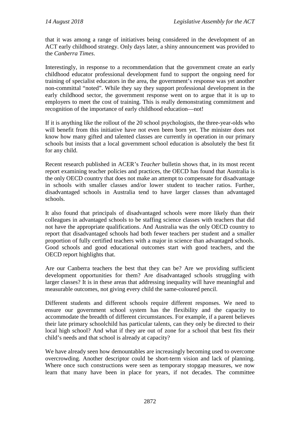that it was among a range of initiatives being considered in the development of an ACT early childhood strategy. Only days later, a shiny announcement was provided to the *Canberra Times*.

Interestingly, in response to a recommendation that the government create an early childhood educator professional development fund to support the ongoing need for training of specialist educators in the area, the government's response was yet another non-committal "noted". While they say they support professional development in the early childhood sector, the government response went on to argue that it is up to employers to meet the cost of training. This is really demonstrating commitment and recognition of the importance of early childhood education—not!

If it is anything like the rollout of the 20 school psychologists, the three-year-olds who will benefit from this initiative have not even been born yet. The minister does not know how many gifted and talented classes are currently in operation in our primary schools but insists that a local government school education is absolutely the best fit for any child.

Recent research published in ACER's *Teacher* bulletin shows that, in its most recent report examining teacher policies and practices, the OECD has found that Australia is the only OECD country that does not make an attempt to compensate for disadvantage in schools with smaller classes and/or lower student to teacher ratios. Further, disadvantaged schools in Australia tend to have larger classes than advantaged schools.

It also found that principals of disadvantaged schools were more likely than their colleagues in advantaged schools to be staffing science classes with teachers that did not have the appropriate qualifications. And Australia was the only OECD country to report that disadvantaged schools had both fewer teachers per student and a smaller proportion of fully certified teachers with a major in science than advantaged schools. Good schools and good educational outcomes start with good teachers, and the OECD report highlights that.

Are our Canberra teachers the best that they can be? Are we providing sufficient development opportunities for them? Are disadvantaged schools struggling with larger classes? It is in these areas that addressing inequality will have meaningful and measurable outcomes, not giving every child the same-coloured pencil.

Different students and different schools require different responses. We need to ensure our government school system has the flexibility and the capacity to accommodate the breadth of different circumstances. For example, if a parent believes their late primary schoolchild has particular talents, can they only be directed to their local high school? And what if they are out of zone for a school that best fits their child's needs and that school is already at capacity?

We have already seen how demountables are increasingly becoming used to overcome overcrowding. Another descriptor could be short-term vision and lack of planning. Where once such constructions were seen as temporary stopgap measures, we now learn that many have been in place for years, if not decades. The committee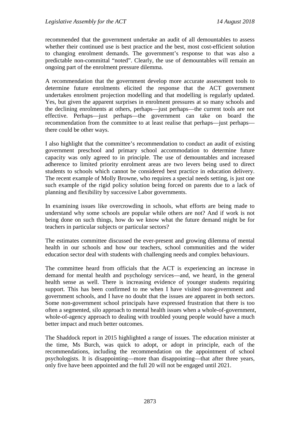recommended that the government undertake an audit of all demountables to assess whether their continued use is best practice and the best, most cost-efficient solution to changing enrolment demands. The government's response to that was also a predictable non-committal "noted". Clearly, the use of demountables will remain an ongoing part of the enrolment pressure dilemma.

A recommendation that the government develop more accurate assessment tools to determine future enrolments elicited the response that the ACT government undertakes enrolment projection modelling and that modelling is regularly updated. Yes, but given the apparent surprises in enrolment pressures at so many schools and the declining enrolments at others, perhaps—just perhaps—the current tools are not effective. Perhaps—just perhaps—the government can take on board the recommendation from the committee to at least realise that perhaps—just perhaps there could be other ways.

I also highlight that the committee's recommendation to conduct an audit of existing government preschool and primary school accommodation to determine future capacity was only agreed to in principle. The use of demountables and increased adherence to limited priority enrolment areas are two levers being used to direct students to schools which cannot be considered best practice in education delivery. The recent example of Molly Browne, who requires a special needs setting, is just one such example of the rigid policy solution being forced on parents due to a lack of planning and flexibility by successive Labor governments.

In examining issues like overcrowding in schools, what efforts are being made to understand why some schools are popular while others are not? And if work is not being done on such things, how do we know what the future demand might be for teachers in particular subjects or particular sectors?

The estimates committee discussed the ever-present and growing dilemma of mental health in our schools and how our teachers, school communities and the wider education sector deal with students with challenging needs and complex behaviours.

The committee heard from officials that the ACT is experiencing an increase in demand for mental health and psychology services—and, we heard, in the general health sense as well. There is increasing evidence of younger students requiring support. This has been confirmed to me when I have visited non-government and government schools, and I have no doubt that the issues are apparent in both sectors. Some non-government school principals have expressed frustration that there is too often a segmented, silo approach to mental health issues when a whole-of-government, whole-of-agency approach to dealing with troubled young people would have a much better impact and much better outcomes.

The Shaddock report in 2015 highlighted a range of issues. The education minister at the time, Ms Burch, was quick to adopt, or adopt in principle, each of the recommendations, including the recommendation on the appointment of school psychologists. It is disappointing—more than disappointing—that after three years, only five have been appointed and the full 20 will not be engaged until 2021.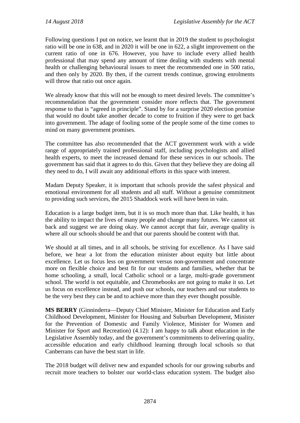Following questions I put on notice, we learnt that in 2019 the student to psychologist ratio will be one in 638, and in 2020 it will be one in 622, a slight improvement on the current ratio of one in 676. However, you have to include every allied health professional that may spend any amount of time dealing with students with mental health or challenging behavioural issues to meet the recommended one in 500 ratio, and then only by 2020. By then, if the current trends continue, growing enrolments will throw that ratio out once again.

We already know that this will not be enough to meet desired levels. The committee's recommendation that the government consider more reflects that. The government response to that is "agreed in principle". Stand by for a surprise 2020 election promise that would no doubt take another decade to come to fruition if they were to get back into government. The adage of fooling some of the people some of the time comes to mind on many government promises.

The committee has also recommended that the ACT government work with a wide range of appropriately trained professional staff, including psychologists and allied health experts, to meet the increased demand for these services in our schools. The government has said that it agrees to do this. Given that they believe they are doing all they need to do, I will await any additional efforts in this space with interest.

Madam Deputy Speaker, it is important that schools provide the safest physical and emotional environment for all students and all staff. Without a genuine commitment to providing such services, the 2015 Shaddock work will have been in vain.

Education is a large budget item, but it is so much more than that. Like health, it has the ability to impact the lives of many people and change many futures. We cannot sit back and suggest we are doing okay. We cannot accept that fair, average quality is where all our schools should be and that our parents should be content with that.

We should at all times, and in all schools, be striving for excellence. As I have said before, we hear a lot from the education minister about equity but little about excellence. Let us focus less on government versus non-government and concentrate more on flexible choice and best fit for our students and families, whether that be home schooling, a small, local Catholic school or a large, multi-grade government school. The world is not equitable, and Chromebooks are not going to make it so. Let us focus on excellence instead, and push our schools, our teachers and our students to be the very best they can be and to achieve more than they ever thought possible.

**MS BERRY** (Ginninderra—Deputy Chief Minister, Minister for Education and Early Childhood Development, Minister for Housing and Suburban Development, Minister for the Prevention of Domestic and Family Violence, Minister for Women and Minister for Sport and Recreation) (4.12): I am happy to talk about education in the Legislative Assembly today, and the government's commitments to delivering quality, accessible education and early childhood learning through local schools so that Canberrans can have the best start in life.

The 2018 budget will deliver new and expanded schools for our growing suburbs and recruit more teachers to bolster our world-class education system. The budget also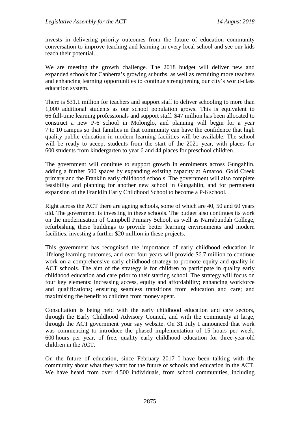invests in delivering priority outcomes from the future of education community conversation to improve teaching and learning in every local school and see our kids reach their potential.

We are meeting the growth challenge. The 2018 budget will deliver new and expanded schools for Canberra's growing suburbs, as well as recruiting more teachers and enhancing learning opportunities to continue strengthening our city's world-class education system.

There is \$31.1 million for teachers and support staff to deliver schooling to more than 1,000 additional students as our school population grows. This is equivalent to 66 full-time learning professionals and support staff. \$47 million has been allocated to construct a new P-6 school in Molonglo, and planning will begin for a year 7 to 10 campus so that families in that community can have the confidence that high quality public education in modern learning facilities will be available. The school will be ready to accept students from the start of the 2021 year, with places for 600 students from kindergarten to year 6 and 44 places for preschool children.

The government will continue to support growth in enrolments across Gungahlin, adding a further 500 spaces by expanding existing capacity at Amaroo, Gold Creek primary and the Franklin early childhood schools. The government will also complete feasibility and planning for another new school in Gungahlin, and for permanent expansion of the Franklin Early Childhood School to become a P-6 school.

Right across the ACT there are ageing schools, some of which are 40, 50 and 60 years old. The government is investing in these schools. The budget also continues its work on the modernisation of Campbell Primary School, as well as Narrabundah College, refurbishing these buildings to provide better learning environments and modern facilities, investing a further \$20 million in these projects.

This government has recognised the importance of early childhood education in lifelong learning outcomes, and over four years will provide \$6.7 million to continue work on a comprehensive early childhood strategy to promote equity and quality in ACT schools. The aim of the strategy is for children to participate in quality early childhood education and care prior to their starting school. The strategy will focus on four key elements: increasing access, equity and affordability; enhancing workforce and qualifications; ensuring seamless transitions from education and care; and maximising the benefit to children from money spent.

Consultation is being held with the early childhood education and care sectors, through the Early Childhood Advisory Council, and with the community at large, through the ACT government your say website. On 31 July I announced that work was commencing to introduce the phased implementation of 15 hours per week, 600 hours per year, of free, quality early childhood education for three-year-old children in the ACT.

On the future of education, since February 2017 I have been talking with the community about what they want for the future of schools and education in the ACT. We have heard from over 4,500 individuals, from school communities, including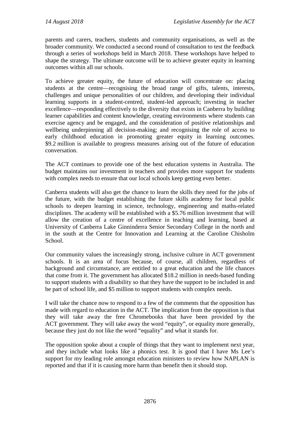parents and carers, teachers, students and community organisations, as well as the broader community. We conducted a second round of consultation to test the feedback through a series of workshops held in March 2018. These workshops have helped to shape the strategy. The ultimate outcome will be to achieve greater equity in learning outcomes within all our schools.

To achieve greater equity, the future of education will concentrate on: placing students at the centre—recognising the broad range of gifts, talents, interests, challenges and unique personalities of our children, and developing their individual learning supports in a student-centred, student-led approach; investing in teacher excellence—responding effectively to the diversity that exists in Canberra by building learner capabilities and content knowledge, creating environments where students can exercise agency and be engaged, and the consideration of positive relationships and wellbeing underpinning all decision-making; and recognising the role of access to early childhood education in promoting greater equity in learning outcomes. \$9.2 million is available to progress measures arising out of the future of education conversation.

The ACT continues to provide one of the best education systems in Australia. The budget maintains our investment in teachers and provides more support for students with complex needs to ensure that our local schools keep getting even better.

Canberra students will also get the chance to learn the skills they need for the jobs of the future, with the budget establishing the future skills academy for local public schools to deepen learning in science, technology, engineering and maths-related disciplines. The academy will be established with a \$5.76 million investment that will allow the creation of a centre of excellence in teaching and learning, based at University of Canberra Lake Ginninderra Senior Secondary College in the north and in the south at the Centre for Innovation and Learning at the Caroline Chisholm School.

Our community values the increasingly strong, inclusive culture in ACT government schools. It is an area of focus because, of course, all children, regardless of background and circumstance, are entitled to a great education and the life chances that come from it. The government has allocated \$18.2 million in needs-based funding to support students with a disability so that they have the support to be included in and be part of school life, and \$5 million to support students with complex needs.

I will take the chance now to respond to a few of the comments that the opposition has made with regard to education in the ACT. The implication from the opposition is that they will take away the free Chromebooks that have been provided by the ACT government. They will take away the word "equity", or equality more generally, because they just do not like the word "equality" and what it stands for.

The opposition spoke about a couple of things that they want to implement next year, and they include what looks like a phonics test. It is good that I have Ms Lee's support for my leading role amongst education ministers to review how NAPLAN is reported and that if it is causing more harm than benefit then it should stop.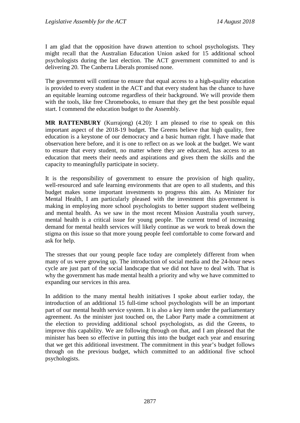I am glad that the opposition have drawn attention to school psychologists. They might recall that the Australian Education Union asked for 15 additional school psychologists during the last election. The ACT government committed to and is delivering 20. The Canberra Liberals promised none.

The government will continue to ensure that equal access to a high-quality education is provided to every student in the ACT and that every student has the chance to have an equitable learning outcome regardless of their background. We will provide them with the tools, like free Chromebooks, to ensure that they get the best possible equal start. I commend the education budget to the Assembly.

**MR RATTENBURY** (Kurrajong) (4.20): I am pleased to rise to speak on this important aspect of the 2018-19 budget. The Greens believe that high quality, free education is a keystone of our democracy and a basic human right. I have made that observation here before, and it is one to reflect on as we look at the budget. We want to ensure that every student, no matter where they are educated, has access to an education that meets their needs and aspirations and gives them the skills and the capacity to meaningfully participate in society.

It is the responsibility of government to ensure the provision of high quality, well-resourced and safe learning environments that are open to all students, and this budget makes some important investments to progress this aim. As Minister for Mental Health, I am particularly pleased with the investment this government is making in employing more school psychologists to better support student wellbeing and mental health. As we saw in the most recent Mission Australia youth survey, mental health is a critical issue for young people. The current trend of increasing demand for mental health services will likely continue as we work to break down the stigma on this issue so that more young people feel comfortable to come forward and ask for help.

The stresses that our young people face today are completely different from when many of us were growing up. The introduction of social media and the 24-hour news cycle are just part of the social landscape that we did not have to deal with. That is why the government has made mental health a priority and why we have committed to expanding our services in this area.

In addition to the many mental health initiatives I spoke about earlier today, the introduction of an additional 15 full-time school psychologists will be an important part of our mental health service system. It is also a key item under the parliamentary agreement. As the minister just touched on, the Labor Party made a commitment at the election to providing additional school psychologists, as did the Greens, to improve this capability. We are following through on that, and I am pleased that the minister has been so effective in putting this into the budget each year and ensuring that we get this additional investment. The commitment in this year's budget follows through on the previous budget, which committed to an additional five school psychologists.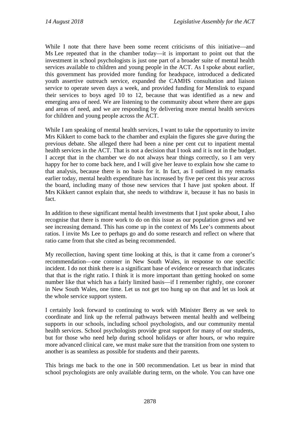While I note that there have been some recent criticisms of this initiative—and Ms Lee repeated that in the chamber today—it is important to point out that the investment in school psychologists is just one part of a broader suite of mental health services available to children and young people in the ACT. As I spoke about earlier, this government has provided more funding for headspace, introduced a dedicated youth assertive outreach service, expanded the CAMHS consultation and liaison service to operate seven days a week, and provided funding for Menslink to expand their services to boys aged 10 to 12, because that was identified as a new and emerging area of need. We are listening to the community about where there are gaps and areas of need, and we are responding by delivering more mental health services for children and young people across the ACT.

While I am speaking of mental health services, I want to take the opportunity to invite Mrs Kikkert to come back to the chamber and explain the figures she gave during the previous debate. She alleged there had been a nine per cent cut to inpatient mental health services in the ACT. That is not a decision that I took and it is not in the budget. I accept that in the chamber we do not always hear things correctly, so I am very happy for her to come back here, and I will give her leave to explain how she came to that analysis, because there is no basis for it. In fact, as I outlined in my remarks earlier today, mental health expenditure has increased by five per cent this year across the board, including many of those new services that I have just spoken about. If Mrs Kikkert cannot explain that, she needs to withdraw it, because it has no basis in fact.

In addition to these significant mental health investments that I just spoke about, I also recognise that there is more work to do on this issue as our population grows and we see increasing demand. This has come up in the context of Ms Lee's comments about ratios. I invite Ms Lee to perhaps go and do some research and reflect on where that ratio came from that she cited as being recommended.

My recollection, having spent time looking at this, is that it came from a coroner's recommendation—one coroner in New South Wales, in response to one specific incident. I do not think there is a significant base of evidence or research that indicates that that is the right ratio. I think it is more important than getting hooked on some number like that which has a fairly limited basis—if I remember rightly, one coroner in New South Wales, one time. Let us not get too hung up on that and let us look at the whole service support system.

I certainly look forward to continuing to work with Minister Berry as we seek to coordinate and link up the referral pathways between mental health and wellbeing supports in our schools, including school psychologists, and our community mental health services. School psychologists provide great support for many of our students, but for those who need help during school holidays or after hours, or who require more advanced clinical care, we must make sure that the transition from one system to another is as seamless as possible for students and their parents.

This brings me back to the one in 500 recommendation. Let us bear in mind that school psychologists are only available during term, on the whole. You can have one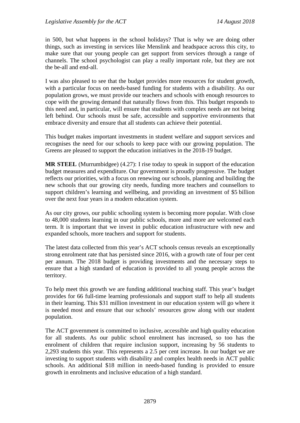in 500, but what happens in the school holidays? That is why we are doing other things, such as investing in services like Menslink and headspace across this city, to make sure that our young people can get support from services through a range of channels. The school psychologist can play a really important role, but they are not the be-all and end-all.

I was also pleased to see that the budget provides more resources for student growth, with a particular focus on needs-based funding for students with a disability. As our population grows, we must provide our teachers and schools with enough resources to cope with the growing demand that naturally flows from this. This budget responds to this need and, in particular, will ensure that students with complex needs are not being left behind. Our schools must be safe, accessible and supportive environments that embrace diversity and ensure that all students can achieve their potential.

This budget makes important investments in student welfare and support services and recognises the need for our schools to keep pace with our growing population. The Greens are pleased to support the education initiatives in the 2018-19 budget.

**MR STEEL** (Murrumbidgee) (4.27): I rise today to speak in support of the education budget measures and expenditure. Our government is proudly progressive. The budget reflects our priorities, with a focus on renewing our schools, planning and building the new schools that our growing city needs, funding more teachers and counsellors to support children's learning and wellbeing, and providing an investment of \$5 billion over the next four years in a modern education system.

As our city grows, our public schooling system is becoming more popular. With close to 48,000 students learning in our public schools, more and more are welcomed each term. It is important that we invest in public education infrastructure with new and expanded schools, more teachers and support for students.

The latest data collected from this year's ACT schools census reveals an exceptionally strong enrolment rate that has persisted since 2016, with a growth rate of four per cent per annum. The 2018 budget is providing investments and the necessary steps to ensure that a high standard of education is provided to all young people across the territory.

To help meet this growth we are funding additional teaching staff. This year's budget provides for 66 full-time learning professionals and support staff to help all students in their learning. This \$31 million investment in our education system will go where it is needed most and ensure that our schools' resources grow along with our student population.

The ACT government is committed to inclusive, accessible and high quality education for all students. As our public school enrolment has increased, so too has the enrolment of children that require inclusion support, increasing by 56 students to 2,293 students this year. This represents a 2.5 per cent increase. In our budget we are investing to support students with disability and complex health needs in ACT public schools. An additional \$18 million in needs-based funding is provided to ensure growth in enrolments and inclusive education of a high standard.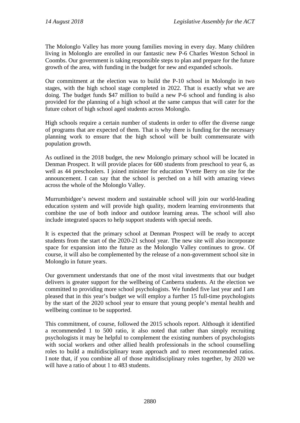The Molonglo Valley has more young families moving in every day. Many children living in Molonglo are enrolled in our fantastic new P-6 Charles Weston School in Coombs. Our government is taking responsible steps to plan and prepare for the future growth of the area, with funding in the budget for new and expanded schools.

Our commitment at the election was to build the P-10 school in Molonglo in two stages, with the high school stage completed in 2022. That is exactly what we are doing. The budget funds \$47 million to build a new P-6 school and funding is also provided for the planning of a high school at the same campus that will cater for the future cohort of high school aged students across Molonglo.

High schools require a certain number of students in order to offer the diverse range of programs that are expected of them. That is why there is funding for the necessary planning work to ensure that the high school will be built commensurate with population growth.

As outlined in the 2018 budget, the new Molonglo primary school will be located in Denman Prospect. It will provide places for 600 students from preschool to year 6, as well as 44 preschoolers. I joined minister for education Yvette Berry on site for the announcement. I can say that the school is perched on a hill with amazing views across the whole of the Molonglo Valley.

Murrumbidgee's newest modern and sustainable school will join our world-leading education system and will provide high quality, modern learning environments that combine the use of both indoor and outdoor learning areas. The school will also include integrated spaces to help support students with special needs.

It is expected that the primary school at Denman Prospect will be ready to accept students from the start of the 2020-21 school year. The new site will also incorporate space for expansion into the future as the Molonglo Valley continues to grow. Of course, it will also be complemented by the release of a non-government school site in Molonglo in future years.

Our government understands that one of the most vital investments that our budget delivers is greater support for the wellbeing of Canberra students. At the election we committed to providing more school psychologists. We funded five last year and I am pleased that in this year's budget we will employ a further 15 full-time psychologists by the start of the 2020 school year to ensure that young people's mental health and wellbeing continue to be supported.

This commitment, of course, followed the 2015 schools report. Although it identified a recommended 1 to 500 ratio, it also noted that rather than simply recruiting psychologists it may be helpful to complement the existing numbers of psychologists with social workers and other allied health professionals in the school counselling roles to build a multidisciplinary team approach and to meet recommended ratios. I note that, if you combine all of those multidisciplinary roles together, by 2020 we will have a ratio of about 1 to 483 students.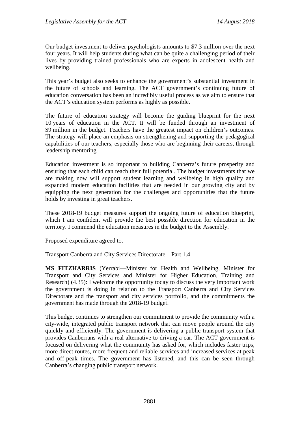Our budget investment to deliver psychologists amounts to \$7.3 million over the next four years. It will help students during what can be quite a challenging period of their lives by providing trained professionals who are experts in adolescent health and wellbeing.

This year's budget also seeks to enhance the government's substantial investment in the future of schools and learning. The ACT government's continuing future of education conversation has been an incredibly useful process as we aim to ensure that the ACT's education system performs as highly as possible.

The future of education strategy will become the guiding blueprint for the next 10 years of education in the ACT. It will be funded through an investment of \$9 million in the budget. Teachers have the greatest impact on children's outcomes. The strategy will place an emphasis on strengthening and supporting the pedagogical capabilities of our teachers, especially those who are beginning their careers, through leadership mentoring.

Education investment is so important to building Canberra's future prosperity and ensuring that each child can reach their full potential. The budget investments that we are making now will support student learning and wellbeing in high quality and expanded modern education facilities that are needed in our growing city and by equipping the next generation for the challenges and opportunities that the future holds by investing in great teachers.

These 2018-19 budget measures support the ongoing future of education blueprint, which I am confident will provide the best possible direction for education in the territory. I commend the education measures in the budget to the Assembly.

Proposed expenditure agreed to.

Transport Canberra and City Services Directorate—Part 1.4

**MS FITZHARRIS** (Yerrabi—Minister for Health and Wellbeing, Minister for Transport and City Services and Minister for Higher Education, Training and Research) (4.35): I welcome the opportunity today to discuss the very important work the government is doing in relation to the Transport Canberra and City Services Directorate and the transport and city services portfolio, and the commitments the government has made through the 2018-19 budget.

This budget continues to strengthen our commitment to provide the community with a city-wide, integrated public transport network that can move people around the city quickly and efficiently. The government is delivering a public transport system that provides Canberrans with a real alternative to driving a car. The ACT government is focused on delivering what the community has asked for, which includes faster trips, more direct routes, more frequent and reliable services and increased services at peak and off-peak times. The government has listened, and this can be seen through Canberra's changing public transport network.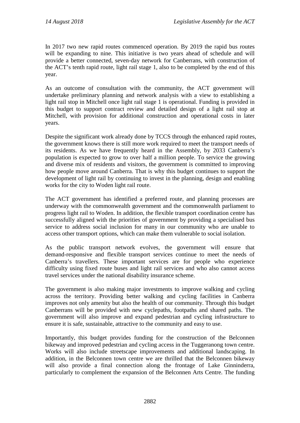In 2017 two new rapid routes commenced operation. By 2019 the rapid bus routes will be expanding to nine. This initiative is two years ahead of schedule and will provide a better connected, seven-day network for Canberrans, with construction of the ACT's tenth rapid route, light rail stage 1, also to be completed by the end of this year.

As an outcome of consultation with the community, the ACT government will undertake preliminary planning and network analysis with a view to establishing a light rail stop in Mitchell once light rail stage 1 is operational. Funding is provided in this budget to support contract review and detailed design of a light rail stop at Mitchell, with provision for additional construction and operational costs in later years.

Despite the significant work already done by TCCS through the enhanced rapid routes, the government knows there is still more work required to meet the transport needs of its residents. As we have frequently heard in the Assembly, by 2033 Canberra's population is expected to grow to over half a million people. To service the growing and diverse mix of residents and visitors, the government is committed to improving how people move around Canberra. That is why this budget continues to support the development of light rail by continuing to invest in the planning, design and enabling works for the city to Woden light rail route.

The ACT government has identified a preferred route, and planning processes are underway with the commonwealth government and the commonwealth parliament to progress light rail to Woden. In addition, the flexible transport coordination centre has successfully aligned with the priorities of government by providing a specialised bus service to address social inclusion for many in our community who are unable to access other transport options, which can make them vulnerable to social isolation.

As the public transport network evolves, the government will ensure that demand-responsive and flexible transport services continue to meet the needs of Canberra's travellers. These important services are for people who experience difficulty using fixed route buses and light rail services and who also cannot access travel services under the national disability insurance scheme.

The government is also making major investments to improve walking and cycling across the territory. Providing better walking and cycling facilities in Canberra improves not only amenity but also the health of our community. Through this budget Canberrans will be provided with new cyclepaths, footpaths and shared paths. The government will also improve and expand pedestrian and cycling infrastructure to ensure it is safe, sustainable, attractive to the community and easy to use.

Importantly, this budget provides funding for the construction of the Belconnen bikeway and improved pedestrian and cycling access in the Tuggeranong town centre. Works will also include streetscape improvements and additional landscaping. In addition, in the Belconnen town centre we are thrilled that the Belconnen bikeway will also provide a final connection along the frontage of Lake Ginninderra, particularly to complement the expansion of the Belconnen Arts Centre. The funding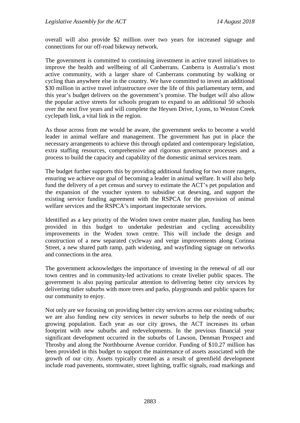overall will also provide \$2 million over two years for increased signage and connections for our off-road bikeway network.

The government is committed to continuing investment in active travel initiatives to improve the health and wellbeing of all Canberrans. Canberra is Australia's most active community, with a larger share of Canberrans commuting by walking or cycling than anywhere else in the country. We have committed to invest an additional \$30 million in active travel infrastructure over the life of this parliamentary term, and this year's budget delivers on the government's promise. The budget will also allow the popular active streets for schools program to expand to an additional 50 schools over the next five years and will complete the Heysen Drive, Lyons, to Weston Creek cyclepath link, a vital link in the region.

As those across from me would be aware, the government seeks to become a world leader in animal welfare and management. The government has put in place the necessary arrangements to achieve this through updated and contemporary legislation, extra staffing resources, comprehensive and rigorous governance processes and a process to build the capacity and capability of the domestic animal services team.

The budget further supports this by providing additional funding for two more rangers, ensuring we achieve our goal of becoming a leader in animal welfare. It will also help fund the delivery of a pet census and survey to estimate the ACT's pet population and the expansion of the voucher system to subsidise cat desexing, and support the existing service funding agreement with the RSPCA for the provision of animal welfare services and the RSPCA's important inspectorate services.

Identified as a key priority of the Woden town centre master plan, funding has been provided in this budget to undertake pedestrian and cycling accessibility improvements in the Woden town centre. This will include the design and construction of a new separated cycleway and verge improvements along Corinna Street, a new shared path ramp, path widening, and wayfinding signage on networks and connections in the area.

The government acknowledges the importance of investing in the renewal of all our town centres and in community-led activations to create livelier public spaces. The government is also paying particular attention to delivering better city services by delivering tidier suburbs with more trees and parks, playgrounds and public spaces for our community to enjoy.

Not only are we focusing on providing better city services across our existing suburbs; we are also funding new city services in newer suburbs to help the needs of our growing population. Each year as our city grows, the ACT increases its urban footprint with new suburbs and redevelopments. In the previous financial year significant development occurred in the suburbs of Lawson, Denman Prospect and Throsby and along the Northbourne Avenue corridor. Funding of \$10.27 million has been provided in this budget to support the maintenance of assets associated with the growth of our city. Assets typically created as a result of greenfield development include road pavements, stormwater, street lighting, traffic signals, road markings and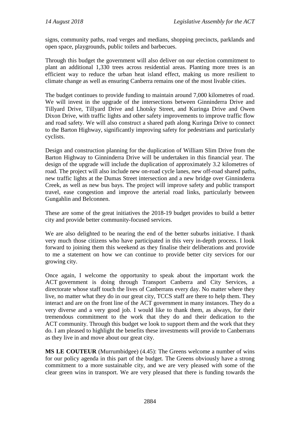signs, community paths, road verges and medians, shopping precincts, parklands and open space, playgrounds, public toilets and barbecues.

Through this budget the government will also deliver on our election commitment to plant an additional 1,330 trees across residential areas. Planting more trees is an efficient way to reduce the urban heat island effect, making us more resilient to climate change as well as ensuring Canberra remains one of the most livable cities.

The budget continues to provide funding to maintain around 7,000 kilometres of road. We will invest in the upgrade of the intersections between Ginninderra Drive and Tillyard Drive, Tillyard Drive and Lhotsky Street, and Kuringa Drive and Owen Dixon Drive, with traffic lights and other safety improvements to improve traffic flow and road safety. We will also construct a shared path along Kuringa Drive to connect to the Barton Highway, significantly improving safety for pedestrians and particularly cyclists.

Design and construction planning for the duplication of William Slim Drive from the Barton Highway to Ginninderra Drive will be undertaken in this financial year. The design of the upgrade will include the duplication of approximately 3.2 kilometres of road. The project will also include new on-road cycle lanes, new off-road shared paths, new traffic lights at the Dumas Street intersection and a new bridge over Ginninderra Creek, as well as new bus bays. The project will improve safety and public transport travel, ease congestion and improve the arterial road links, particularly between Gungahlin and Belconnen.

These are some of the great initiatives the 2018-19 budget provides to build a better city and provide better community-focused services.

We are also delighted to be nearing the end of the better suburbs initiative. I thank very much those citizens who have participated in this very in-depth process. I look forward to joining them this weekend as they finalise their deliberations and provide to me a statement on how we can continue to provide better city services for our growing city.

Once again, I welcome the opportunity to speak about the important work the ACT government is doing through Transport Canberra and City Services, a directorate whose staff touch the lives of Canberrans every day. No matter where they live, no matter what they do in our great city, TCCS staff are there to help them. They interact and are on the front line of the ACT government in many instances. They do a very diverse and a very good job. I would like to thank them, as always, for their tremendous commitment to the work that they do and their dedication to the ACT community. Through this budget we look to support them and the work that they do. I am pleased to highlight the benefits these investments will provide to Canberrans as they live in and move about our great city.

**MS LE COUTEUR** (Murrumbidgee) (4.45): The Greens welcome a number of wins for our policy agenda in this part of the budget. The Greens obviously have a strong commitment to a more sustainable city, and we are very pleased with some of the clear green wins in transport. We are very pleased that there is funding towards the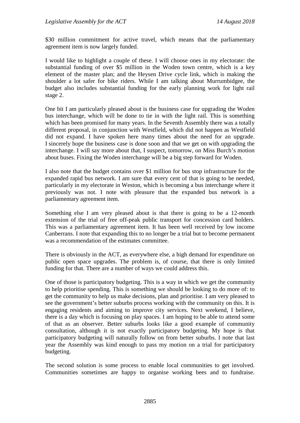\$30 million commitment for active travel, which means that the parliamentary agreement item is now largely funded.

I would like to highlight a couple of these. I will choose ones in my electorate: the substantial funding of over \$5 million in the Woden town centre, which is a key element of the master plan; and the Heysen Drive cycle link, which is making the shoulder a lot safer for bike riders. While I am talking about Murrumbidgee, the budget also includes substantial funding for the early planning work for light rail stage 2.

One bit I am particularly pleased about is the business case for upgrading the Woden bus interchange, which will be done to tie in with the light rail. This is something which has been promised for many years. In the Seventh Assembly there was a totally different proposal, in conjunction with Westfield, which did not happen as Westfield did not expand. I have spoken here many times about the need for an upgrade. I sincerely hope the business case is done soon and that we get on with upgrading the interchange. I will say more about that, I suspect, tomorrow, on Miss Burch's motion about buses. Fixing the Woden interchange will be a big step forward for Woden.

I also note that the budget contains over \$1 million for bus stop infrastructure for the expanded rapid bus network. I am sure that every cent of that is going to be needed, particularly in my electorate in Weston, which is becoming a bus interchange where it previously was not. I note with pleasure that the expanded bus network is a parliamentary agreement item.

Something else I am very pleased about is that there is going to be a 12-month extension of the trial of free off-peak public transport for concession card holders. This was a parliamentary agreement item. It has been well received by low income Canberrans. I note that expanding this to no longer be a trial but to become permanent was a recommendation of the estimates committee.

There is obviously in the ACT, as everywhere else, a high demand for expenditure on public open space upgrades. The problem is, of course, that there is only limited funding for that. There are a number of ways we could address this.

One of those is participatory budgeting. This is a way in which we get the community to help prioritise spending. This is something we should be looking to do more of: to get the community to help us make decisions, plan and prioritise. I am very pleased to see the government's better suburbs process working with the community on this. It is engaging residents and aiming to improve city services. Next weekend, I believe, there is a day which is focusing on play spaces. I am hoping to be able to attend some of that as an observer. Better suburbs looks like a good example of community consultation, although it is not exactly participatory budgeting. My hope is that participatory budgeting will naturally follow on from better suburbs. I note that last year the Assembly was kind enough to pass my motion on a trial for participatory budgeting.

The second solution is some process to enable local communities to get involved. Communities sometimes are happy to organise working bees and to fundraise.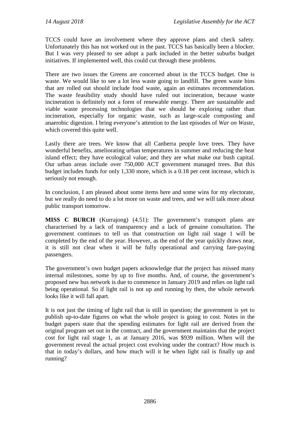TCCS could have an involvement where they approve plans and check safety. Unfortunately this has not worked out in the past. TCCS has basically been a blocker. But I was very pleased to see adopt a park included in the better suburbs budget initiatives. If implemented well, this could cut through these problems.

There are two issues the Greens are concerned about in the TCCS budget. One is waste. We would like to see a lot less waste going to landfill. The green waste bins that are rolled out should include food waste, again an estimates recommendation. The waste feasibility study should have ruled out incineration, because waste incineration is definitely not a form of renewable energy. There are sustainable and viable waste processing technologies that we should be exploring rather than incineration, especially for organic waste, such as large-scale composting and anaerobic digestion. I bring everyone's attention to the last episodes of *War on Waste*, which covered this quite well.

Lastly there are trees. We know that all Canberra people love trees. They have wonderful benefits, ameliorating urban temperatures in summer and reducing the heat island effect; they have ecological value; and they are what make our bush capital. Our urban areas include over 750,000 ACT government managed trees. But this budget includes funds for only 1,330 more, which is a 0.18 per cent increase, which is seriously not enough.

In conclusion, I am pleased about some items here and some wins for my electorate, but we really do need to do a lot more on waste and trees, and we will talk more about public transport tomorrow.

**MISS C BURCH** (Kurrajong) (4.51): The government's transport plans are characterised by a lack of transparency and a lack of genuine consultation. The government continues to tell us that construction on light rail stage 1 will be completed by the end of the year. However, as the end of the year quickly draws near, it is still not clear when it will be fully operational and carrying fare-paying passengers.

The government's own budget papers acknowledge that the project has missed many internal milestones, some by up to five months. And, of course, the government's proposed new bus network is due to commence in January 2019 and relies on light rail being operational. So if light rail is not up and running by then, the whole network looks like it will fall apart.

It is not just the timing of light rail that is still in question; the government is yet to publish up-to-date figures on what the whole project is going to cost. Notes in the budget papers state that the spending estimates for light rail are derived from the original program set out in the contract, and the government maintains that the project cost for light rail stage 1, as at January 2016, was \$939 million. When will the government reveal the actual project cost evolving under the contract? How much is that in today's dollars, and how much will it be when light rail is finally up and running?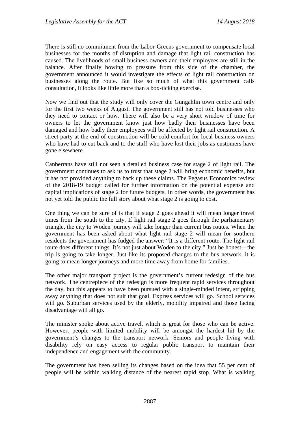There is still no commitment from the Labor-Greens government to compensate local businesses for the months of disruption and damage that light rail construction has caused. The livelihoods of small business owners and their employees are still in the balance. After finally bowing to pressure from this side of the chamber, the government announced it would investigate the effects of light rail construction on businesses along the route. But like so much of what this government calls consultation, it looks like little more than a box-ticking exercise.

Now we find out that the study will only cover the Gungahlin town centre and only for the first two weeks of August. The government still has not told businesses who they need to contact or how. There will also be a very short window of time for owners to let the government know just how badly their businesses have been damaged and how badly their employees will be affected by light rail construction. A street party at the end of construction will be cold comfort for local business owners who have had to cut back and to the staff who have lost their jobs as customers have gone elsewhere.

Canberrans have still not seen a detailed business case for stage 2 of light rail. The government continues to ask us to trust that stage 2 will bring economic benefits, but it has not provided anything to back up these claims. The Pegasus Economics review of the 2018-19 budget called for further information on the potential expense and capital implications of stage 2 for future budgets. In other words, the government has not yet told the public the full story about what stage 2 is going to cost.

One thing we can be sure of is that if stage 2 goes ahead it will mean longer travel times from the south to the city. If light rail stage 2 goes through the parliamentary triangle, the city to Woden journey will take longer than current bus routes. When the government has been asked about what light rail stage 2 will mean for southern residents the government has fudged the answer: "It is a different route. The light rail route does different things. It's not just about Woden to the city." Just be honest—the trip is going to take longer. Just like its proposed changes to the bus network, it is going to mean longer journeys and more time away from home for families.

The other major transport project is the government's current redesign of the bus network. The centrepiece of the redesign is more frequent rapid services throughout the day, but this appears to have been pursued with a single-minded intent, stripping away anything that does not suit that goal. Express services will go. School services will go. Suburban services used by the elderly, mobility impaired and those facing disadvantage will all go.

The minister spoke about active travel, which is great for those who can be active. However, people with limited mobility will be amongst the hardest hit by the government's changes to the transport network. Seniors and people living with disability rely on easy access to regular public transport to maintain their independence and engagement with the community.

The government has been selling its changes based on the idea that 55 per cent of people will be within walking distance of the nearest rapid stop. What is walking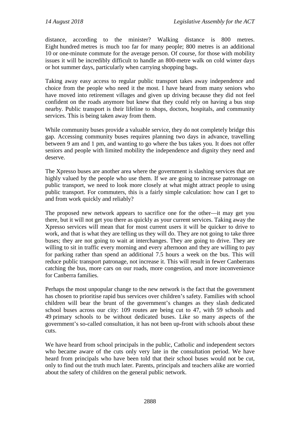distance, according to the minister? Walking distance is 800 metres. Eight hundred metres is much too far for many people; 800 metres is an additional 10 or one-minute commute for the average person. Of course, for those with mobility issues it will be incredibly difficult to handle an 800-metre walk on cold winter days or hot summer days, particularly when carrying shopping bags.

Taking away easy access to regular public transport takes away independence and choice from the people who need it the most. I have heard from many seniors who have moved into retirement villages and given up driving because they did not feel confident on the roads anymore but knew that they could rely on having a bus stop nearby. Public transport is their lifeline to shops, doctors, hospitals, and community services. This is being taken away from them.

While community buses provide a valuable service, they do not completely bridge this gap. Accessing community buses requires planning two days in advance, travelling between 9 am and 1 pm, and wanting to go where the bus takes you. It does not offer seniors and people with limited mobility the independence and dignity they need and deserve.

The Xpresso buses are another area where the government is slashing services that are highly valued by the people who use them. If we are going to increase patronage on public transport, we need to look more closely at what might attract people to using public transport. For commuters, this is a fairly simple calculation: how can I get to and from work quickly and reliably?

The proposed new network appears to sacrifice one for the other—it may get you there, but it will not get you there as quickly as your current services. Taking away the Xpresso services will mean that for most current users it will be quicker to drive to work, and that is what they are telling us they will do. They are not going to take three buses; they are not going to wait at interchanges. They are going to drive. They are willing to sit in traffic every morning and every afternoon and they are willing to pay for parking rather than spend an additional 7.5 hours a week on the bus. This will reduce public transport patronage, not increase it. This will result in fewer Canberrans catching the bus, more cars on our roads, more congestion, and more inconvenience for Canberra families.

Perhaps the most unpopular change to the new network is the fact that the government has chosen to prioritise rapid bus services over children's safety. Families with school children will bear the brunt of the government's changes as they slash dedicated school buses across our city: 109 routes are being cut to 47, with 59 schools and 49 primary schools to be without dedicated buses. Like so many aspects of the government's so-called consultation, it has not been up-front with schools about these cuts.

We have heard from school principals in the public, Catholic and independent sectors who became aware of the cuts only very late in the consultation period. We have heard from principals who have been told that their school buses would not be cut, only to find out the truth much later. Parents, principals and teachers alike are worried about the safety of children on the general public network.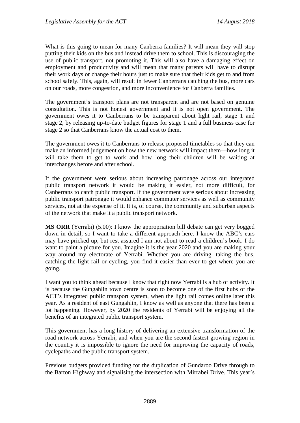What is this going to mean for many Canberra families? It will mean they will stop putting their kids on the bus and instead drive them to school. This is discouraging the use of public transport, not promoting it. This will also have a damaging effect on employment and productivity and will mean that many parents will have to disrupt their work days or change their hours just to make sure that their kids get to and from school safely. This, again, will result in fewer Canberrans catching the bus, more cars on our roads, more congestion, and more inconvenience for Canberra families.

The government's transport plans are not transparent and are not based on genuine consultation. This is not honest government and it is not open government. The government owes it to Canberrans to be transparent about light rail, stage 1 and stage 2, by releasing up-to-date budget figures for stage 1 and a full business case for stage 2 so that Canberrans know the actual cost to them.

The government owes it to Canberrans to release proposed timetables so that they can make an informed judgement on how the new network will impact them—how long it will take them to get to work and how long their children will be waiting at interchanges before and after school.

If the government were serious about increasing patronage across our integrated public transport network it would be making it easier, not more difficult, for Canberrans to catch public transport. If the government were serious about increasing public transport patronage it would enhance commuter services as well as community services, not at the expense of it. It is, of course, the community and suburban aspects of the network that make it a public transport network.

**MS ORR** (Yerrabi) (5.00): I know the appropriation bill debate can get very bogged down in detail, so I want to take a different approach here. I know the ABC's ears may have pricked up, but rest assured I am not about to read a children's book. I do want to paint a picture for you. Imagine it is the year 2020 and you are making your way around my electorate of Yerrabi. Whether you are driving, taking the bus, catching the light rail or cycling, you find it easier than ever to get where you are going.

I want you to think ahead because I know that right now Yerrabi is a hub of activity. It is because the Gungahlin town centre is soon to become one of the first hubs of the ACT's integrated public transport system, when the light rail comes online later this year. As a resident of east Gungahlin, I know as well as anyone that there has been a lot happening. However, by 2020 the residents of Yerrabi will be enjoying all the benefits of an integrated public transport system.

This government has a long history of delivering an extensive transformation of the road network across Yerrabi, and when you are the second fastest growing region in the country it is impossible to ignore the need for improving the capacity of roads, cyclepaths and the public transport system.

Previous budgets provided funding for the duplication of Gundaroo Drive through to the Barton Highway and signalising the intersection with Mirrabei Drive. This year's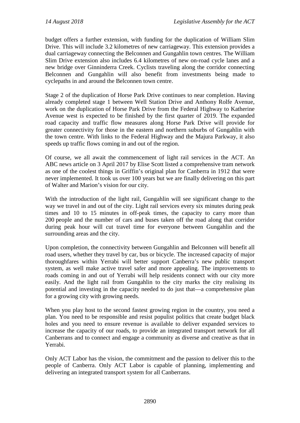budget offers a further extension, with funding for the duplication of William Slim Drive. This will include 3.2 kilometres of new carriageway. This extension provides a dual carriageway connecting the Belconnen and Gungahlin town centres. The William Slim Drive extension also includes 6.4 kilometres of new on-road cycle lanes and a new bridge over Ginninderra Creek. Cyclists traveling along the corridor connecting Belconnen and Gungahlin will also benefit from investments being made to cyclepaths in and around the Belconnen town centre.

Stage 2 of the duplication of Horse Park Drive continues to near completion. Having already completed stage 1 between Well Station Drive and Anthony Rolfe Avenue, work on the duplication of Horse Park Drive from the Federal Highway to Katherine Avenue west is expected to be finished by the first quarter of 2019. The expanded road capacity and traffic flow measures along Horse Park Drive will provide for greater connectivity for those in the eastern and northern suburbs of Gungahlin with the town centre. With links to the Federal Highway and the Majura Parkway, it also speeds up traffic flows coming in and out of the region.

Of course, we all await the commencement of light rail services in the ACT. An ABC news article on 3 April 2017 by Elise Scott listed a comprehensive tram network as one of the coolest things in Griffin's original plan for Canberra in 1912 that were never implemented. It took us over 100 years but we are finally delivering on this part of Walter and Marion's vision for our city.

With the introduction of the light rail, Gungahlin will see significant change to the way we travel in and out of the city. Light rail services every six minutes during peak times and 10 to 15 minutes in off-peak times, the capacity to carry more than 200 people and the number of cars and buses taken off the road along that corridor during peak hour will cut travel time for everyone between Gungahlin and the surrounding areas and the city.

Upon completion, the connectivity between Gungahlin and Belconnen will benefit all road users, whether they travel by car, bus or bicycle. The increased capacity of major thoroughfares within Yerrabi will better support Canberra's new public transport system, as well make active travel safer and more appealing. The improvements to roads coming in and out of Yerrabi will help residents connect with our city more easily. And the light rail from Gungahlin to the city marks the city realising its potential and investing in the capacity needed to do just that—a comprehensive plan for a growing city with growing needs.

When you play host to the second fastest growing region in the country, you need a plan. You need to be responsible and resist populist politics that create budget black holes and you need to ensure revenue is available to deliver expanded services to increase the capacity of our roads, to provide an integrated transport network for all Canberrans and to connect and engage a community as diverse and creative as that in Yerrabi.

Only ACT Labor has the vision, the commitment and the passion to deliver this to the people of Canberra. Only ACT Labor is capable of planning, implementing and delivering an integrated transport system for all Canberrans.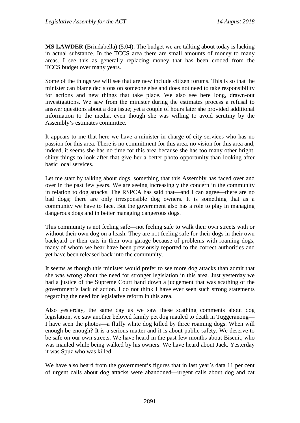**MS LAWDER** (Brindabella) (5.04): The budget we are talking about today is lacking in actual substance. In the TCCS area there are small amounts of money to many areas. I see this as generally replacing money that has been eroded from the TCCS budget over many years.

Some of the things we will see that are new include citizen forums. This is so that the minister can blame decisions on someone else and does not need to take responsibility for actions and new things that take place. We also see here long, drawn-out investigations. We saw from the minister during the estimates process a refusal to answer questions about a dog issue; yet a couple of hours later she provided additional information to the media, even though she was willing to avoid scrutiny by the Assembly's estimates committee.

It appears to me that here we have a minister in charge of city services who has no passion for this area. There is no commitment for this area, no vision for this area and, indeed, it seems she has no time for this area because she has too many other bright, shiny things to look after that give her a better photo opportunity than looking after basic local services.

Let me start by talking about dogs, something that this Assembly has faced over and over in the past few years. We are seeing increasingly the concern in the community in relation to dog attacks. The RSPCA has said that—and I can agree—there are no bad dogs; there are only irresponsible dog owners. It is something that as a community we have to face. But the government also has a role to play in managing dangerous dogs and in better managing dangerous dogs.

This community is not feeling safe—not feeling safe to walk their own streets with or without their own dog on a leash. They are not feeling safe for their dogs in their own backyard or their cats in their own garage because of problems with roaming dogs, many of whom we hear have been previously reported to the correct authorities and yet have been released back into the community.

It seems as though this minister would prefer to see more dog attacks than admit that she was wrong about the need for stronger legislation in this area. Just yesterday we had a justice of the Supreme Court hand down a judgement that was scathing of the government's lack of action. I do not think I have ever seen such strong statements regarding the need for legislative reform in this area.

Also yesterday, the same day as we saw these scathing comments about dog legislation, we saw another beloved family pet dog mauled to death in Tuggeranong— I have seen the photos—a fluffy white dog killed by three roaming dogs. When will enough be enough? It is a serious matter and it is about public safety. We deserve to be safe on our own streets. We have heard in the past few months about Biscuit, who was mauled while being walked by his owners. We have heard about Jack. Yesterday it was Spuz who was killed.

We have also heard from the government's figures that in last year's data 11 per cent of urgent calls about dog attacks were abandoned—urgent calls about dog and cat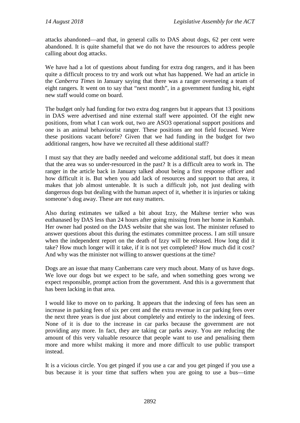attacks abandoned—and that, in general calls to DAS about dogs, 62 per cent were abandoned. It is quite shameful that we do not have the resources to address people calling about dog attacks.

We have had a lot of questions about funding for extra dog rangers, and it has been quite a difficult process to try and work out what has happened. We had an article in the *Canberra Times* in January saying that there was a ranger overseeing a team of eight rangers. It went on to say that "next month", in a government funding hit, eight new staff would come on board.

The budget only had funding for two extra dog rangers but it appears that 13 positions in DAS were advertised and nine external staff were appointed. Of the eight new positions, from what I can work out, two are ASO3 operational support positions and one is an animal behaviourist ranger. These positions are not field focused. Were these positions vacant before? Given that we had funding in the budget for two additional rangers, how have we recruited all these additional staff?

I must say that they are badly needed and welcome additional staff, but does it mean that the area was so under-resourced in the past? It is a difficult area to work in. The ranger in the article back in January talked about being a first response officer and how difficult it is. But when you add lack of resources and support to that area, it makes that job almost untenable. It is such a difficult job, not just dealing with dangerous dogs but dealing with the human aspect of it, whether it is injuries or taking someone's dog away. These are not easy matters.

Also during estimates we talked a bit about Izzy, the Maltese terrier who was euthanased by DAS less than 24 hours after going missing from her home in Kambah. Her owner had posted on the DAS website that she was lost. The minister refused to answer questions about this during the estimates committee process. I am still unsure when the independent report on the death of Izzy will be released. How long did it take? How much longer will it take, if it is not yet completed? How much did it cost? And why was the minister not willing to answer questions at the time?

Dogs are an issue that many Canberrans care very much about. Many of us have dogs. We love our dogs but we expect to be safe, and when something goes wrong we expect responsible, prompt action from the government. And this is a government that has been lacking in that area.

I would like to move on to parking. It appears that the indexing of fees has seen an increase in parking fees of six per cent and the extra revenue in car parking fees over the next three years is due just about completely and entirely to the indexing of fees. None of it is due to the increase in car parks because the government are not providing any more. In fact, they are taking car parks away. You are reducing the amount of this very valuable resource that people want to use and penalising them more and more whilst making it more and more difficult to use public transport instead.

It is a vicious circle. You get pinged if you use a car and you get pinged if you use a bus because it is your time that suffers when you are going to use a bus—time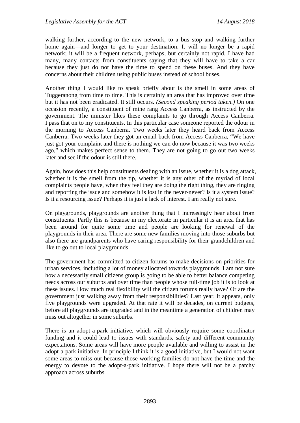walking further, according to the new network, to a bus stop and walking further home again—and longer to get to your destination. It will no longer be a rapid network; it will be a frequent network, perhaps, but certainly not rapid. I have had many, many contacts from constituents saying that they will have to take a car because they just do not have the time to spend on these buses. And they have concerns about their children using public buses instead of school buses.

Another thing I would like to speak briefly about is the smell in some areas of Tuggeranong from time to time. This is certainly an area that has improved over time but it has not been eradicated. It still occurs. *(Second speaking period taken.)* On one occasion recently, a constituent of mine rang Access Canberra, as instructed by the government. The minister likes these complaints to go through Access Canberra. I pass that on to my constituents. In this particular case someone reported the odour in the morning to Access Canberra. Two weeks later they heard back from Access Canberra. Two weeks later they got an email back from Access Canberra, "We have just got your complaint and there is nothing we can do now because it was two weeks ago," which makes perfect sense to them. They are not going to go out two weeks later and see if the odour is still there.

Again, how does this help constituents dealing with an issue, whether it is a dog attack, whether it is the smell from the tip, whether it is any other of the myriad of local complaints people have, when they feel they are doing the right thing, they are ringing and reporting the issue and somehow it is lost in the never-never? Is it a system issue? Is it a resourcing issue? Perhaps it is just a lack of interest. I am really not sure.

On playgrounds, playgrounds are another thing that I increasingly hear about from constituents. Partly this is because in my electorate in particular it is an area that has been around for quite some time and people are looking for renewal of the playgrounds in their area. There are some new families moving into those suburbs but also there are grandparents who have caring responsibility for their grandchildren and like to go out to local playgrounds.

The government has committed to citizen forums to make decisions on priorities for urban services, including a lot of money allocated towards playgrounds. I am not sure how a necessarily small citizens group is going to be able to better balance competing needs across our suburbs and over time than people whose full-time job it is to look at these issues. How much real flexibility will the citizen forums really have? Or are the government just walking away from their responsibilities? Last year, it appears, only five playgrounds were upgraded. At that rate it will be decades, on current budgets, before all playgrounds are upgraded and in the meantime a generation of children may miss out altogether in some suburbs.

There is an adopt-a-park initiative, which will obviously require some coordinator funding and it could lead to issues with standards, safety and different community expectations. Some areas will have more people available and willing to assist in the adopt-a-park initiative. In principle I think it is a good initiative, but I would not want some areas to miss out because those working families do not have the time and the energy to devote to the adopt-a-park initiative. I hope there will not be a patchy approach across suburbs.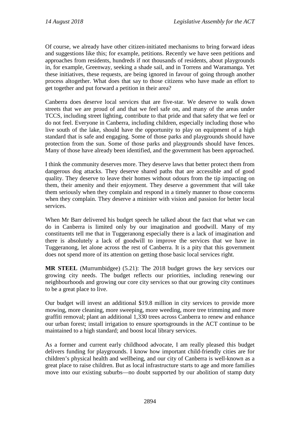Of course, we already have other citizen-initiated mechanisms to bring forward ideas and suggestions like this; for example, petitions. Recently we have seen petitions and approaches from residents, hundreds if not thousands of residents, about playgrounds in, for example, Greenway, seeking a shade sail, and in Torrens and Waramanga. Yet these initiatives, these requests, are being ignored in favour of going through another process altogether. What does that say to those citizens who have made an effort to get together and put forward a petition in their area?

Canberra does deserve local services that are five-star. We deserve to walk down streets that we are proud of and that we feel safe on, and many of the areas under TCCS, including street lighting, contribute to that pride and that safety that we feel or do not feel. Everyone in Canberra, including children, especially including those who live south of the lake, should have the opportunity to play on equipment of a high standard that is safe and engaging. Some of those parks and playgrounds should have protection from the sun. Some of those parks and playgrounds should have fences. Many of those have already been identified, and the government has been approached.

I think the community deserves more. They deserve laws that better protect them from dangerous dog attacks. They deserve shared paths that are accessible and of good quality. They deserve to leave their homes without odours from the tip impacting on them, their amenity and their enjoyment. They deserve a government that will take them seriously when they complain and respond in a timely manner to those concerns when they complain. They deserve a minister with vision and passion for better local services.

When Mr Barr delivered his budget speech he talked about the fact that what we can do in Canberra is limited only by our imagination and goodwill. Many of my constituents tell me that in Tuggeranong especially there is a lack of imagination and there is absolutely a lack of goodwill to improve the services that we have in Tuggeranong, let alone across the rest of Canberra. It is a pity that this government does not spend more of its attention on getting those basic local services right.

**MR STEEL** (Murrumbidgee) (5.21): The 2018 budget grows the key services our growing city needs. The budget reflects our priorities, including renewing our neighbourhoods and growing our core city services so that our growing city continues to be a great place to live.

Our budget will invest an additional \$19.8 million in city services to provide more mowing, more cleaning, more sweeping, more weeding, more tree trimming and more graffiti removal; plant an additional 1,330 trees across Canberra to renew and enhance our urban forest; install irrigation to ensure sportsgrounds in the ACT continue to be maintained to a high standard; and boost local library services.

As a former and current early childhood advocate, I am really pleased this budget delivers funding for playgrounds. I know how important child-friendly cities are for children's physical health and wellbeing, and our city of Canberra is well-known as a great place to raise children. But as local infrastructure starts to age and more families move into our existing suburbs—no doubt supported by our abolition of stamp duty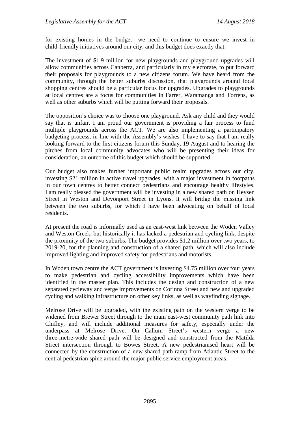for existing homes in the budget—we need to continue to ensure we invest in child-friendly initiatives around our city, and this budget does exactly that.

The investment of \$1.9 million for new playgrounds and playground upgrades will allow communities across Canberra, and particularly in my electorate, to put forward their proposals for playgrounds to a new citizens forum. We have heard from the community, through the better suburbs discussion, that playgrounds around local shopping centres should be a particular focus for upgrades. Upgrades to playgrounds at local centres are a focus for communities in Farrer, Waramanga and Torrens, as well as other suburbs which will be putting forward their proposals.

The opposition's choice was to choose one playground. Ask any child and they would say that is unfair. I am proud our government is providing a fair process to fund multiple playgrounds across the ACT. We are also implementing a participatory budgeting process, in line with the Assembly's wishes. I have to say that I am really looking forward to the first citizens forum this Sunday, 19 August and to hearing the pitches from local community advocates who will be presenting their ideas for consideration, an outcome of this budget which should be supported.

Our budget also makes further important public realm upgrades across our city, investing \$21 million in active travel upgrades, with a major investment in footpaths in our town centres to better connect pedestrians and encourage healthy lifestyles. I am really pleased the government will be investing in a new shared path on Heysen Street in Weston and Devonport Street in Lyons. It will bridge the missing link between the two suburbs, for which I have been advocating on behalf of local residents.

At present the road is informally used as an east-west link between the Woden Valley and Weston Creek, but historically it has lacked a pedestrian and cycling link, despite the proximity of the two suburbs. The budget provides \$1.2 million over two years, to 2019-20, for the planning and construction of a shared path, which will also include improved lighting and improved safety for pedestrians and motorists.

In Woden town centre the ACT government is investing \$4.75 million over four years to make pedestrian and cycling accessibility improvements which have been identified in the master plan. This includes the design and construction of a new separated cycleway and verge improvements on Corinna Street and new and upgraded cycling and walking infrastructure on other key links, as well as wayfinding signage.

Melrose Drive will be upgraded, with the existing path on the western verge to be widened from Brewer Street through to the main east-west community path link into Chifley, and will include additional measures for safety, especially under the underpass at Melrose Drive. On Callum Street's western verge a new three-metre-wide shared path will be designed and constructed from the Matilda Street intersection through to Bowes Street. A new pedestrianised heart will be connected by the construction of a new shared path ramp from Atlantic Street to the central pedestrian spine around the major public service employment areas.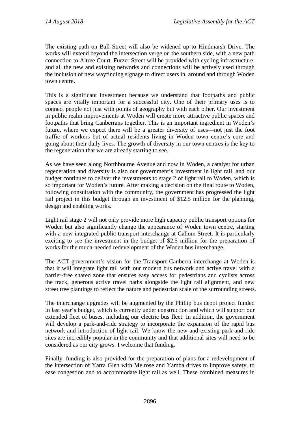The existing path on Ball Street will also be widened up to Hindmarsh Drive. The works will extend beyond the intersection verge on the southern side, with a new path connection to Altree Court. Furzer Street will be provided with cycling infrastructure, and all the new and existing networks and connections will be actively used through the inclusion of new wayfinding signage to direct users in, around and through Woden town centre.

This is a significant investment because we understand that footpaths and public spaces are vitally important for a successful city. One of their primary uses is to connect people not just with points of geography but with each other. Our investment in public realm improvements at Woden will create more attractive public spaces and footpaths that bring Canberrans together. This is an important ingredient in Woden's future, where we expect there will be a greater diversity of uses—not just the foot traffic of workers but of actual residents living in Woden town centre's core and going about their daily lives. The growth of diversity in our town centres is the key to the regeneration that we are already starting to see.

As we have seen along Northbourne Avenue and now in Woden, a catalyst for urban regeneration and diversity is also our government's investment in light rail, and our budget continues to deliver the investments to stage 2 of light rail to Woden, which is so important for Woden's future. After making a decision on the final route to Woden, following consultation with the community, the government has progressed the light rail project in this budget through an investment of \$12.5 million for the planning, design and enabling works.

Light rail stage 2 will not only provide more high capacity public transport options for Woden but also significantly change the appearance of Woden town centre, starting with a new integrated public transport interchange at Callum Street. It is particularly exciting to see the investment in the budget of \$2.5 million for the preparation of works for the much-needed redevelopment of the Woden bus interchange.

The ACT government's vision for the Transport Canberra interchange at Woden is that it will integrate light rail with our modern bus network and active travel with a barrier-free shared zone that ensures easy access for pedestrians and cyclists across the track, generous active travel paths alongside the light rail alignment, and new street tree plantings to reflect the nature and pedestrian scale of the surrounding streets.

The interchange upgrades will be augmented by the Phillip bus depot project funded in last year's budget, which is currently under construction and which will support our extended fleet of buses, including our electric bus fleet. In addition, the government will develop a park-and-ride strategy to incorporate the expansion of the rapid bus network and introduction of light rail. We know the new and existing park-and-ride sites are incredibly popular in the community and that additional sites will need to be considered as our city grows. I welcome that funding.

Finally, funding is also provided for the preparation of plans for a redevelopment of the intersection of Yarra Glen with Melrose and Yamba drives to improve safety, to ease congestion and to accommodate light rail as well. These combined measures in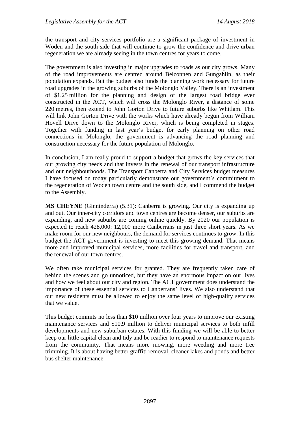the transport and city services portfolio are a significant package of investment in Woden and the south side that will continue to grow the confidence and drive urban regeneration we are already seeing in the town centres for years to come.

The government is also investing in major upgrades to roads as our city grows. Many of the road improvements are centred around Belconnen and Gungahlin, as their population expands. But the budget also funds the planning work necessary for future road upgrades in the growing suburbs of the Molonglo Valley. There is an investment of \$1.25 million for the planning and design of the largest road bridge ever constructed in the ACT, which will cross the Molonglo River, a distance of some 220 metres, then extend to John Gorton Drive to future suburbs like Whitlam. This will link John Gorton Drive with the works which have already begun from William Hovell Drive down to the Molonglo River, which is being completed in stages. Together with funding in last year's budget for early planning on other road connections in Molonglo, the government is advancing the road planning and construction necessary for the future population of Molonglo.

In conclusion, I am really proud to support a budget that grows the key services that our growing city needs and that invests in the renewal of our transport infrastructure and our neighbourhoods. The Transport Canberra and City Services budget measures I have focused on today particularly demonstrate our government's commitment to the regeneration of Woden town centre and the south side, and I commend the budget to the Assembly.

**MS CHEYNE** (Ginninderra) (5.31): Canberra is growing. Our city is expanding up and out. Our inner-city corridors and town centres are become denser, our suburbs are expanding, and new suburbs are coming online quickly. By 2020 our population is expected to reach 428,000: 12,000 more Canberrans in just three short years. As we make room for our new neighbours, the demand for services continues to grow. In this budget the ACT government is investing to meet this growing demand. That means more and improved municipal services, more facilities for travel and transport, and the renewal of our town centres.

We often take municipal services for granted. They are frequently taken care of behind the scenes and go unnoticed, but they have an enormous impact on our lives and how we feel about our city and region. The ACT government does understand the importance of these essential services to Canberrans' lives. We also understand that our new residents must be allowed to enjoy the same level of high-quality services that we value.

This budget commits no less than \$10 million over four years to improve our existing maintenance services and \$10.9 million to deliver municipal services to both infill developments and new suburban estates. With this funding we will be able to better keep our little capital clean and tidy and be readier to respond to maintenance requests from the community. That means more mowing, more weeding and more tree trimming. It is about having better graffiti removal, cleaner lakes and ponds and better bus shelter maintenance.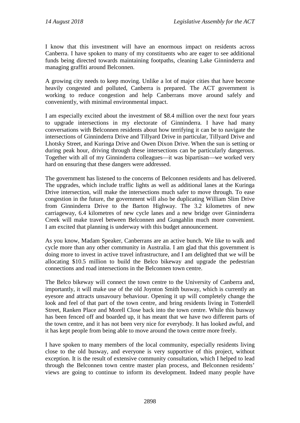I know that this investment will have an enormous impact on residents across Canberra. I have spoken to many of my constituents who are eager to see additional funds being directed towards maintaining footpaths, cleaning Lake Ginninderra and managing graffiti around Belconnen.

A growing city needs to keep moving. Unlike a lot of major cities that have become heavily congested and polluted, Canberra is prepared. The ACT government is working to reduce congestion and help Canberrans move around safely and conveniently, with minimal environmental impact.

I am especially excited about the investment of \$8.4 million over the next four years to upgrade intersections in my electorate of Ginninderra. I have had many conversations with Belconnen residents about how terrifying it can be to navigate the intersections of Ginninderra Drive and Tillyard Drive in particular, Tillyard Drive and Lhotsky Street, and Kuringa Drive and Owen Dixon Drive. When the sun is setting or during peak hour, driving through these intersections can be particularly dangerous. Together with all of my Ginninderra colleagues—it was bipartisan—we worked very hard on ensuring that these dangers were addressed.

The government has listened to the concerns of Belconnen residents and has delivered. The upgrades, which include traffic lights as well as additional lanes at the Kuringa Drive intersection, will make the intersections much safer to move through. To ease congestion in the future, the government will also be duplicating William Slim Drive from Ginninderra Drive to the Barton Highway. The 3.2 kilometres of new carriageway, 6.4 kilometres of new cycle lanes and a new bridge over Ginninderra Creek will make travel between Belconnen and Gungahlin much more convenient. I am excited that planning is underway with this budget announcement.

As you know, Madam Speaker, Canberrans are an active bunch. We like to walk and cycle more than any other community in Australia. I am glad that this government is doing more to invest in active travel infrastructure, and I am delighted that we will be allocating \$10.5 million to build the Belco bikeway and upgrade the pedestrian connections and road intersections in the Belconnen town centre.

The Belco bikeway will connect the town centre to the University of Canberra and, importantly, it will make use of the old Joynton Smith busway, which is currently an eyesore and attracts unsavoury behaviour. Opening it up will completely change the look and feel of that part of the town centre, and bring residents living in Totterdell Street, Ranken Place and Morell Close back into the town centre. While this busway has been fenced off and boarded up, it has meant that we have two different parts of the town centre, and it has not been very nice for everybody. It has looked awful, and it has kept people from being able to move around the town centre more freely.

I have spoken to many members of the local community, especially residents living close to the old busway, and everyone is very supportive of this project, without exception. It is the result of extensive community consultation, which I helped to lead through the Belconnen town centre master plan process, and Belconnen residents' views are going to continue to inform its development. Indeed many people have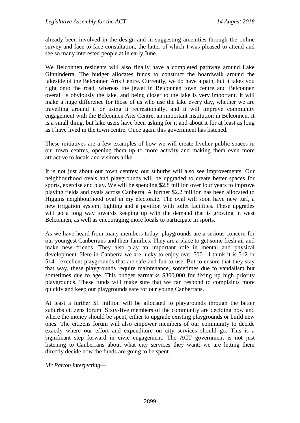already been involved in the design and in suggesting amenities through the online survey and face-to-face consultation, the latter of which I was pleased to attend and see so many interested people at in early June.

We Belconnen residents will also finally have a completed pathway around Lake Ginninderra. The budget allocates funds to construct the boardwalk around the lakeside of the Belconnen Arts Centre. Currently, we do have a path, but it takes you right onto the road, whereas the jewel in Belconnen town centre and Belconnen overall is obviously the lake, and being closer to the lake is very important. It will make a huge difference for those of us who use the lake every day, whether we are travelling around it or using it recreationally, and it will improve community engagement with the Belconnen Arts Centre, an important institution in Belconnen. It is a small thing, but lake users have been asking for it and about it for at least as long as I have lived in the town centre. Once again this government has listened.

These initiatives are a few examples of how we will create livelier public spaces in our town centres, opening them up to more activity and making them even more attractive to locals and visitors alike.

It is not just about our town centres; our suburbs will also see improvements. Our neighbourhood ovals and playgrounds will be upgraded to create better spaces for sports, exercise and play. We will be spending \$2.8 million over four years to improve playing fields and ovals across Canberra. A further \$2.2 million has been allocated to Higgins neighbourhood oval in my electorate. The oval will soon have new turf, a new irrigation system, lighting and a pavilion with toilet facilities. These upgrades will go a long way towards keeping up with the demand that is growing in west Belconnen, as well as encouraging more locals to participate in sports.

As we have heard from many members today, playgrounds are a serious concern for our youngest Canberrans and their families. They are a place to get some fresh air and make new friends. They also play an important role in mental and physical development. Here in Canberra we are lucky to enjoy over 500—I think it is 512 or 514—excellent playgrounds that are safe and fun to use. But to ensure that they stay that way, these playgrounds require maintenance, sometimes due to vandalism but sometimes due to age. This budget earmarks \$300,000 for fixing up high priority playgrounds. These funds will make sure that we can respond to complaints more quickly and keep our playgrounds safe for our young Canberrans.

At least a further \$1 million will be allocated to playgrounds through the better suburbs citizens forum. Sixty-five members of the community are deciding how and where the money should be spent, either to upgrade existing playgrounds or build new ones. The citizens forum will also empower members of our community to decide exactly where our effort and expenditure on city services should go. This is a significant step forward in civic engagement. The ACT government is not just listening to Canberrans about what city services they want; we are letting them directly decide how the funds are going to be spent.

*Mr Parton interjecting*—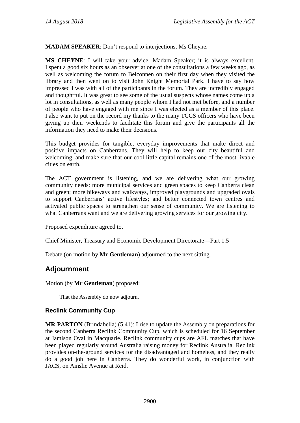**MADAM SPEAKER**: Don't respond to interjections, Ms Cheyne.

**MS CHEYNE**: I will take your advice, Madam Speaker; it is always excellent. I spent a good six hours as an observer at one of the consultations a few weeks ago, as well as welcoming the forum to Belconnen on their first day when they visited the library and then went on to visit John Knight Memorial Park. I have to say how impressed I was with all of the participants in the forum. They are incredibly engaged and thoughtful. It was great to see some of the usual suspects whose names come up a lot in consultations, as well as many people whom I had not met before, and a number of people who have engaged with me since I was elected as a member of this place. I also want to put on the record my thanks to the many TCCS officers who have been giving up their weekends to facilitate this forum and give the participants all the information they need to make their decisions.

This budget provides for tangible, everyday improvements that make direct and positive impacts on Canberrans. They will help to keep our city beautiful and welcoming, and make sure that our cool little capital remains one of the most livable cities on earth.

The ACT government is listening, and we are delivering what our growing community needs: more municipal services and green spaces to keep Canberra clean and green; more bikeways and walkways, improved playgrounds and upgraded ovals to support Canberrans' active lifestyles; and better connected town centres and activated public spaces to strengthen our sense of community. We are listening to what Canberrans want and we are delivering growing services for our growing city.

Proposed expenditure agreed to.

Chief Minister, Treasury and Economic Development Directorate—Part 1.5

Debate (on motion by **Mr Gentleman**) adjourned to the next sitting.

## **Adjournment**

Motion (by **Mr Gentleman**) proposed:

That the Assembly do now adjourn.

## **Reclink Community Cup**

**MR PARTON** (Brindabella) (5.41): I rise to update the Assembly on preparations for the second Canberra Reclink Community Cup, which is scheduled for 16 September at Jamison Oval in Macquarie. Reclink community cups are AFL matches that have been played regularly around Australia raising money for Reclink Australia. Reclink provides on-the-ground services for the disadvantaged and homeless, and they really do a good job here in Canberra. They do wonderful work, in conjunction with JACS, on Ainslie Avenue at Reid.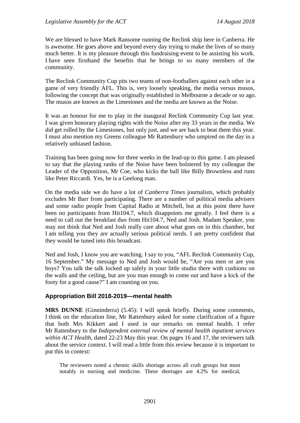We are blessed to have Mark Ransome running the Reclink ship here in Canberra. He is awesome. He goes above and beyond every day trying to make the lives of so many much better. It is my pleasure through this fundraising event to be assisting his work. I have seen firsthand the benefits that he brings to so many members of the community.

The Reclink Community Cup pits two teams of non-footballers against each other in a game of very friendly AFL. This is, very loosely speaking, the media versus musos, following the concept that was originally established in Melbourne a decade or so ago. The musos are known as the Limestones and the media are known as the Noise.

It was an honour for me to play in the inaugural Reclink Community Cup last year. I was given honorary playing rights with the Noise after my 33 years in the media. We did get rolled by the Limestones, but only just, and we are back to beat them this year. I must also mention my Greens colleague Mr Rattenbury who umpired on the day in a relatively unbiased fashion.

Training has been going now for three weeks in the lead-up to this game. I am pleased to say that the playing ranks of the Noise have been bolstered by my colleague the Leader of the Opposition, Mr Coe, who kicks the ball like Billy Brownless and runs like Peter Riccardi. Yes, he is a Geelong man.

On the media side we do have a lot of *Canberra Times* journalists, which probably excludes Mr Barr from participating. There are a number of political media advisers and some radio people from Capital Radio at Mitchell, but at this point there have been no participants from Hit104.7, which disappoints me greatly. I feel there is a need to call out the breakfast duo from Hit104.7, Ned and Josh. Madam Speaker, you may not think that Ned and Josh really care about what goes on in this chamber, but I am telling you they are actually serious political nerds. I am pretty confident that they would be tuned into this broadcast.

Ned and Josh, I know you are watching. I say to you, "AFL Reclink Community Cup, 16 September." My message to Ned and Josh would be, "Are you men or are you boys? You talk the talk locked up safely in your little studio there with cushions on the walls and the ceiling, but are you man enough to come out and have a kick of the footy for a good cause?" I am counting on you.

## **Appropriation Bill 2018-2019—mental health**

**MRS DUNNE** (Ginninderra) (5.45): I will speak briefly. During some comments, I think on the education line, Mr Rattenbury asked for some clarification of a figure that both Mrs Kikkert and I used in our remarks on mental health. I refer Mr Rattenbury to the *Independent external review of mental health inpatient services within ACT Health*, dated 22-23 May this year. On pages 16 and 17, the reviewers talk about the service context. I will read a little from this review because it is important to put this in context:

The reviewers noted a chronic skills shortage across all craft groups but most notably in nursing and medicine. These shortages are 4.2% for medical,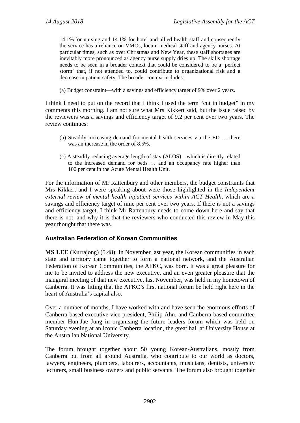14.1% for nursing and 14.1% for hotel and allied health staff and consequently the service has a reliance on VMOs, locum medical staff and agency nurses. At particular times, such as over Christmas and New Year, these staff shortages are inevitably more pronounced as agency nurse supply dries up. The skills shortage needs to be seen in a broader context that could be considered to be a 'perfect storm' that, if not attended to, could contribute to organizational risk and a decrease in patient safety. The broader context includes:

(a) Budget constraint—with a savings and efficiency target of 9% over 2 years.

I think I need to put on the record that I think I used the term "cut in budget" in my comments this morning. I am not sure what Mrs Kikkert said, but the issue raised by the reviewers was a savings and efficiency target of 9.2 per cent over two years. The review continues:

- (b) Steadily increasing demand for mental health services via the ED … there was an increase in the order of 8.5%.
- (c) A steadily reducing average length of stay (ALOS)—which is directly related to the increased demand for beds … and an occupancy rate higher than 100 per cent in the Acute Mental Health Unit.

For the information of Mr Rattenbury and other members, the budget constraints that Mrs Kikkert and I were speaking about were those highlighted in the *Independent external review of mental health inpatient services within ACT Health*, which are a savings and efficiency target of nine per cent over two years. If there is not a savings and efficiency target, I think Mr Rattenbury needs to come down here and say that there is not, and why it is that the reviewers who conducted this review in May this year thought that there was.

## **Australian Federation of Korean Communities**

**MS LEE** (Kurrajong) (5.48): In November last year, the Korean communities in each state and territory came together to form a national network, and the Australian Federation of Korean Communities, the AFKC, was born. It was a great pleasure for me to be invited to address the new executive, and an even greater pleasure that the inaugural meeting of that new executive, last November, was held in my hometown of Canberra. It was fitting that the AFKC's first national forum be held right here in the heart of Australia's capital also.

Over a number of months, I have worked with and have seen the enormous efforts of Canberra-based executive vice-president, Philip Ahn, and Canberra-based committee member Hun-Jae Jung in organising the future leaders forum which was held on Saturday evening at an iconic Canberra location, the great hall at University House at the Australian National University.

The forum brought together about 50 young Korean-Australians, mostly from Canberra but from all around Australia, who contribute to our world as doctors, lawyers, engineers, plumbers, labourers, accountants, musicians, dentists, university lecturers, small business owners and public servants. The forum also brought together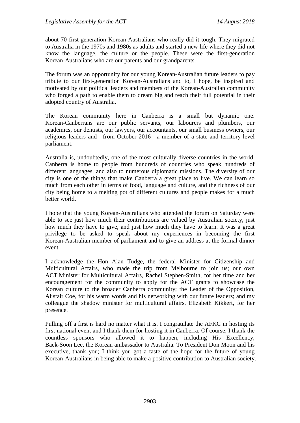about 70 first-generation Korean-Australians who really did it tough. They migrated to Australia in the 1970s and 1980s as adults and started a new life where they did not know the language, the culture or the people. These were the first-generation Korean-Australians who are our parents and our grandparents.

The forum was an opportunity for our young Korean-Australian future leaders to pay tribute to our first-generation Korean-Australians and to, I hope, be inspired and motivated by our political leaders and members of the Korean-Australian community who forged a path to enable them to dream big and reach their full potential in their adopted country of Australia.

The Korean community here in Canberra is a small but dynamic one. Korean-Canberrans are our public servants, our labourers and plumbers, our academics, our dentists, our lawyers, our accountants, our small business owners, our religious leaders and—from October 2016—a member of a state and territory level parliament.

Australia is, undoubtedly, one of the most culturally diverse countries in the world. Canberra is home to people from hundreds of countries who speak hundreds of different languages, and also to numerous diplomatic missions. The diversity of our city is one of the things that make Canberra a great place to live. We can learn so much from each other in terms of food, language and culture, and the richness of our city being home to a melting pot of different cultures and people makes for a much better world.

I hope that the young Korean-Australians who attended the forum on Saturday were able to see just how much their contributions are valued by Australian society, just how much they have to give, and just how much they have to learn. It was a great privilege to be asked to speak about my experiences in becoming the first Korean-Australian member of parliament and to give an address at the formal dinner event.

I acknowledge the Hon Alan Tudge, the federal Minister for Citizenship and Multicultural Affairs, who made the trip from Melbourne to join us; our own ACT Minister for Multicultural Affairs, Rachel Stephen-Smith, for her time and her encouragement for the community to apply for the ACT grants to showcase the Korean culture to the broader Canberra community; the Leader of the Opposition, Alistair Coe, for his warm words and his networking with our future leaders; and my colleague the shadow minister for multicultural affairs, Elizabeth Kikkert, for her presence.

Pulling off a first is hard no matter what it is. I congratulate the AFKC in hosting its first national event and I thank them for hosting it in Canberra. Of course, I thank the countless sponsors who allowed it to happen, including His Excellency, Baek-Soon Lee, the Korean ambassador to Australia. To President Don Moon and his executive, thank you; I think you got a taste of the hope for the future of young Korean-Australians in being able to make a positive contribution to Australian society.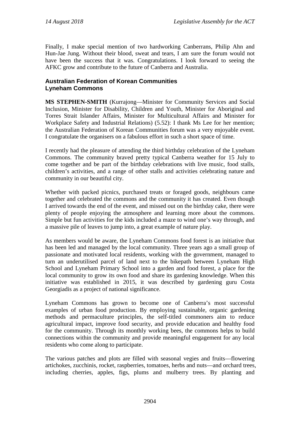Finally, I make special mention of two hardworking Canberrans, Philip Ahn and Hun-Jae Jung. Without their blood, sweat and tears, I am sure the forum would not have been the success that it was. Congratulations. I look forward to seeing the AFKC grow and contribute to the future of Canberra and Australia.

## **Australian Federation of Korean Communities Lyneham Commons**

**MS STEPHEN-SMITH** (Kurrajong—Minister for Community Services and Social Inclusion, Minister for Disability, Children and Youth, Minister for Aboriginal and Torres Strait Islander Affairs, Minister for Multicultural Affairs and Minister for Workplace Safety and Industrial Relations) (5.52): I thank Ms Lee for her mention; the Australian Federation of Korean Communities forum was a very enjoyable event. I congratulate the organisers on a fabulous effort in such a short space of time.

I recently had the pleasure of attending the third birthday celebration of the Lyneham Commons. The community braved pretty typical Canberra weather for 15 July to come together and be part of the birthday celebrations with live music, food stalls, children's activities, and a range of other stalls and activities celebrating nature and community in our beautiful city.

Whether with packed picnics, purchased treats or foraged goods, neighbours came together and celebrated the commons and the community it has created. Even though I arrived towards the end of the event, and missed out on the birthday cake, there were plenty of people enjoying the atmosphere and learning more about the commons. Simple but fun activities for the kids included a maze to wind one's way through, and a massive pile of leaves to jump into, a great example of nature play.

As members would be aware, the Lyneham Commons food forest is an initiative that has been led and managed by the local community. Three years ago a small group of passionate and motivated local residents, working with the government, managed to turn an underutilised parcel of land next to the bikepath between Lyneham High School and Lyneham Primary School into a garden and food forest, a place for the local community to grow its own food and share its gardening knowledge. When this initiative was established in 2015, it was described by gardening guru Costa Georgiadis as a project of national significance.

Lyneham Commons has grown to become one of Canberra's most successful examples of urban food production. By employing sustainable, organic gardening methods and permaculture principles, the self-titled commoners aim to reduce agricultural impact, improve food security, and provide education and healthy food for the community. Through its monthly working bees, the commons helps to build connections within the community and provide meaningful engagement for any local residents who come along to participate.

The various patches and plots are filled with seasonal vegies and fruits—flowering artichokes, zucchinis, rocket, raspberries, tomatoes, herbs and nuts—and orchard trees, including cherries, apples, figs, plums and mulberry trees. By planting and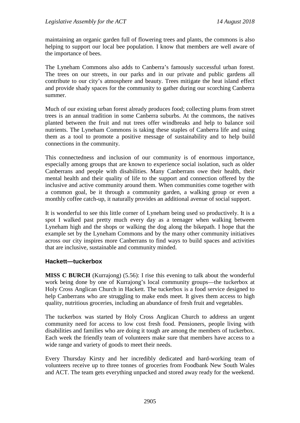maintaining an organic garden full of flowering trees and plants, the commons is also helping to support our local bee population. I know that members are well aware of the importance of bees.

The Lyneham Commons also adds to Canberra's famously successful urban forest. The trees on our streets, in our parks and in our private and public gardens all contribute to our city's atmosphere and beauty. Trees mitigate the heat island effect and provide shady spaces for the community to gather during our scorching Canberra summer.

Much of our existing urban forest already produces food; collecting plums from street trees is an annual tradition in some Canberra suburbs. At the commons, the natives planted between the fruit and nut trees offer windbreaks and help to balance soil nutrients. The Lyneham Commons is taking these staples of Canberra life and using them as a tool to promote a positive message of sustainability and to help build connections in the community.

This connectedness and inclusion of our community is of enormous importance, especially among groups that are known to experience social isolation, such as older Canberrans and people with disabilities. Many Canberrans owe their health, their mental health and their quality of life to the support and connection offered by the inclusive and active community around them. When communities come together with a common goal, be it through a community garden, a walking group or even a monthly coffee catch-up, it naturally provides an additional avenue of social support.

It is wonderful to see this little corner of Lyneham being used so productively. It is a spot I walked past pretty much every day as a teenager when walking between Lyneham high and the shops or walking the dog along the bikepath. I hope that the example set by the Lyneham Commons and by the many other community initiatives across our city inspires more Canberrans to find ways to build spaces and activities that are inclusive, sustainable and community minded.

## **Hackett—tuckerbox**

**MISS C BURCH** (Kurrajong) (5.56): I rise this evening to talk about the wonderful work being done by one of Kurrajong's local community groups—the tuckerbox at Holy Cross Anglican Church in Hackett. The tuckerbox is a food service designed to help Canberrans who are struggling to make ends meet. It gives them access to high quality, nutritious groceries, including an abundance of fresh fruit and vegetables.

The tuckerbox was started by Holy Cross Anglican Church to address an urgent community need for access to low cost fresh food. Pensioners, people living with disabilities and families who are doing it tough are among the members of tuckerbox. Each week the friendly team of volunteers make sure that members have access to a wide range and variety of goods to meet their needs.

Every Thursday Kirsty and her incredibly dedicated and hard-working team of volunteers receive up to three tonnes of groceries from Foodbank New South Wales and ACT. The team gets everything unpacked and stored away ready for the weekend.